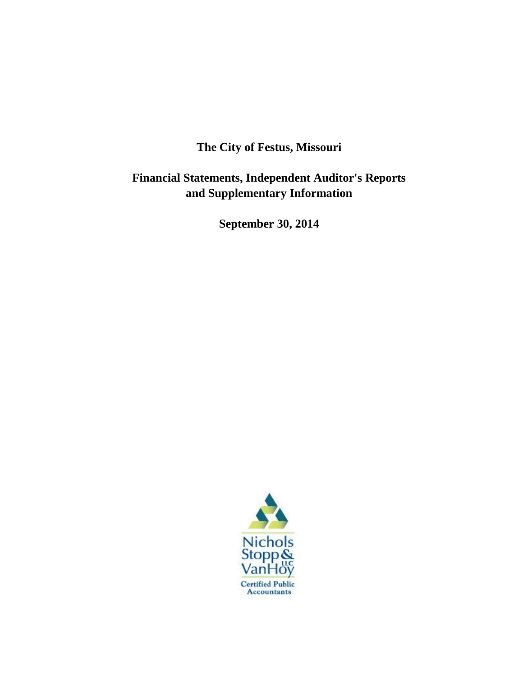# **The City of Festus, Missouri**

# **Financial Statements, Independent Auditor's Reports and Supplementary Information**

**September 30, 2014**

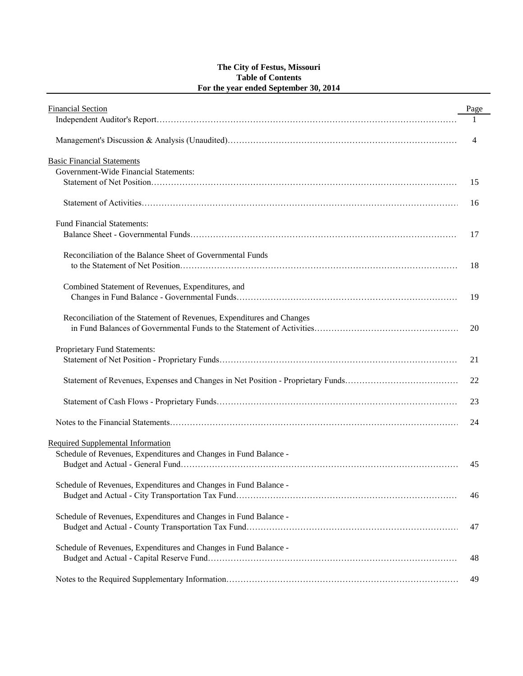## **The City of Festus, Missouri Table of Contents For the year ended September 30, 2014**

| <b>Financial Section</b>                                              | Page |
|-----------------------------------------------------------------------|------|
|                                                                       |      |
|                                                                       | 4    |
| <b>Basic Financial Statements</b>                                     |      |
| Government-Wide Financial Statements:                                 |      |
|                                                                       | 15   |
|                                                                       |      |
| <b>Fund Financial Statements:</b>                                     |      |
|                                                                       | -17  |
| Reconciliation of the Balance Sheet of Governmental Funds             |      |
|                                                                       | -18  |
| Combined Statement of Revenues, Expenditures, and                     |      |
|                                                                       | -19  |
| Reconciliation of the Statement of Revenues, Expenditures and Changes |      |
|                                                                       | 20   |
| Proprietary Fund Statements:                                          |      |
|                                                                       | 21   |
|                                                                       | 22   |
|                                                                       |      |
|                                                                       | 23   |
|                                                                       | -24  |
| <b>Required Supplemental Information</b>                              |      |
| Schedule of Revenues, Expenditures and Changes in Fund Balance -      |      |
|                                                                       | -45  |
| Schedule of Revenues, Expenditures and Changes in Fund Balance -      |      |
|                                                                       | 46   |
| Schedule of Revenues, Expenditures and Changes in Fund Balance -      |      |
|                                                                       | 47   |
| Schedule of Revenues, Expenditures and Changes in Fund Balance -      |      |
|                                                                       | 48   |
|                                                                       | 49   |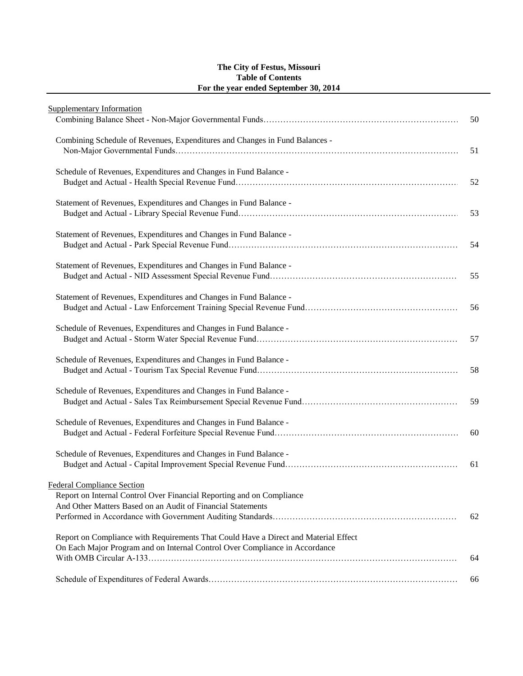## **The City of Festus, Missouri Table of Contents For the year ended September 30, 2014**

| Supplementary Information                                                                                                                                          |    |
|--------------------------------------------------------------------------------------------------------------------------------------------------------------------|----|
|                                                                                                                                                                    | 50 |
| Combining Schedule of Revenues, Expenditures and Changes in Fund Balances -                                                                                        |    |
|                                                                                                                                                                    | 51 |
| Schedule of Revenues, Expenditures and Changes in Fund Balance -                                                                                                   |    |
|                                                                                                                                                                    | 52 |
| Statement of Revenues, Expenditures and Changes in Fund Balance -                                                                                                  |    |
|                                                                                                                                                                    | 53 |
| Statement of Revenues, Expenditures and Changes in Fund Balance -                                                                                                  |    |
|                                                                                                                                                                    | 54 |
| Statement of Revenues, Expenditures and Changes in Fund Balance -                                                                                                  |    |
|                                                                                                                                                                    | 55 |
| Statement of Revenues, Expenditures and Changes in Fund Balance -                                                                                                  |    |
|                                                                                                                                                                    | 56 |
| Schedule of Revenues, Expenditures and Changes in Fund Balance -                                                                                                   |    |
|                                                                                                                                                                    | 57 |
| Schedule of Revenues, Expenditures and Changes in Fund Balance -                                                                                                   |    |
|                                                                                                                                                                    | 58 |
| Schedule of Revenues, Expenditures and Changes in Fund Balance -                                                                                                   |    |
|                                                                                                                                                                    | 59 |
|                                                                                                                                                                    |    |
| Schedule of Revenues, Expenditures and Changes in Fund Balance -                                                                                                   | 60 |
|                                                                                                                                                                    |    |
| Schedule of Revenues, Expenditures and Changes in Fund Balance -                                                                                                   | 61 |
|                                                                                                                                                                    |    |
| <b>Federal Compliance Section</b>                                                                                                                                  |    |
| Report on Internal Control Over Financial Reporting and on Compliance<br>And Other Matters Based on an Audit of Financial Statements                               |    |
|                                                                                                                                                                    | 62 |
|                                                                                                                                                                    |    |
| Report on Compliance with Requirements That Could Have a Direct and Material Effect<br>On Each Major Program and on Internal Control Over Compliance in Accordance |    |
|                                                                                                                                                                    | 64 |
|                                                                                                                                                                    | 66 |
|                                                                                                                                                                    |    |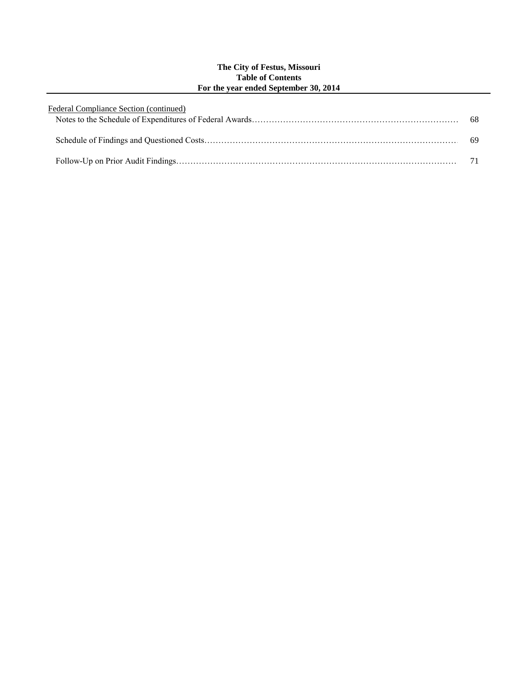## **The City of Festus, Missouri Table of Contents For the year ended September 30, 2014**

| Federal Compliance Section (continued) |     |
|----------------------------------------|-----|
|                                        | -68 |
|                                        |     |
|                                        | -69 |
|                                        |     |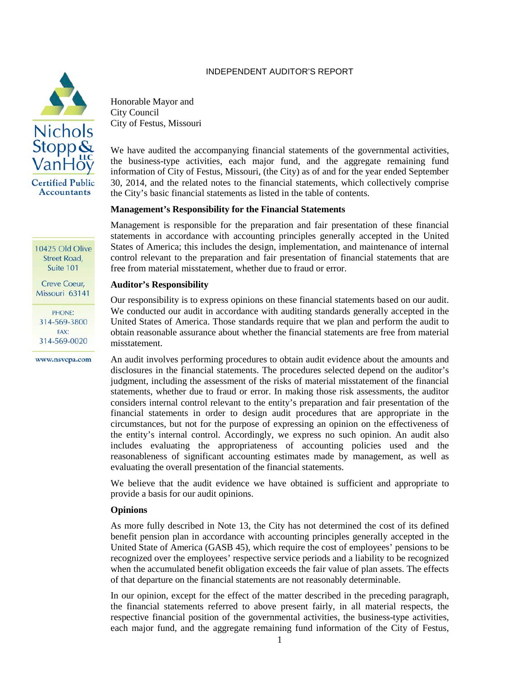### INDEPENDENT AUDITOR'S REPORT



10425 Old Olive Street Road, Suite 101

**Creve Coeur,** Missouri 63141

PHONE: 314-569-3800 FAX<sup>\*</sup> 314-569-0020

www.nsvcpa.com

Honorable Mayor and City Council City of Festus, Missouri

We have audited the accompanying financial statements of the governmental activities, the business-type activities, each major fund, and the aggregate remaining fund information of City of Festus, Missouri, (the City) as of and for the year ended September 30, 2014, and the related notes to the financial statements, which collectively comprise the City's basic financial statements as listed in the table of contents.

### **Management's Responsibility for the Financial Statements**

Management is responsible for the preparation and fair presentation of these financial statements in accordance with accounting principles generally accepted in the United States of America; this includes the design, implementation, and maintenance of internal control relevant to the preparation and fair presentation of financial statements that are free from material misstatement, whether due to fraud or error.

### **Auditor's Responsibility**

Our responsibility is to express opinions on these financial statements based on our audit. We conducted our audit in accordance with auditing standards generally accepted in the United States of America. Those standards require that we plan and perform the audit to obtain reasonable assurance about whether the financial statements are free from material misstatement.

An audit involves performing procedures to obtain audit evidence about the amounts and disclosures in the financial statements. The procedures selected depend on the auditor's judgment, including the assessment of the risks of material misstatement of the financial statements, whether due to fraud or error. In making those risk assessments, the auditor considers internal control relevant to the entity's preparation and fair presentation of the financial statements in order to design audit procedures that are appropriate in the circumstances, but not for the purpose of expressing an opinion on the effectiveness of the entity's internal control. Accordingly, we express no such opinion. An audit also includes evaluating the appropriateness of accounting policies used and the reasonableness of significant accounting estimates made by management, as well as evaluating the overall presentation of the financial statements.

We believe that the audit evidence we have obtained is sufficient and appropriate to provide a basis for our audit opinions.

### **Opinions**

As more fully described in Note 13, the City has not determined the cost of its defined benefit pension plan in accordance with accounting principles generally accepted in the United State of America (GASB 45), which require the cost of employees' pensions to be recognized over the employees' respective service periods and a liability to be recognized when the accumulated benefit obligation exceeds the fair value of plan assets. The effects of that departure on the financial statements are not reasonably determinable.

In our opinion, except for the effect of the matter described in the preceding paragraph, the financial statements referred to above present fairly, in all material respects, the respective financial position of the governmental activities, the business-type activities, each major fund, and the aggregate remaining fund information of the City of Festus,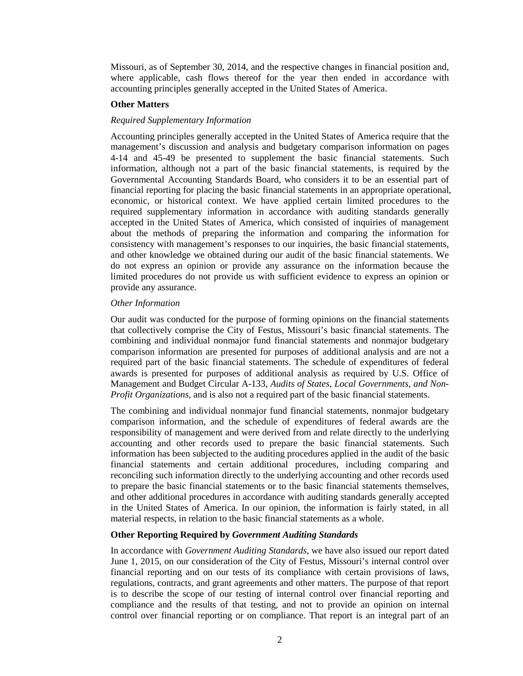Missouri, as of September 30, 2014, and the respective changes in financial position and, where applicable, cash flows thereof for the year then ended in accordance with accounting principles generally accepted in the United States of America.

### **Other Matters**

### *Required Supplementary Information*

Accounting principles generally accepted in the United States of America require that the management's discussion and analysis and budgetary comparison information on pages 4-14 and 45-49 be presented to supplement the basic financial statements. Such information, although not a part of the basic financial statements, is required by the Governmental Accounting Standards Board, who considers it to be an essential part of financial reporting for placing the basic financial statements in an appropriate operational, economic, or historical context. We have applied certain limited procedures to the required supplementary information in accordance with auditing standards generally accepted in the United States of America, which consisted of inquiries of management about the methods of preparing the information and comparing the information for consistency with management's responses to our inquiries, the basic financial statements, and other knowledge we obtained during our audit of the basic financial statements. We do not express an opinion or provide any assurance on the information because the limited procedures do not provide us with sufficient evidence to express an opinion or provide any assurance.

### *Other Information*

Our audit was conducted for the purpose of forming opinions on the financial statements that collectively comprise the City of Festus, Missouri's basic financial statements. The combining and individual nonmajor fund financial statements and nonmajor budgetary comparison information are presented for purposes of additional analysis and are not a required part of the basic financial statements. The schedule of expenditures of federal awards is presented for purposes of additional analysis as required by U.S. Office of Management and Budget Circular A-133, *Audits of States, Local Governments, and Non-Profit Organizations*, and is also not a required part of the basic financial statements.

The combining and individual nonmajor fund financial statements, nonmajor budgetary comparison information, and the schedule of expenditures of federal awards are the responsibility of management and were derived from and relate directly to the underlying accounting and other records used to prepare the basic financial statements. Such information has been subjected to the auditing procedures applied in the audit of the basic financial statements and certain additional procedures, including comparing and reconciling such information directly to the underlying accounting and other records used to prepare the basic financial statements or to the basic financial statements themselves, and other additional procedures in accordance with auditing standards generally accepted in the United States of America. In our opinion, the information is fairly stated, in all material respects, in relation to the basic financial statements as a whole.

### **Other Reporting Required by** *Government Auditing Standards*

In accordance with *Government Auditing Standards*, we have also issued our report dated June 1, 2015, on our consideration of the City of Festus, Missouri's internal control over financial reporting and on our tests of its compliance with certain provisions of laws, regulations, contracts, and grant agreements and other matters. The purpose of that report is to describe the scope of our testing of internal control over financial reporting and compliance and the results of that testing, and not to provide an opinion on internal control over financial reporting or on compliance. That report is an integral part of an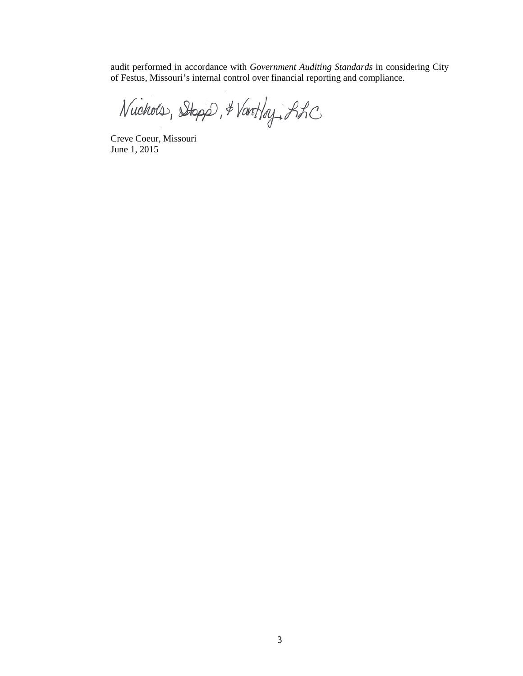audit performed in accordance with *Government Auditing Standards* in considering City of Festus, Missouri's internal control over financial reporting and compliance.

Nuchols, Stopp, & Vantfay, LLC

Creve Coeur, Missouri June 1, 2015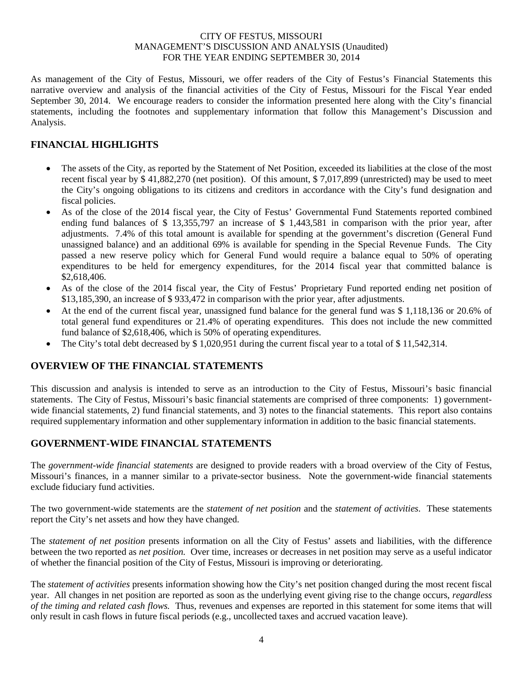As management of the City of Festus, Missouri, we offer readers of the City of Festus's Financial Statements this narrative overview and analysis of the financial activities of the City of Festus, Missouri for the Fiscal Year ended September 30, 2014. We encourage readers to consider the information presented here along with the City's financial statements, including the footnotes and supplementary information that follow this Management's Discussion and Analysis.

## **FINANCIAL HIGHLIGHTS**

- The assets of the City, as reported by the Statement of Net Position, exceeded its liabilities at the close of the most recent fiscal year by \$ 41,882,270 (net position). Of this amount, \$ 7,017,899 (unrestricted) may be used to meet the City's ongoing obligations to its citizens and creditors in accordance with the City's fund designation and fiscal policies.
- As of the close of the 2014 fiscal year, the City of Festus' Governmental Fund Statements reported combined ending fund balances of \$ 13,355,797 an increase of \$ 1,443,581 in comparison with the prior year, after adjustments. 7.4% of this total amount is available for spending at the government's discretion (General Fund unassigned balance) and an additional 69% is available for spending in the Special Revenue Funds. The City passed a new reserve policy which for General Fund would require a balance equal to 50% of operating expenditures to be held for emergency expenditures, for the 2014 fiscal year that committed balance is \$2,618,406.
- As of the close of the 2014 fiscal year, the City of Festus' Proprietary Fund reported ending net position of \$13,185,390, an increase of \$ 933,472 in comparison with the prior year, after adjustments.
- At the end of the current fiscal year, unassigned fund balance for the general fund was \$ 1,118,136 or 20.6% of total general fund expenditures or 21.4% of operating expenditures. This does not include the new committed fund balance of \$2,618,406, which is 50% of operating expenditures.
- The City's total debt decreased by \$1,020,951 during the current fiscal year to a total of \$11,542,314.

## **OVERVIEW OF THE FINANCIAL STATEMENTS**

This discussion and analysis is intended to serve as an introduction to the City of Festus, Missouri's basic financial statements. The City of Festus, Missouri's basic financial statements are comprised of three components: 1) governmentwide financial statements, 2) fund financial statements, and 3) notes to the financial statements. This report also contains required supplementary information and other supplementary information in addition to the basic financial statements.

## **GOVERNMENT-WIDE FINANCIAL STATEMENTS**

The *government-wide financial statements* are designed to provide readers with a broad overview of the City of Festus, Missouri's finances, in a manner similar to a private-sector business. Note the government-wide financial statements exclude fiduciary fund activities.

The two government-wide statements are the *statement of net position* and the *statement of activities*. These statements report the City's net assets and how they have changed.

The *statement of net position* presents information on all the City of Festus' assets and liabilities, with the difference between the two reported as *net position.* Over time, increases or decreases in net position may serve as a useful indicator of whether the financial position of the City of Festus, Missouri is improving or deteriorating.

The *statement of activities* presents information showing how the City's net position changed during the most recent fiscal year. All changes in net position are reported as soon as the underlying event giving rise to the change occurs, *regardless of the timing and related cash flows.* Thus, revenues and expenses are reported in this statement for some items that will only result in cash flows in future fiscal periods (e.g., uncollected taxes and accrued vacation leave).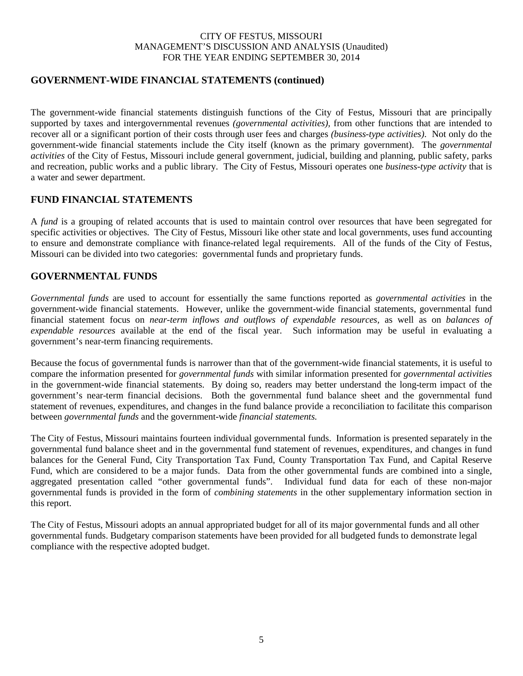## **GOVERNMENT-WIDE FINANCIAL STATEMENTS (continued)**

The government-wide financial statements distinguish functions of the City of Festus, Missouri that are principally supported by taxes and intergovernmental revenues *(governmental activities),* from other functions that are intended to recover all or a significant portion of their costs through user fees and charges *(business-type activities)*. Not only do the government-wide financial statements include the City itself (known as the primary government). The *governmental activities* of the City of Festus, Missouri include general government, judicial, building and planning, public safety, parks and recreation, public works and a public library. The City of Festus, Missouri operates one *business-type activity* that is a water and sewer department.

## **FUND FINANCIAL STATEMENTS**

A *fund* is a grouping of related accounts that is used to maintain control over resources that have been segregated for specific activities or objectives. The City of Festus, Missouri like other state and local governments, uses fund accounting to ensure and demonstrate compliance with finance-related legal requirements. All of the funds of the City of Festus, Missouri can be divided into two categories: governmental funds and proprietary funds.

## **GOVERNMENTAL FUNDS**

*Governmental funds* are used to account for essentially the same functions reported as *governmental activities* in the government-wide financial statements. However, unlike the government-wide financial statements, governmental fund financial statement focus on *near-term inflows and outflows of expendable resources,* as well as on *balances of expendable resources* available at the end of the fiscal year. Such information may be useful in evaluating a government's near-term financing requirements.

Because the focus of governmental funds is narrower than that of the government-wide financial statements, it is useful to compare the information presented for *governmental funds* with similar information presented for *governmental activities*  in the government-wide financial statements. By doing so, readers may better understand the long-term impact of the government's near-term financial decisions. Both the governmental fund balance sheet and the governmental fund statement of revenues, expenditures, and changes in the fund balance provide a reconciliation to facilitate this comparison between *governmental funds* and the government-wide *financial statements.*

The City of Festus, Missouri maintains fourteen individual governmental funds. Information is presented separately in the governmental fund balance sheet and in the governmental fund statement of revenues, expenditures, and changes in fund balances for the General Fund, City Transportation Tax Fund, County Transportation Tax Fund, and Capital Reserve Fund, which are considered to be a major funds. Data from the other governmental funds are combined into a single, aggregated presentation called "other governmental funds". Individual fund data for each of these non-major governmental funds is provided in the form of *combining statements* in the other supplementary information section in this report.

The City of Festus, Missouri adopts an annual appropriated budget for all of its major governmental funds and all other governmental funds. Budgetary comparison statements have been provided for all budgeted funds to demonstrate legal compliance with the respective adopted budget.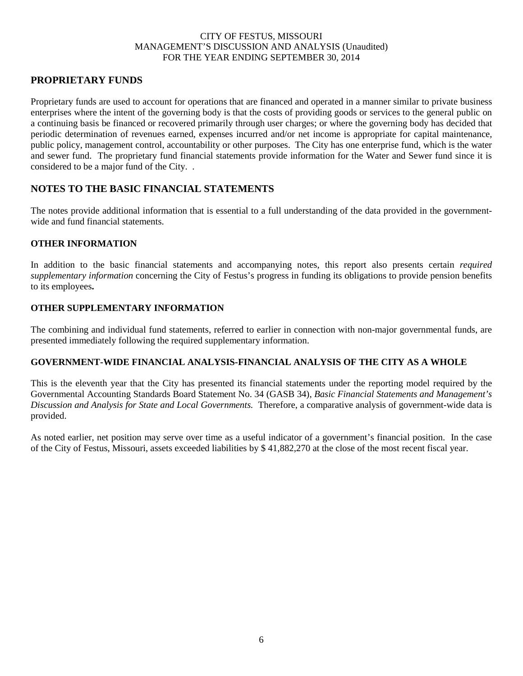## **PROPRIETARY FUNDS**

Proprietary funds are used to account for operations that are financed and operated in a manner similar to private business enterprises where the intent of the governing body is that the costs of providing goods or services to the general public on a continuing basis be financed or recovered primarily through user charges; or where the governing body has decided that periodic determination of revenues earned, expenses incurred and/or net income is appropriate for capital maintenance, public policy, management control, accountability or other purposes. The City has one enterprise fund, which is the water and sewer fund. The proprietary fund financial statements provide information for the Water and Sewer fund since it is considered to be a major fund of the City. .

## **NOTES TO THE BASIC FINANCIAL STATEMENTS**

The notes provide additional information that is essential to a full understanding of the data provided in the governmentwide and fund financial statements.

## **OTHER INFORMATION**

In addition to the basic financial statements and accompanying notes, this report also presents certain *required supplementary information* concerning the City of Festus's progress in funding its obligations to provide pension benefits to its employees**.**

## **OTHER SUPPLEMENTARY INFORMATION**

The combining and individual fund statements, referred to earlier in connection with non-major governmental funds, are presented immediately following the required supplementary information.

## **GOVERNMENT-WIDE FINANCIAL ANALYSIS-FINANCIAL ANALYSIS OF THE CITY AS A WHOLE**

This is the eleventh year that the City has presented its financial statements under the reporting model required by the Governmental Accounting Standards Board Statement No. 34 (GASB 34), *Basic Financial Statements and Management's Discussion and Analysis for State and Local Governments.* Therefore, a comparative analysis of government-wide data is provided.

As noted earlier, net position may serve over time as a useful indicator of a government's financial position. In the case of the City of Festus, Missouri, assets exceeded liabilities by \$ 41,882,270 at the close of the most recent fiscal year.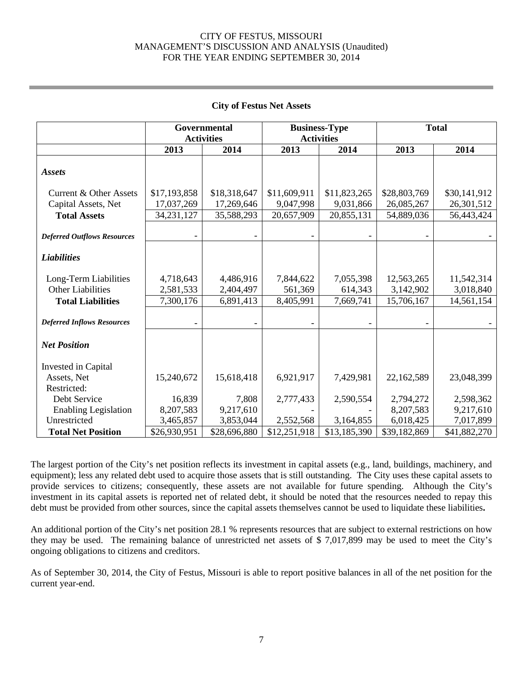|                                    |              | Governmental      |              | <b>Business-Type</b> | <b>Total</b> |              |  |  |
|------------------------------------|--------------|-------------------|--------------|----------------------|--------------|--------------|--|--|
|                                    |              | <b>Activities</b> |              | <b>Activities</b>    |              |              |  |  |
|                                    | 2013         | 2014              | 2013         | 2014                 | 2013         | 2014         |  |  |
| <b>Assets</b>                      |              |                   |              |                      |              |              |  |  |
| <b>Current &amp; Other Assets</b>  | \$17,193,858 | \$18,318,647      | \$11,609,911 | \$11,823,265         | \$28,803,769 | \$30,141,912 |  |  |
| Capital Assets, Net                | 17,037,269   | 17,269,646        | 9,047,998    | 9,031,866            | 26,085,267   | 26,301,512   |  |  |
| <b>Total Assets</b>                | 34, 231, 127 | 35,588,293        | 20,657,909   | 20,855,131           | 54,889,036   | 56,443,424   |  |  |
| <b>Deferred Outflows Resources</b> |              |                   |              |                      |              |              |  |  |
| <b>Liabilities</b>                 |              |                   |              |                      |              |              |  |  |
| Long-Term Liabilities              | 4,718,643    | 4,486,916         | 7,844,622    | 7,055,398            | 12,563,265   | 11,542,314   |  |  |
| <b>Other Liabilities</b>           | 2,581,533    | 2,404,497         | 561,369      | 614,343              | 3,142,902    | 3,018,840    |  |  |
| <b>Total Liabilities</b>           | 7,300,176    | 6,891,413         | 8,405,991    | 7,669,741            | 15,706,167   | 14,561,154   |  |  |
| <b>Deferred Inflows Resources</b>  |              |                   |              |                      |              |              |  |  |
| <b>Net Position</b>                |              |                   |              |                      |              |              |  |  |
| Invested in Capital                |              |                   |              |                      |              |              |  |  |
| Assets, Net                        | 15,240,672   | 15,618,418        | 6,921,917    | 7,429,981            | 22,162,589   | 23,048,399   |  |  |
| Restricted:                        |              |                   |              |                      |              |              |  |  |
| Debt Service                       | 16,839       | 7,808             | 2,777,433    | 2,590,554            | 2,794,272    | 2,598,362    |  |  |
| <b>Enabling Legislation</b>        | 8,207,583    | 9,217,610         |              |                      | 8,207,583    | 9,217,610    |  |  |
| Unrestricted                       | 3,465,857    | 3,853,044         | 2,552,568    | 3,164,855            | 6,018,425    | 7,017,899    |  |  |
| <b>Total Net Position</b>          | \$26,930,951 | \$28,696,880      | \$12,251,918 | \$13,185,390         | \$39,182,869 | \$41,882,270 |  |  |

## **City of Festus Net Assets**

The largest portion of the City's net position reflects its investment in capital assets (e.g., land, buildings, machinery, and equipment); less any related debt used to acquire those assets that is still outstanding. The City uses these capital assets to provide services to citizens; consequently, these assets are not available for future spending. Although the City's investment in its capital assets is reported net of related debt, it should be noted that the resources needed to repay this debt must be provided from other sources, since the capital assets themselves cannot be used to liquidate these liabilities**.**

An additional portion of the City's net position 28.1 % represents resources that are subject to external restrictions on how they may be used. The remaining balance of unrestricted net assets of \$ 7,017,899 may be used to meet the City's ongoing obligations to citizens and creditors.

As of September 30, 2014, the City of Festus, Missouri is able to report positive balances in all of the net position for the current year-end.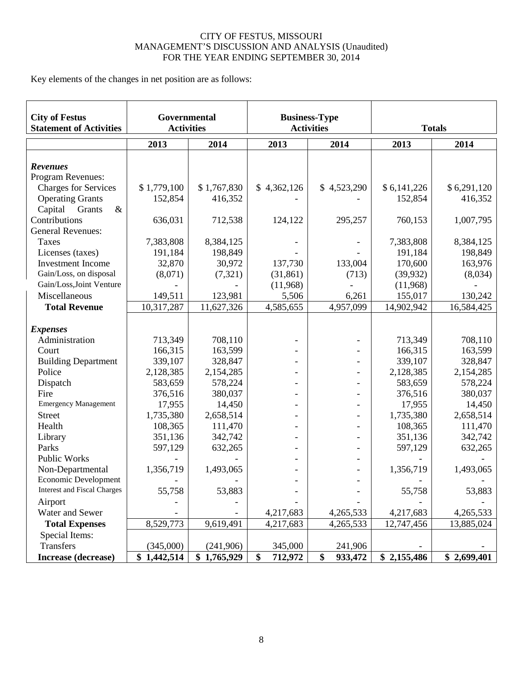Key elements of the changes in net position are as follows:

| <b>City of Festus</b><br><b>Statement of Activities</b> | Governmental<br><b>Activities</b> |             |               | <b>Business-Type</b><br><b>Activities</b> | <b>Totals</b> |             |  |  |
|---------------------------------------------------------|-----------------------------------|-------------|---------------|-------------------------------------------|---------------|-------------|--|--|
|                                                         | 2013                              | 2014        | 2013          | 2014                                      | 2013          | 2014        |  |  |
| <b>Revenues</b><br>Program Revenues:                    |                                   |             |               |                                           |               |             |  |  |
| <b>Charges for Services</b>                             | \$1,779,100                       | \$1,767,830 | \$4,362,126   | \$4,523,290                               | \$6,141,226   | \$6,291,120 |  |  |
| <b>Operating Grants</b>                                 | 152,854                           | 416,352     |               |                                           | 152,854       | 416,352     |  |  |
| Capital Grants<br>$\&$                                  |                                   |             |               |                                           |               |             |  |  |
| Contributions                                           | 636,031                           | 712,538     | 124,122       | 295,257                                   | 760,153       | 1,007,795   |  |  |
| <b>General Revenues:</b>                                |                                   |             |               |                                           |               |             |  |  |
| <b>Taxes</b>                                            | 7,383,808                         | 8,384,125   |               |                                           | 7,383,808     | 8,384,125   |  |  |
| Licenses (taxes)                                        | 191,184                           | 198,849     |               |                                           | 191,184       | 198,849     |  |  |
| <b>Investment Income</b>                                | 32,870                            | 30,972      | 137,730       | 133,004                                   | 170,600       | 163,976     |  |  |
| Gain/Loss, on disposal                                  | (8,071)                           | (7, 321)    | (31, 861)     | (713)                                     | (39, 932)     | (8,034)     |  |  |
| Gain/Loss, Joint Venture                                |                                   |             | (11,968)      |                                           | (11,968)      |             |  |  |
| Miscellaneous                                           | 149,511                           | 123,981     | 5,506         | 6,261                                     | 155,017       | 130,242     |  |  |
| <b>Total Revenue</b>                                    | 10,317,287                        | 11,627,326  | 4,585,655     | 4,957,099                                 | 14,902,942    | 16,584,425  |  |  |
|                                                         |                                   |             |               |                                           |               |             |  |  |
| <b>Expenses</b>                                         |                                   |             |               |                                           |               |             |  |  |
| Administration                                          | 713,349                           | 708,110     |               |                                           | 713,349       | 708,110     |  |  |
| Court                                                   | 166,315                           | 163,599     |               |                                           | 166,315       | 163,599     |  |  |
| <b>Building Department</b>                              | 339,107                           | 328,847     |               |                                           | 339,107       | 328,847     |  |  |
| Police                                                  | 2,128,385                         | 2,154,285   |               |                                           | 2,128,385     | 2,154,285   |  |  |
| Dispatch                                                | 583,659                           | 578,224     |               |                                           | 583,659       | 578,224     |  |  |
| Fire                                                    | 376,516                           | 380,037     |               |                                           | 376,516       | 380,037     |  |  |
| <b>Emergency Management</b>                             | 17,955                            | 14,450      |               |                                           | 17,955        | 14,450      |  |  |
| <b>Street</b>                                           | 1,735,380                         | 2,658,514   |               |                                           | 1,735,380     | 2,658,514   |  |  |
| Health                                                  | 108,365                           | 111,470     |               |                                           | 108,365       | 111,470     |  |  |
| Library                                                 | 351,136                           | 342,742     |               |                                           | 351,136       | 342,742     |  |  |
| Parks                                                   | 597,129                           | 632,265     |               |                                           | 597,129       | 632,265     |  |  |
| <b>Public Works</b>                                     |                                   |             |               |                                           |               |             |  |  |
| Non-Departmental                                        | 1,356,719                         | 1,493,065   |               |                                           | 1,356,719     | 1,493,065   |  |  |
| Economic Development                                    |                                   |             |               |                                           |               |             |  |  |
| <b>Interest and Fiscal Charges</b>                      | 55,758                            | 53,883      |               |                                           | 55,758        | 53,883      |  |  |
| Airport                                                 |                                   |             |               |                                           |               |             |  |  |
| Water and Sewer                                         |                                   |             | 4,217,683     | 4,265,533                                 | 4,217,683     | 4,265,533   |  |  |
| <b>Total Expenses</b>                                   | 8,529,773                         | 9,619,491   | 4,217,683     | 4,265,533                                 | 12,747,456    | 13,885,024  |  |  |
| Special Items:                                          |                                   |             |               |                                           |               |             |  |  |
| Transfers                                               | (345,000)                         | (241,906)   | 345,000       | 241,906                                   |               |             |  |  |
| <b>Increase (decrease)</b>                              | \$1,442,514                       | \$1,765,929 | \$<br>712,972 | \$<br>933,472                             | \$2,155,486   | \$2,699,401 |  |  |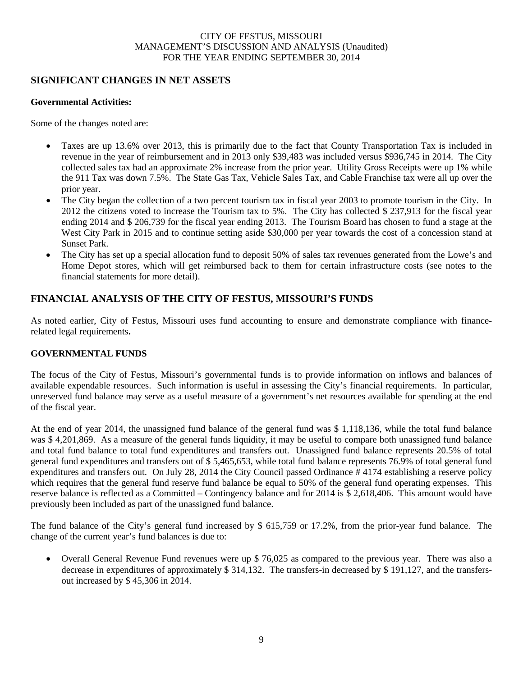## **SIGNIFICANT CHANGES IN NET ASSETS**

## **Governmental Activities:**

Some of the changes noted are:

- Taxes are up 13.6% over 2013, this is primarily due to the fact that County Transportation Tax is included in revenue in the year of reimbursement and in 2013 only \$39,483 was included versus \$936,745 in 2014. The City collected sales tax had an approximate 2% increase from the prior year. Utility Gross Receipts were up 1% while the 911 Tax was down 7.5%. The State Gas Tax, Vehicle Sales Tax, and Cable Franchise tax were all up over the prior year.
- The City began the collection of a two percent tourism tax in fiscal year 2003 to promote tourism in the City. In 2012 the citizens voted to increase the Tourism tax to 5%. The City has collected \$ 237,913 for the fiscal year ending 2014 and \$ 206,739 for the fiscal year ending 2013. The Tourism Board has chosen to fund a stage at the West City Park in 2015 and to continue setting aside \$30,000 per year towards the cost of a concession stand at Sunset Park.
- The City has set up a special allocation fund to deposit 50% of sales tax revenues generated from the Lowe's and Home Depot stores, which will get reimbursed back to them for certain infrastructure costs (see notes to the financial statements for more detail).

## **FINANCIAL ANALYSIS OF THE CITY OF FESTUS, MISSOURI'S FUNDS**

As noted earlier, City of Festus, Missouri uses fund accounting to ensure and demonstrate compliance with financerelated legal requirements**.**

## **GOVERNMENTAL FUNDS**

The focus of the City of Festus, Missouri's governmental funds is to provide information on inflows and balances of available expendable resources. Such information is useful in assessing the City's financial requirements. In particular, unreserved fund balance may serve as a useful measure of a government's net resources available for spending at the end of the fiscal year.

At the end of year 2014, the unassigned fund balance of the general fund was \$ 1,118,136, while the total fund balance was \$4,201,869. As a measure of the general funds liquidity, it may be useful to compare both unassigned fund balance and total fund balance to total fund expenditures and transfers out. Unassigned fund balance represents 20.5% of total general fund expenditures and transfers out of \$ 5,465,653, while total fund balance represents 76.9% of total general fund expenditures and transfers out. On July 28, 2014 the City Council passed Ordinance # 4174 establishing a reserve policy which requires that the general fund reserve fund balance be equal to 50% of the general fund operating expenses. This reserve balance is reflected as a Committed – Contingency balance and for 2014 is \$ 2,618,406. This amount would have previously been included as part of the unassigned fund balance.

The fund balance of the City's general fund increased by \$ 615,759 or 17.2%, from the prior-year fund balance. The change of the current year's fund balances is due to:

• Overall General Revenue Fund revenues were up \$ 76,025 as compared to the previous year. There was also a decrease in expenditures of approximately \$ 314,132. The transfers-in decreased by \$ 191,127, and the transfersout increased by \$ 45,306 in 2014.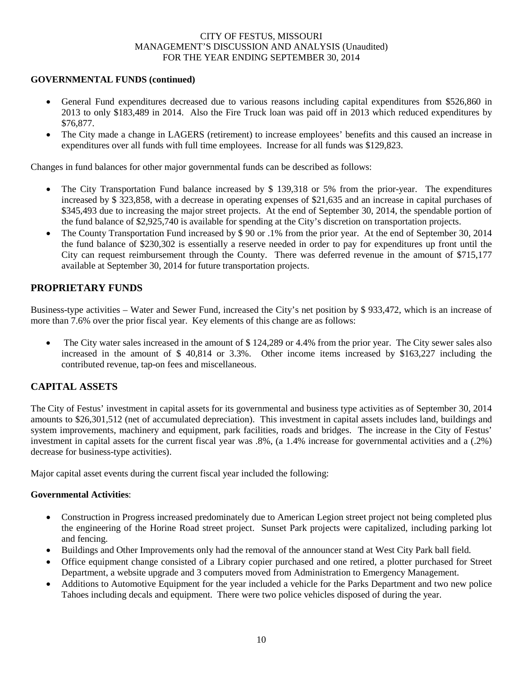## **GOVERNMENTAL FUNDS (continued)**

- General Fund expenditures decreased due to various reasons including capital expenditures from \$526,860 in 2013 to only \$183,489 in 2014. Also the Fire Truck loan was paid off in 2013 which reduced expenditures by \$76,877.
- The City made a change in LAGERS (retirement) to increase employees' benefits and this caused an increase in expenditures over all funds with full time employees. Increase for all funds was \$129,823.

Changes in fund balances for other major governmental funds can be described as follows:

- The City Transportation Fund balance increased by \$ 139,318 or 5% from the prior-year. The expenditures increased by \$ 323,858, with a decrease in operating expenses of \$21,635 and an increase in capital purchases of \$345,493 due to increasing the major street projects. At the end of September 30, 2014, the spendable portion of the fund balance of \$2,925,740 is available for spending at the City's discretion on transportation projects.
- The County Transportation Fund increased by \$90 or .1% from the prior year. At the end of September 30, 2014 the fund balance of \$230,302 is essentially a reserve needed in order to pay for expenditures up front until the City can request reimbursement through the County. There was deferred revenue in the amount of \$715,177 available at September 30, 2014 for future transportation projects.

## **PROPRIETARY FUNDS**

Business-type activities – Water and Sewer Fund, increased the City's net position by \$ 933,472, which is an increase of more than 7.6% over the prior fiscal year. Key elements of this change are as follows:

• The City water sales increased in the amount of \$124,289 or 4.4% from the prior year. The City sewer sales also increased in the amount of \$ 40,814 or 3.3%. Other income items increased by \$163,227 including the contributed revenue, tap-on fees and miscellaneous.

## **CAPITAL ASSETS**

The City of Festus' investment in capital assets for its governmental and business type activities as of September 30, 2014 amounts to \$26,301,512 (net of accumulated depreciation). This investment in capital assets includes land, buildings and system improvements, machinery and equipment, park facilities, roads and bridges. The increase in the City of Festus' investment in capital assets for the current fiscal year was .8%, (a 1.4% increase for governmental activities and a (.2%) decrease for business-type activities).

Major capital asset events during the current fiscal year included the following:

## **Governmental Activities**:

- Construction in Progress increased predominately due to American Legion street project not being completed plus the engineering of the Horine Road street project. Sunset Park projects were capitalized, including parking lot and fencing.
- Buildings and Other Improvements only had the removal of the announcer stand at West City Park ball field.
- Office equipment change consisted of a Library copier purchased and one retired, a plotter purchased for Street Department, a website upgrade and 3 computers moved from Administration to Emergency Management.
- Additions to Automotive Equipment for the year included a vehicle for the Parks Department and two new police Tahoes including decals and equipment. There were two police vehicles disposed of during the year.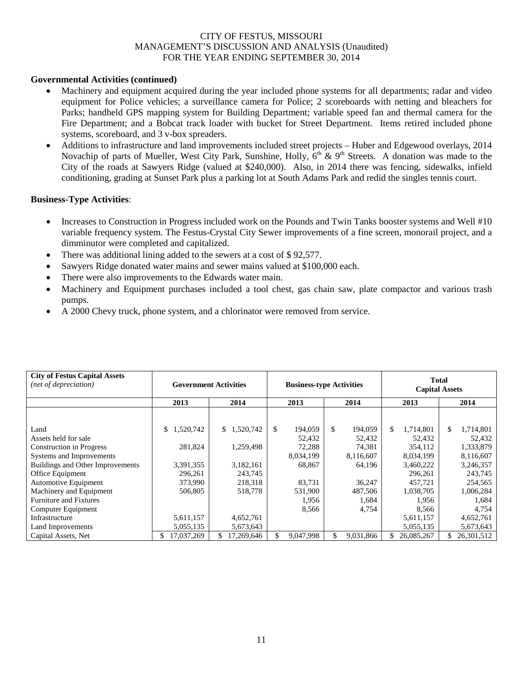## **Governmental Activities (continued)**

- Machinery and equipment acquired during the year included phone systems for all departments; radar and video equipment for Police vehicles; a surveillance camera for Police; 2 scoreboards with netting and bleachers for Parks; handheld GPS mapping system for Building Department; variable speed fan and thermal camera for the Fire Department; and a Bobcat track loader with bucket for Street Department. Items retired included phone systems, scoreboard, and 3 v-box spreaders.
- Additions to infrastructure and land improvements included street projects Huber and Edgewood overlays, 2014 Novachip of parts of Mueller, West City Park, Sunshine, Holly,  $6<sup>th</sup>$  & 9<sup>th</sup> Streets. A donation was made to the City of the roads at Sawyers Ridge (valued at \$240,000). Also, in 2014 there was fencing, sidewalks, infield conditioning, grading at Sunset Park plus a parking lot at South Adams Park and redid the singles tennis court.

### **Business-Type Activities**:

- Increases to Construction in Progress included work on the Pounds and Twin Tanks booster systems and Well #10 variable frequency system. The Festus-Crystal City Sewer improvements of a fine screen, monorail project, and a dimminutor were completed and capitalized.
- There was additional lining added to the sewers at a cost of \$92,577.
- Sawyers Ridge donated water mains and sewer mains valued at \$100,000 each.
- There were also improvements to the Edwards water main.
- Machinery and Equipment purchases included a tool chest, gas chain saw, plate compactor and various trash pumps.
- A 2000 Chevy truck, phone system, and a chlorinator were removed from service.

| <b>City of Festus Capital Assets</b><br>(net of depreciation) | <b>Government Activities</b> |                 | <b>Business-type Activities</b> |    |           | Total<br><b>Capital Assets</b> |            |    |            |
|---------------------------------------------------------------|------------------------------|-----------------|---------------------------------|----|-----------|--------------------------------|------------|----|------------|
|                                                               | 2013                         | 2014            | 2013                            |    | 2014      |                                | 2013       |    | 2014       |
|                                                               |                              |                 |                                 |    |           |                                |            |    |            |
| Land                                                          | 1,520,742<br>\$              | 1,520,742<br>\$ | \$<br>194,059                   | \$ | 194,059   | \$                             | 1.714.801  | \$ | 1,714,801  |
| Assets held for sale                                          |                              |                 | 52,432                          |    | 52,432    |                                | 52,432     |    | 52,432     |
| <b>Construction in Progress</b>                               | 281,824                      | 1,259,498       | 72,288                          |    | 74,381    |                                | 354,112    |    | 1,333,879  |
| Systems and Improvements                                      |                              |                 | 8,034,199                       |    | 8,116,607 |                                | 8,034,199  |    | 8,116,607  |
| Buildings and Other Improvements                              | 3,391,355                    | 3,182,161       | 68,867                          |    | 64,196    |                                | 3,460,222  |    | 3,246,357  |
| Office Equipment                                              | 296,261                      | 243,745         |                                 |    |           |                                | 296,261    |    | 243,745    |
| Automotive Equipment                                          | 373,990                      | 218,318         | 83.731                          |    | 36,247    |                                | 457.721    |    | 254,565    |
| Machinery and Equipment                                       | 506,805                      | 518,778         | 531,900                         |    | 487,506   |                                | 1,038,705  |    | 1,006,284  |
| <b>Furniture and Fixtures</b>                                 |                              |                 | 1,956                           |    | 1,684     |                                | 1,956      |    | 1,684      |
| Computer Equipment                                            |                              |                 | 8,566                           |    | 4,754     |                                | 8,566      |    | 4,754      |
| Infrastructure                                                | 5,611,157                    | 4,652,761       |                                 |    |           |                                | 5,611,157  |    | 4,652,761  |
| Land Improvements                                             | 5,055,135                    | 5,673,643       |                                 |    |           |                                | 5,055,135  |    | 5,673,643  |
| Capital Assets, Net                                           | 17,037,269<br>S              | 17,269,646      | 9,047,998                       |    | 9,031,866 |                                | 26,085,267 | \$ | 26,301,512 |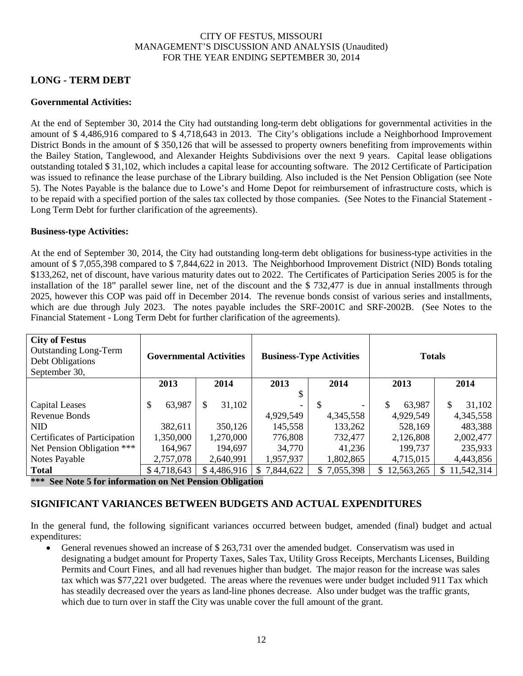## **LONG - TERM DEBT**

## **Governmental Activities:**

At the end of September 30, 2014 the City had outstanding long-term debt obligations for governmental activities in the amount of \$ 4,486,916 compared to \$ 4,718,643 in 2013. The City's obligations include a Neighborhood Improvement District Bonds in the amount of \$ 350,126 that will be assessed to property owners benefiting from improvements within the Bailey Station, Tanglewood, and Alexander Heights Subdivisions over the next 9 years. Capital lease obligations outstanding totaled \$ 31,102, which includes a capital lease for accounting software. The 2012 Certificate of Participation was issued to refinance the lease purchase of the Library building. Also included is the Net Pension Obligation (see Note 5). The Notes Payable is the balance due to Lowe's and Home Depot for reimbursement of infrastructure costs, which is to be repaid with a specified portion of the sales tax collected by those companies. (See Notes to the Financial Statement - Long Term Debt for further clarification of the agreements).

## **Business-type Activities:**

At the end of September 30, 2014, the City had outstanding long-term debt obligations for business-type activities in the amount of \$ 7,055,398 compared to \$ 7,844,622 in 2013. The Neighborhood Improvement District (NID) Bonds totaling \$133,262, net of discount, have various maturity dates out to 2022. The Certificates of Participation Series 2005 is for the installation of the 18" parallel sewer line, net of the discount and the \$ 732,477 is due in annual installments through 2025, however this COP was paid off in December 2014. The revenue bonds consist of various series and installments, which are due through July 2023. The notes payable includes the SRF-2001C and SRF-2002B. (See Notes to the Financial Statement - Long Term Debt for further clarification of the agreements).

| <b>City of Festus</b><br><b>Outstanding Long-Term</b><br>Debt Obligations<br>September 30, | <b>Governmental Activities</b> |              |                          | <b>Business-Type Activities</b> | <b>Totals</b>    |              |  |  |  |
|--------------------------------------------------------------------------------------------|--------------------------------|--------------|--------------------------|---------------------------------|------------------|--------------|--|--|--|
|                                                                                            | 2014<br>2013                   |              | 2013                     | 2014                            | 2013             | 2014         |  |  |  |
|                                                                                            |                                |              | \$                       |                                 |                  |              |  |  |  |
| Capital Leases                                                                             | \$<br>63,987                   | \$<br>31,102 | $\overline{\phantom{0}}$ | S<br>$\overline{\phantom{0}}$   | 63,987           | 31,102       |  |  |  |
| Revenue Bonds                                                                              |                                |              | 4,929,549                | 4,345,558                       | 4,929,549        | 4,345,558    |  |  |  |
| <b>NID</b>                                                                                 | 382,611                        | 350,126      | 145,558                  | 133,262                         | 528,169          | 483,388      |  |  |  |
| Certificates of Participation                                                              | 1,350,000                      | 1,270,000    | 776,808                  | 732,477                         | 2,126,808        | 2,002,477    |  |  |  |
| Net Pension Obligation ***                                                                 | 164,967                        | 194,697      | 34,770                   | 41,236                          | 199,737          | 235,933      |  |  |  |
| Notes Payable                                                                              | 2,757,078                      | 2,640,991    | 1,957,937                | 1,802,865                       | 4,715,015        | 4,443,856    |  |  |  |
| <b>Total</b>                                                                               | \$4,718,643                    | \$4,486,916  | 7,844,622<br>S.          | \$7,055,398                     | 12,563,265<br>S. | \$11,542,314 |  |  |  |
| <b>***</b> See Note 5 for information on Net Pension Obligation                            |                                |              |                          |                                 |                  |              |  |  |  |

## **SIGNIFICANT VARIANCES BETWEEN BUDGETS AND ACTUAL EXPENDITURES**

In the general fund, the following significant variances occurred between budget, amended (final) budget and actual expenditures:

General revenues showed an increase of \$263,731 over the amended budget. Conservatism was used in designating a budget amount for Property Taxes, Sales Tax, Utility Gross Receipts, Merchants Licenses, Building Permits and Court Fines, and all had revenues higher than budget. The major reason for the increase was sales tax which was \$77,221 over budgeted. The areas where the revenues were under budget included 911 Tax which has steadily decreased over the years as land-line phones decrease. Also under budget was the traffic grants, which due to turn over in staff the City was unable cover the full amount of the grant.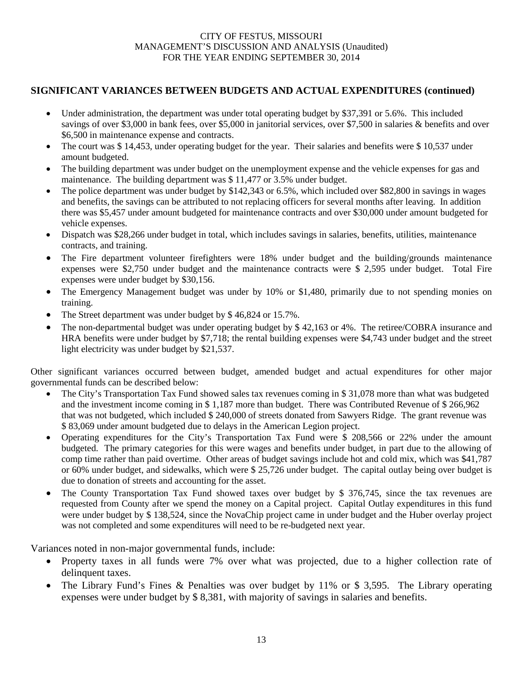## **SIGNIFICANT VARIANCES BETWEEN BUDGETS AND ACTUAL EXPENDITURES (continued)**

- Under administration, the department was under total operating budget by \$37,391 or 5.6%. This included savings of over \$3,000 in bank fees, over \$5,000 in janitorial services, over \$7,500 in salaries & benefits and over \$6,500 in maintenance expense and contracts.
- The court was \$14,453, under operating budget for the year. Their salaries and benefits were \$10,537 under amount budgeted.
- The building department was under budget on the unemployment expense and the vehicle expenses for gas and maintenance. The building department was \$ 11,477 or 3.5% under budget.
- The police department was under budget by \$142,343 or 6.5%, which included over \$82,800 in savings in wages and benefits, the savings can be attributed to not replacing officers for several months after leaving. In addition there was \$5,457 under amount budgeted for maintenance contracts and over \$30,000 under amount budgeted for vehicle expenses.
- Dispatch was \$28,266 under budget in total, which includes savings in salaries, benefits, utilities, maintenance contracts, and training.
- The Fire department volunteer firefighters were 18% under budget and the building/grounds maintenance expenses were \$2,750 under budget and the maintenance contracts were \$ 2,595 under budget. Total Fire expenses were under budget by \$30,156.
- The Emergency Management budget was under by 10% or \$1,480, primarily due to not spending monies on training.
- The Street department was under budget by \$46,824 or 15.7%.
- The non-departmental budget was under operating budget by \$42,163 or 4%. The retiree/COBRA insurance and HRA benefits were under budget by \$7,718; the rental building expenses were \$4,743 under budget and the street light electricity was under budget by \$21,537.

Other significant variances occurred between budget, amended budget and actual expenditures for other major governmental funds can be described below:

- The City's Transportation Tax Fund showed sales tax revenues coming in \$ 31,078 more than what was budgeted and the investment income coming in \$ 1,187 more than budget. There was Contributed Revenue of \$ 266,962 that was not budgeted, which included \$ 240,000 of streets donated from Sawyers Ridge. The grant revenue was \$ 83,069 under amount budgeted due to delays in the American Legion project.
- Operating expenditures for the City's Transportation Tax Fund were \$ 208,566 or 22% under the amount budgeted. The primary categories for this were wages and benefits under budget, in part due to the allowing of comp time rather than paid overtime. Other areas of budget savings include hot and cold mix, which was \$41,787 or 60% under budget, and sidewalks, which were \$ 25,726 under budget. The capital outlay being over budget is due to donation of streets and accounting for the asset.
- The County Transportation Tax Fund showed taxes over budget by \$ 376,745, since the tax revenues are requested from County after we spend the money on a Capital project. Capital Outlay expenditures in this fund were under budget by \$ 138,524, since the NovaChip project came in under budget and the Huber overlay project was not completed and some expenditures will need to be re-budgeted next year.

Variances noted in non-major governmental funds, include:

- Property taxes in all funds were 7% over what was projected, due to a higher collection rate of delinquent taxes.
- The Library Fund's Fines & Penalties was over budget by 11% or \$3,595. The Library operating expenses were under budget by \$ 8,381, with majority of savings in salaries and benefits.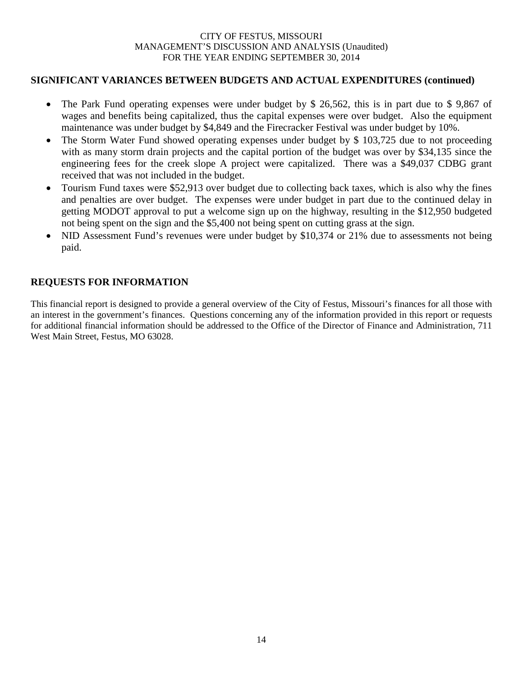## **SIGNIFICANT VARIANCES BETWEEN BUDGETS AND ACTUAL EXPENDITURES (continued)**

- The Park Fund operating expenses were under budget by \$ 26,562, this is in part due to \$ 9,867 of wages and benefits being capitalized, thus the capital expenses were over budget. Also the equipment maintenance was under budget by \$4,849 and the Firecracker Festival was under budget by 10%.
- The Storm Water Fund showed operating expenses under budget by \$ 103,725 due to not proceeding with as many storm drain projects and the capital portion of the budget was over by \$34,135 since the engineering fees for the creek slope A project were capitalized. There was a \$49,037 CDBG grant received that was not included in the budget.
- Tourism Fund taxes were \$52,913 over budget due to collecting back taxes, which is also why the fines and penalties are over budget. The expenses were under budget in part due to the continued delay in getting MODOT approval to put a welcome sign up on the highway, resulting in the \$12,950 budgeted not being spent on the sign and the \$5,400 not being spent on cutting grass at the sign.
- NID Assessment Fund's revenues were under budget by \$10,374 or 21% due to assessments not being paid.

## **REQUESTS FOR INFORMATION**

This financial report is designed to provide a general overview of the City of Festus, Missouri's finances for all those with an interest in the government's finances. Questions concerning any of the information provided in this report or requests for additional financial information should be addressed to the Office of the Director of Finance and Administration, 711 West Main Street, Festus, MO 63028.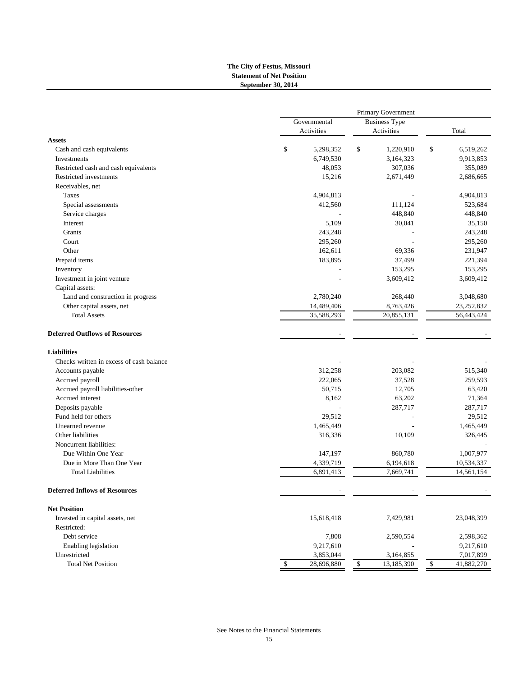### **The City of Festus, Missouri Statement of Net Position September 30, 2014**

|                                          |                            | Primary Government          |                             |
|------------------------------------------|----------------------------|-----------------------------|-----------------------------|
|                                          | Governmental               | <b>Business Type</b>        |                             |
|                                          | Activities                 | Activities                  | Total                       |
| <b>Assets</b>                            |                            |                             |                             |
| Cash and cash equivalents                | \$<br>5,298,352            | \$<br>1,220,910             | \$<br>6,519,262             |
| Investments                              | 6,749,530                  | 3,164,323                   | 9,913,853                   |
| Restricted cash and cash equivalents     | 48,053                     | 307,036                     | 355,089                     |
| Restricted investments                   | 15,216                     | 2,671,449                   | 2,686,665                   |
| Receivables, net                         |                            |                             |                             |
| Taxes                                    | 4,904,813                  |                             | 4,904,813                   |
| Special assessments                      | 412,560                    | 111,124                     | 523,684                     |
| Service charges                          |                            | 448,840                     | 448,840                     |
| Interest                                 | 5,109                      | 30,041                      | 35,150                      |
| Grants                                   | 243,248                    |                             | 243,248                     |
| Court                                    | 295,260                    |                             | 295,260                     |
| Other                                    | 162,611                    | 69,336                      | 231,947                     |
| Prepaid items                            | 183,895                    | 37,499                      | 221,394                     |
| Inventory                                |                            | 153,295                     | 153,295                     |
| Investment in joint venture              |                            | 3,609,412                   | 3,609,412                   |
| Capital assets:                          |                            |                             |                             |
| Land and construction in progress        | 2,780,240                  | 268,440                     | 3,048,680                   |
| Other capital assets, net                | 14,489,406                 | 8,763,426                   | 23, 252, 832                |
| <b>Total Assets</b>                      | 35,588,293                 | 20,855,131                  | 56,443,424                  |
| <b>Deferred Outflows of Resources</b>    |                            |                             |                             |
| <b>Liabilities</b>                       |                            |                             |                             |
| Checks written in excess of cash balance |                            |                             |                             |
| Accounts payable                         | 312,258                    | 203,082                     | 515,340                     |
| Accrued payroll                          | 222,065                    | 37,528                      | 259,593                     |
| Accrued payroll liabilities-other        | 50,715                     | 12,705                      | 63,420                      |
| Accrued interest                         | 8,162                      | 63,202                      | 71,364                      |
| Deposits payable                         |                            | 287,717                     | 287,717                     |
| Fund held for others                     | 29,512                     |                             | 29,512                      |
| Unearned revenue                         | 1,465,449                  |                             | 1,465,449                   |
| Other liabilities                        | 316,336                    | 10,109                      | 326,445                     |
| Noncurrent liabilities:                  |                            |                             |                             |
| Due Within One Year                      | 147,197                    | 860,780                     | 1,007,977                   |
| Due in More Than One Year                | 4,339,719                  | 6,194,618                   | 10,534,337                  |
| <b>Total Liabilities</b>                 | 6,891,413                  | 7,669,741                   | 14,561,154                  |
| <b>Deferred Inflows of Resources</b>     |                            |                             |                             |
|                                          |                            |                             |                             |
| <b>Net Position</b>                      |                            |                             |                             |
| Invested in capital assets, net          | 15,618,418                 | 7,429,981                   | 23,048,399                  |
| Restricted:                              |                            |                             |                             |
| Debt service                             | 7,808                      | 2,590,554                   | 2,598,362                   |
| Enabling legislation                     | 9,217,610                  |                             | 9,217,610                   |
| Unrestricted                             | 3,853,044                  | 3,164,855                   | 7,017,899                   |
| <b>Total Net Position</b>                | $\mathbb{S}$<br>28,696,880 | $\sqrt[6]{3}$<br>13,185,390 | $\sqrt[6]{3}$<br>41,882,270 |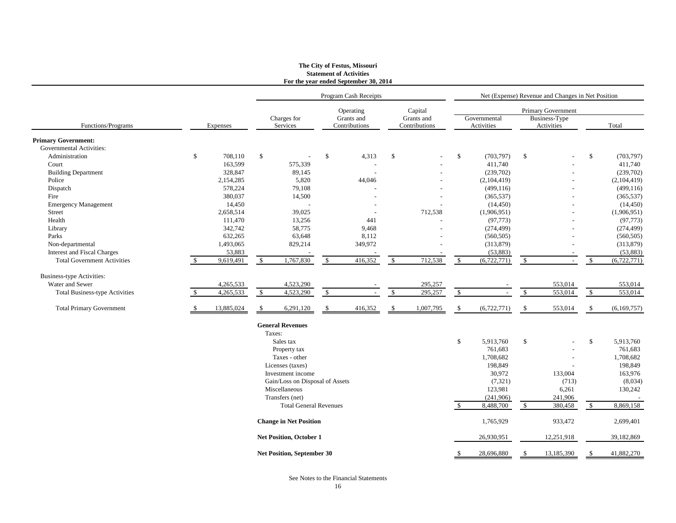|                                       |          |            |                                                                     |                                 |               | For the year ended September 30, 2014  |              |                            |              |                                                          |               |         |               |             |
|---------------------------------------|----------|------------|---------------------------------------------------------------------|---------------------------------|---------------|----------------------------------------|--------------|----------------------------|--------------|----------------------------------------------------------|---------------|---------|---------------|-------------|
|                                       |          |            |                                                                     |                                 |               | Program Cash Receipts                  |              |                            |              | Net (Expense) Revenue and Changes in Net Position        |               |         |               |             |
| Functions/Programs                    | Expenses |            | Operating<br>Charges for<br>Grants and<br>Services<br>Contributions |                                 |               | Capital<br>Grants and<br>Contributions |              | Governmental<br>Activities |              | Primary Government<br><b>Business-Type</b><br>Activities |               |         | Total         |             |
| <b>Primary Government:</b>            |          |            |                                                                     |                                 |               |                                        |              |                            |              |                                                          |               |         |               |             |
| Governmental Activities:              |          |            |                                                                     |                                 |               |                                        |              |                            |              |                                                          |               |         |               |             |
| Administration                        | \$       | 708,110    | \$                                                                  |                                 | \$            | 4,313                                  | \$           |                            | $\mathbb{S}$ | (703, 797)                                               | $\mathbb{S}$  |         | $\mathbb{S}$  | (703, 797)  |
| Court                                 |          | 163,599    |                                                                     | 575,339                         |               |                                        |              |                            |              | 411,740                                                  |               |         |               | 411,740     |
| <b>Building Department</b>            |          | 328,847    |                                                                     | 89,145                          |               |                                        |              |                            |              | (239,702)                                                |               |         |               | (239,702)   |
| Police                                |          | 2,154,285  |                                                                     | 5,820                           |               | 44,046                                 |              |                            |              | (2,104,419)                                              |               |         |               | (2,104,419) |
| Dispatch                              |          | 578,224    |                                                                     | 79,108                          |               |                                        |              |                            |              | (499, 116)                                               |               |         |               | (499, 116)  |
| Fire                                  |          | 380,037    |                                                                     | 14,500                          |               |                                        |              |                            |              | (365, 537)                                               |               |         |               | (365, 537)  |
| <b>Emergency Management</b>           |          | 14,450     |                                                                     |                                 |               |                                        |              |                            |              | (14, 450)                                                |               |         |               | (14, 450)   |
| Street                                |          | 2,658,514  |                                                                     | 39,025                          |               |                                        |              | 712,538                    |              | (1,906,951)                                              |               |         |               | (1,906,951) |
| Health                                |          | 111,470    |                                                                     | 13,256                          |               | 441                                    |              |                            |              | (97, 773)                                                |               |         |               | (97, 773)   |
| Library                               |          | 342,742    |                                                                     | 58,775                          |               | 9,468                                  |              |                            |              | (274, 499)                                               |               |         |               | (274, 499)  |
| Parks                                 |          | 632,265    |                                                                     | 63,648                          |               | 8,112                                  |              |                            |              | (560, 505)                                               |               |         |               | (560, 505)  |
| Non-departmental                      |          | 1,493,065  |                                                                     | 829,214                         |               | 349,972                                |              |                            |              | (313,879)                                                |               |         |               | (313,879)   |
| <b>Interest and Fiscal Charges</b>    |          | 53,883     |                                                                     |                                 |               |                                        |              |                            |              | (53,883)                                                 |               |         |               | (53, 883)   |
| <b>Total Government Activities</b>    |          | 9,619,491  | \$                                                                  | 1,767,830                       | <sup>\$</sup> | 416,352                                | $\mathbb{S}$ | 712,538                    | -S           | (6, 722, 771)                                            | \$            |         | - \$          | (6,722,771) |
| <b>Business-type Activities:</b>      |          |            |                                                                     |                                 |               |                                        |              |                            |              |                                                          |               |         |               |             |
| Water and Sewer                       |          | 4,265,533  |                                                                     | 4,523,290                       |               |                                        |              | 295,257                    |              |                                                          |               | 553,014 |               | 553,014     |
| <b>Total Business-type Activities</b> |          | 4,265,533  | $\mathbb{S}$                                                        | 4,523,290                       | $\mathbb{S}$  |                                        | $\mathbb{S}$ | 295,257                    | $\mathbb{S}$ |                                                          | $\mathbb{S}$  | 553,014 | $\frac{1}{2}$ | 553,014     |
| <b>Total Primary Government</b>       |          | 13,885,024 | -S                                                                  | 6,291,120                       | -8            | 416,352                                | -S           | 1,007,795                  | \$           | (6,722,771)                                              | $\frac{1}{2}$ | 553,014 | $\mathcal{S}$ | (6,169,757) |
|                                       |          |            |                                                                     | <b>General Revenues</b>         |               |                                        |              |                            |              |                                                          |               |         |               |             |
|                                       |          |            |                                                                     | Taxes:                          |               |                                        |              |                            |              |                                                          |               |         |               |             |
|                                       |          |            |                                                                     | Sales tax                       |               |                                        |              |                            | \$           | 5,913,760                                                | \$            |         | \$            | 5,913,760   |
|                                       |          |            |                                                                     | Property tax                    |               |                                        |              |                            |              | 761,683                                                  |               |         |               | 761,683     |
|                                       |          |            |                                                                     | Taxes - other                   |               |                                        |              |                            |              | 1,708,682                                                |               |         |               | 1,708,682   |
|                                       |          |            |                                                                     | Licenses (taxes)                |               |                                        |              |                            |              | 198,849                                                  |               |         |               | 198,849     |
|                                       |          |            |                                                                     | Investment income               |               |                                        |              |                            |              | 30,972                                                   |               | 133,004 |               | 163,976     |
|                                       |          |            |                                                                     | Gain/Loss on Disposal of Assets |               |                                        |              |                            |              | (7,321)                                                  |               | (713)   |               | (8,034)     |
|                                       |          |            |                                                                     | Miscellaneous                   |               |                                        |              |                            |              | 123,981                                                  |               | 6,261   |               | 130,242     |
|                                       |          |            |                                                                     | Transfers (net)                 |               |                                        |              |                            |              | (241,906)                                                |               | 241,906 |               |             |
|                                       |          |            |                                                                     | <b>Total General Revenues</b>   |               |                                        |              |                            | $\mathbf{s}$ | 8,488,700                                                | $\mathbb{S}$  | 380,458 | $\mathbb{S}$  | 8,869,158   |
|                                       |          |            |                                                                     | <b>Change in Net Position</b>   |               |                                        |              |                            |              | 1,765,929                                                |               | 933,472 |               | 2,699,401   |

## **The City of Festus, Missouri Statement of Activities**

See Notes to the Financial Statements

**Net Position, October 1** 26,930,951 12,251,918 39,182,869 **Net Position, September 30 8 28,696,880 8 13,185,390 8 41,882,270**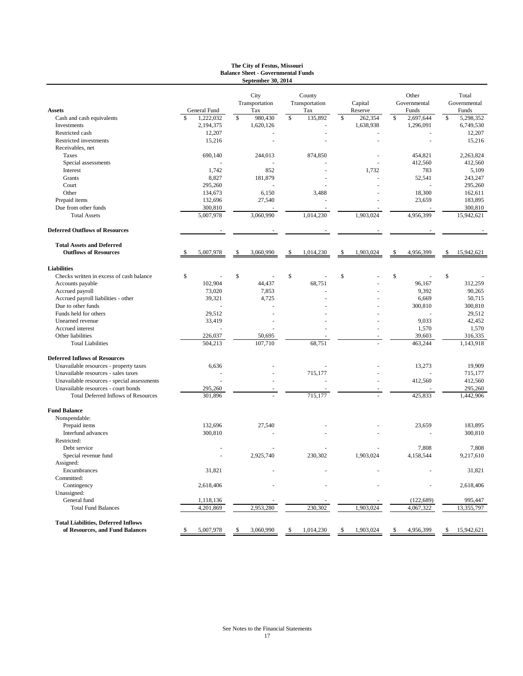#### **The City of Festus, Missouri Balance Sheet - Governmental Funds September 30, 2014**

|                                             |                    | City<br>Transportation | County<br>Transportation |             | Capital   | Other<br>Governmental |    | Total<br>Governmental |
|---------------------------------------------|--------------------|------------------------|--------------------------|-------------|-----------|-----------------------|----|-----------------------|
| <b>Assets</b>                               | General Fund       | Tax                    | Tax                      |             | Reserve   | Funds                 |    | Funds                 |
| Cash and cash equivalents                   | 1,222,032<br>\$.   | \$<br>980,430          | \$<br>135,892            | $\mathbf S$ | 262,354   | \$<br>2,697,644       | \$ | 5,298,352             |
| Investments                                 | 2,194,375          | 1,620,126              |                          |             | 1,638,938 | 1,296,091             |    | 6,749,530             |
| Restricted cash                             | 12,207             |                        |                          |             |           |                       |    | 12,207                |
| Restricted investments                      | 15,216             |                        |                          |             |           |                       |    | 15,216                |
| Receivables, net                            |                    |                        |                          |             |           |                       |    |                       |
| Taxes                                       | 690,140            | 244,013                | 874,850                  |             |           | 454,821               |    | 2,263,824             |
| Special assessments                         |                    |                        |                          |             |           | 412,560               |    | 412,560               |
| Interest                                    | 1,742              | 852                    |                          |             | 1,732     | 783                   |    | 5,109                 |
| Grants                                      | 8,827              | 181,879                |                          |             |           | 52,541                |    | 243,247               |
| Court                                       | 295,260            |                        |                          |             |           |                       |    | 295,260               |
| Other<br>Prepaid items                      | 134,673<br>132,696 | 6,150<br>27,540        | 3,488                    |             |           | 18,300<br>23,659      |    | 162,611<br>183,895    |
| Due from other funds                        | 300,810            |                        |                          |             |           |                       |    | 300,810               |
| <b>Total Assets</b>                         | 5,007,978          | 3,060,990              | 1,014,230                |             | 1,903,024 | 4,956,399             |    | 15,942,621            |
|                                             |                    |                        |                          |             |           |                       |    |                       |
| <b>Deferred Outflows of Resources</b>       |                    |                        |                          |             |           |                       |    |                       |
| <b>Total Assets and Deferred</b>            |                    |                        |                          |             |           |                       |    |                       |
| <b>Outflows of Resources</b>                | 5,007,978          | \$<br>3,060,990        | \$<br>1.014.230          | \$          | 1,903,024 | \$<br>4,956,399       | Ŝ  | 15,942,621            |
| <b>Liabilities</b>                          |                    |                        |                          |             |           |                       |    |                       |
| Checks written in excess of cash balance    | \$                 | \$                     | \$                       | \$          |           | \$                    | \$ |                       |
| Accounts payable                            | 102,904            | 44,437                 | 68,751                   |             |           | 96,167                |    | 312,259               |
| Accrued payroll                             | 73,020             | 7,853                  |                          |             |           | 9,392                 |    | 90,265                |
| Accrued payroll liabilities - other         | 39,321             | 4,725                  |                          |             |           | 6,669                 |    | 50,715                |
| Due to other funds                          |                    |                        |                          |             |           | 300,810               |    | 300,810               |
| Funds held for others                       | 29,512             |                        |                          |             |           |                       |    | 29,512                |
| Unearned revenue                            | 33,419             |                        |                          |             |           | 9,033                 |    | 42,452                |
| Accrued interest                            |                    |                        |                          |             |           | 1,570                 |    | 1,570                 |
| Other liabilities                           | 226,037            | 50,695                 |                          |             |           | 39,603                |    | 316,335               |
| <b>Total Liabilities</b>                    | 504,213            | 107,710                | 68,751                   |             |           | 463,244               |    | 1,143,918             |
| <b>Deferred Inflows of Resources</b>        |                    |                        |                          |             |           |                       |    |                       |
| Unavailable resources - property taxes      | 6,636              |                        |                          |             |           | 13,273                |    | 19,909                |
| Unavailable resources - sales taxes         |                    |                        | 715,177                  |             |           |                       |    | 715,177               |
| Unavailable resources - special assessments |                    |                        |                          |             |           | 412,560               |    | 412,560               |
| Unavailable resources - court bonds         | 295,260            |                        |                          |             |           |                       |    | 295,260               |
| <b>Total Deferred Inflows of Resources</b>  | 301,896            |                        | 715,177                  |             |           | 425,833               |    | 1,442,906             |
| <b>Fund Balance</b><br>Nonspendable:        |                    |                        |                          |             |           |                       |    |                       |
| Prepaid items                               | 132,696            | 27,540                 |                          |             |           | 23,659                |    | 183,895               |
| Interfund advances                          | 300,810            |                        |                          |             |           |                       |    | 300,810               |
| Restricted:                                 |                    |                        |                          |             |           |                       |    |                       |
| Debt service                                |                    |                        |                          |             |           | 7,808                 |    | 7,808                 |
| Special revenue fund                        |                    | 2,925,740              | 230,302                  |             | 1,903,024 | 4,158,544             |    | 9.217.610             |
| Assigned:                                   |                    |                        |                          |             |           |                       |    |                       |
| Encumbrances                                | 31,821             |                        |                          |             |           |                       |    | 31,821                |
| Committed:                                  |                    |                        |                          |             |           |                       |    |                       |
| Contingency                                 | 2,618,406          |                        |                          |             |           | ÷                     |    | 2,618,406             |
| Unassigned:                                 |                    |                        |                          |             |           |                       |    |                       |
| General fund                                | 1,118,136          |                        |                          |             |           | (122, 689)            |    | 995,447               |
| <b>Total Fund Balances</b>                  | 4,201,869          | 2,953,280              | 230,302                  |             | 1.903.024 | 4,067,322             |    | 13,355,797            |
| <b>Total Liabilities, Deferred Inflows</b>  |                    |                        |                          |             |           |                       |    |                       |
| of Resources, and Fund Balances             | 5,007,978<br>\$    | \$<br>3,060,990        | \$<br>1,014,230          | \$          | 1,903,024 | \$<br>4,956,399       |    | \$15,942,621          |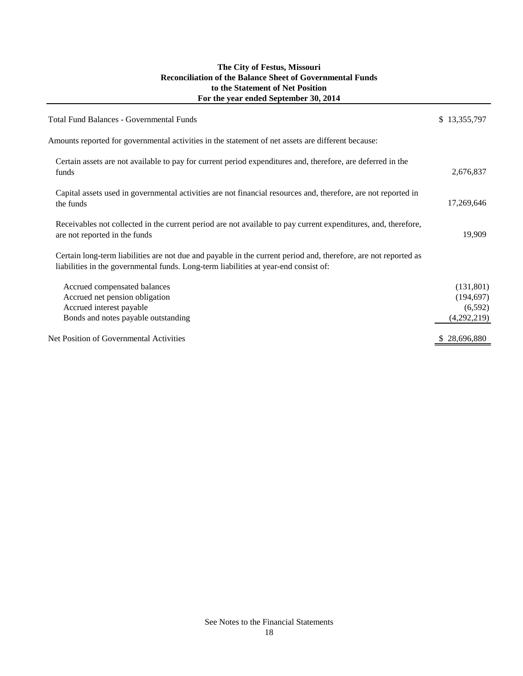## **The City of Festus, Missouri Reconciliation of the Balance Sheet of Governmental Funds to the Statement of Net Position For the year ended September 30, 2014**

| <b>Total Fund Balances - Governmental Funds</b>                                                                                                                                                         | \$13,355,797 |
|---------------------------------------------------------------------------------------------------------------------------------------------------------------------------------------------------------|--------------|
| Amounts reported for governmental activities in the statement of net assets are different because:                                                                                                      |              |
| Certain assets are not available to pay for current period expenditures and, therefore, are deferred in the<br>funds                                                                                    | 2,676,837    |
| Capital assets used in governmental activities are not financial resources and, therefore, are not reported in<br>the funds                                                                             | 17,269,646   |
| Receivables not collected in the current period are not available to pay current expenditures, and, therefore,<br>are not reported in the funds                                                         | 19,909       |
| Certain long-term liabilities are not due and payable in the current period and, therefore, are not reported as<br>liabilities in the governmental funds. Long-term liabilities at year-end consist of: |              |
| Accrued compensated balances                                                                                                                                                                            | (131, 801)   |
| Accrued net pension obligation                                                                                                                                                                          | (194, 697)   |
| Accrued interest payable                                                                                                                                                                                | (6, 592)     |
| Bonds and notes payable outstanding                                                                                                                                                                     | (4,292,219)  |
| Net Position of Governmental Activities                                                                                                                                                                 | \$28,696,880 |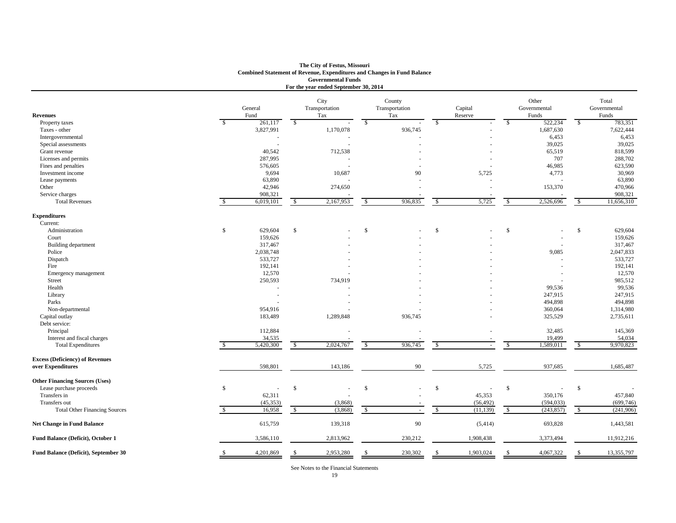|                                        |                            | Ful the year enued september 50, 2014 |                                 |                            |                                 |                                |
|----------------------------------------|----------------------------|---------------------------------------|---------------------------------|----------------------------|---------------------------------|--------------------------------|
| <b>Revenues</b>                        | General<br>Fund            | City<br>Transportation<br>Tax         | County<br>Transportation<br>Tax | Capital<br>Reserve         | Other<br>Governmental<br>Funds  | Total<br>Governmental<br>Funds |
| Property taxes                         | $\mathcal{S}$<br>261,117   | $\mathbb{S}$                          | $\mathbf{s}$                    | $\mathcal{S}$              | $\sqrt{3}$<br>522,234           | $\mathbf{s}$<br>783,351        |
| Taxes - other                          | 3,827,991                  | 1,170,078                             | 936,745                         |                            | 1,687,630                       | 7,622,444                      |
| Intergovernmental                      | $\overline{\phantom{a}}$   |                                       |                                 |                            | 6,453                           | 6,453                          |
| Special assessments                    | $\sim$                     |                                       |                                 |                            | 39,025                          | 39,025                         |
| Grant revenue                          | 40,542                     | 712,538                               |                                 |                            | 65,519                          | 818,599                        |
| Licenses and permits                   | 287,995                    |                                       |                                 |                            | 707                             | 288,702                        |
| Fines and penalties                    | 576,605                    |                                       |                                 |                            | 46,985                          | 623,590                        |
| Investment income                      | 9,694                      | 10,687                                | 90                              | 5,725                      | 4,773                           | 30,969                         |
| Lease payments                         | 63,890                     |                                       |                                 |                            |                                 | 63,890                         |
| Other                                  | 42,946                     | 274,650                               |                                 |                            | 153,370                         | 470,966                        |
| Service charges                        | 908,321                    |                                       |                                 |                            |                                 | 908,321                        |
| <b>Total Revenues</b>                  | $\mathbb{S}$<br>6,019,101  | 2,167,953<br>\$                       | 936,835<br>\$                   | 5,725<br>\$                | 2,526,696<br>$\mathbb{S}$       | 11,656,310<br>\$               |
| <b>Expenditures</b>                    |                            |                                       |                                 |                            |                                 |                                |
| Current:                               |                            |                                       |                                 |                            |                                 |                                |
| Administration                         | \$<br>629,604              | \$                                    | \$                              | $\mathcal{S}$              | $\mathbf{\hat{S}}$              | $\mathbb{S}$<br>629,604        |
| Court                                  | 159,626                    |                                       |                                 |                            |                                 | 159,626                        |
| Building department                    | 317,467                    |                                       |                                 |                            |                                 | 317,467                        |
| Police                                 | 2,038,748                  |                                       |                                 |                            | 9,085                           | 2,047,833                      |
| Dispatch                               | 533,727                    |                                       |                                 |                            |                                 | 533,727                        |
| Fire                                   | 192,141                    |                                       |                                 |                            |                                 | 192,141                        |
| Emergency management                   | 12,570                     |                                       |                                 |                            |                                 | 12,570                         |
| Street                                 | 250,593                    | 734,919                               |                                 |                            |                                 | 985,512                        |
| Health                                 |                            |                                       |                                 |                            | 99,536                          | 99,536                         |
| Library                                |                            |                                       |                                 |                            | 247,915                         | 247,915                        |
| Parks                                  |                            |                                       |                                 |                            | 494,898                         | 494,898                        |
| Non-departmental                       | 954,916                    |                                       |                                 |                            | 360,064                         | 1,314,980                      |
| Capital outlay                         | 183,489                    | 1,289,848                             | 936,745                         |                            | 325,529                         | 2,735,611                      |
| Debt service:                          |                            |                                       |                                 |                            |                                 |                                |
| Principal                              | 112,884                    |                                       |                                 |                            | 32,485                          | 145,369                        |
| Interest and fiscal charges            | 34,535                     |                                       |                                 |                            | 19,499                          | 54,034                         |
| <b>Total Expenditures</b>              | 5,420,300<br>$\mathcal{S}$ | 2,024,767<br><sup>\$</sup>            | 936,745<br><sup>\$</sup>        | \$<br>$\sim$               | 1,589,011<br>$\mathbf{\hat{S}}$ | 9,970,823<br>\$                |
| <b>Excess (Deficiency) of Revenues</b> |                            |                                       |                                 |                            |                                 |                                |
| over Expenditures                      | 598,801                    | 143,186                               | 90                              | 5,725                      | 937,685                         | 1,685,487                      |
| <b>Other Financing Sources (Uses)</b>  |                            |                                       |                                 |                            |                                 |                                |
| Lease purchase proceeds                | \$                         | \$<br>÷,                              | \$                              | \$                         | $\mathbb{S}$                    | \$                             |
| Transfers in                           | 62,311                     |                                       |                                 | 45,353                     | 350,176                         | 457,840                        |
| Transfers out                          | (45, 353)                  | (3,868)                               |                                 | (56, 492)                  | (594, 033)                      | (699, 746)                     |
| <b>Total Other Financing Sources</b>   | 16,958<br>$\mathcal{S}$    | (3,868)<br>S.                         | <sup>\$</sup>                   | (11, 139)<br><sup>\$</sup> | (243, 857)<br><sup>\$</sup>     | (241,906)<br>\$                |
| <b>Net Change in Fund Balance</b>      | 615,759                    | 139,318                               | 90                              | (5, 414)                   | 693,828                         | 1,443,581                      |
| Fund Balance (Deficit), October 1      | 3,586,110                  | 2,813,962                             | 230,212                         | 1,908,438                  | 3,373,494                       | 11,912,216                     |
| Fund Balance (Deficit), September 30   | 4,201,869                  | 2,953,280                             | 230,302                         | 1,903,024                  | 4,067,322                       | 13,355,797                     |

#### **The City of Festus, Missouri Combined Statement of Revenue, Expenditures and Changes in Fund Balance Governmental Funds For the year ended September 30, 2014**

See Notes to the Financial Statements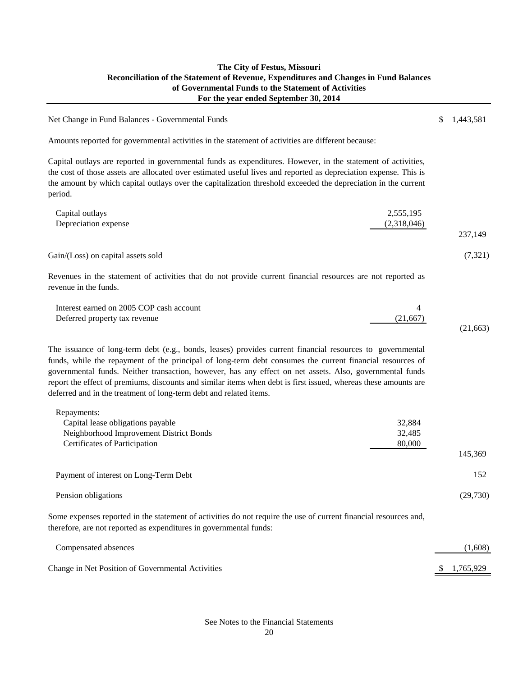### **The City of Festus, Missouri Reconciliation of the Statement of Revenue, Expenditures and Changes in Fund Balances of Governmental Funds to the Statement of Activities For the year ended September 30, 2014**

\$ 1,443,581

Net Change in Fund Balances - Governmental Funds

Amounts reported for governmental activities in the statement of activities are different because:

Capital outlays are reported in governmental funds as expenditures. However, in the statement of activities, the cost of those assets are allocated over estimated useful lives and reported as depreciation expense. This is the amount by which capital outlays over the capitalization threshold exceeded the depreciation in the current period.

| Capital outlays                    | 2,555,195   |
|------------------------------------|-------------|
| Depreciation expense               | (2,318,046) |
|                                    | 237,149     |
| Gain/(Loss) on capital assets sold | (7, 321)    |

Revenues in the statement of activities that do not provide current financial resources are not reported as revenue in the funds.

| Interest earned on 2005 COP cash account |          |
|------------------------------------------|----------|
| Deferred property tax revenue            | (21,667) |
|                                          | (21,663) |

The issuance of long-term debt (e.g., bonds, leases) provides current financial resources to governmental funds, while the repayment of the principal of long-term debt consumes the current financial resources of governmental funds. Neither transaction, however, has any effect on net assets. Also, governmental funds report the effect of premiums, discounts and similar items when debt is first issued, whereas these amounts are deferred and in the treatment of long-term debt and related items.

| Repayments:                                                                                                                                                                            |          |
|----------------------------------------------------------------------------------------------------------------------------------------------------------------------------------------|----------|
| Capital lease obligations payable                                                                                                                                                      | 32,884   |
| Neighborhood Improvement District Bonds                                                                                                                                                | 32,485   |
| Certificates of Participation                                                                                                                                                          | 80,000   |
|                                                                                                                                                                                        | 145,369  |
| Payment of interest on Long-Term Debt                                                                                                                                                  | 152      |
| Pension obligations                                                                                                                                                                    | (29,730) |
| Some expenses reported in the statement of activities do not require the use of current financial resources and,<br>therefore, are not reported as expenditures in governmental funds: |          |

| Compensated absences                              | (1,608)     |
|---------------------------------------------------|-------------|
| Change in Net Position of Governmental Activities | \$1,765,929 |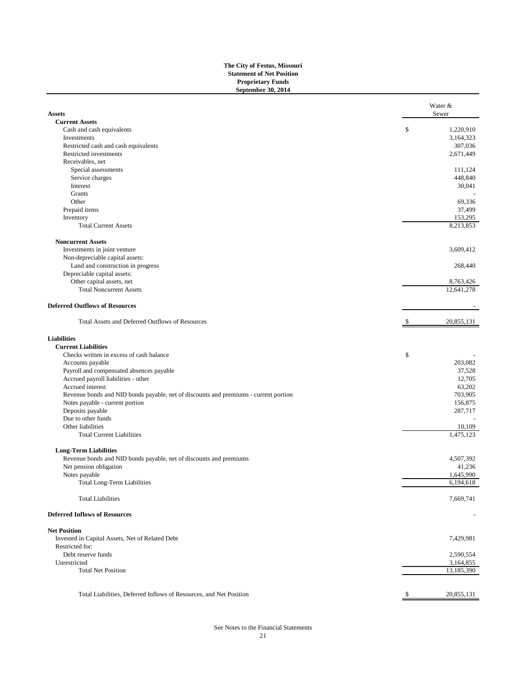#### **The City of Festus, Missouri Statement of Net Position Proprietary Funds September 30, 2014**

| <b>Assets</b>                                                                        | Water &<br>Sewer |
|--------------------------------------------------------------------------------------|------------------|
| <b>Current Assets</b>                                                                |                  |
| Cash and cash equivalents                                                            | \$<br>1,220,910  |
| Investments                                                                          | 3,164,323        |
| Restricted cash and cash equivalents                                                 | 307,036          |
| Restricted investments                                                               | 2,671,449        |
| Receivables, net                                                                     |                  |
| Special assessments                                                                  | 111,124          |
| Service charges                                                                      | 448,840          |
| Interest                                                                             | 30,041           |
| Grants                                                                               |                  |
| Other                                                                                | 69,336           |
| Prepaid items                                                                        | 37,499           |
|                                                                                      | 153,295          |
| Inventory                                                                            |                  |
| <b>Total Current Assets</b>                                                          | 8,213,853        |
| <b>Noncurrent Assets</b>                                                             |                  |
| Investments in joint venture                                                         | 3,609,412        |
| Non-depreciable capital assets:                                                      |                  |
| Land and construction in progress                                                    | 268,440          |
| Depreciable capital assets:                                                          |                  |
| Other capital assets, net                                                            | 8,763,426        |
| <b>Total Noncurrent Assets</b>                                                       | 12,641,278       |
| <b>Deferred Outflows of Resources</b>                                                |                  |
| Total Assets and Deferred Outflows of Resources                                      | 20,855,131       |
| <b>Liabilities</b>                                                                   |                  |
| <b>Current Liabilities</b>                                                           |                  |
| Checks written in excess of cash balance                                             | \$               |
| Accounts payable                                                                     | 203,082          |
| Payroll and compensated absences payable                                             | 37,528           |
| Accrued payroll liabilities - other                                                  | 12,705           |
| Accrued interest                                                                     | 63,202           |
| Revenue bonds and NID bonds payable, net of discounts and premiums - current portion | 703,905          |
| Notes payable - current portion                                                      | 156,875          |
| Deposits payable                                                                     | 287,717          |
| Due to other funds                                                                   |                  |
|                                                                                      |                  |
| Other liabilities                                                                    | 10,109           |
| <b>Total Current Liabilities</b>                                                     | 1,475,123        |
| <b>Long-Term Liabilities</b>                                                         |                  |
| Revenue bonds and NID bonds payable, net of discounts and premiums                   | 4,507,392        |
| Net pension obligation                                                               | 41,236           |
| Notes payable                                                                        | 1,645,990        |
| <b>Total Long-Term Liabilities</b>                                                   | 6,194,618        |
| <b>Total Liabilities</b>                                                             | 7,669,741        |
| <b>Deferred Inflows of Resources</b>                                                 |                  |
| <b>Net Position</b>                                                                  |                  |
| Invested in Capital Assets, Net of Related Debt                                      | 7,429,981        |
| Restricted for:                                                                      |                  |
| Debt reserve funds                                                                   | 2,590,554        |
| Unrestricted                                                                         | 3,164,855        |
| <b>Total Net Position</b>                                                            | 13,185,390       |
|                                                                                      |                  |
| Total Liabilities, Deferred Inflows of Resources, and Net Position                   | \$<br>20,855,131 |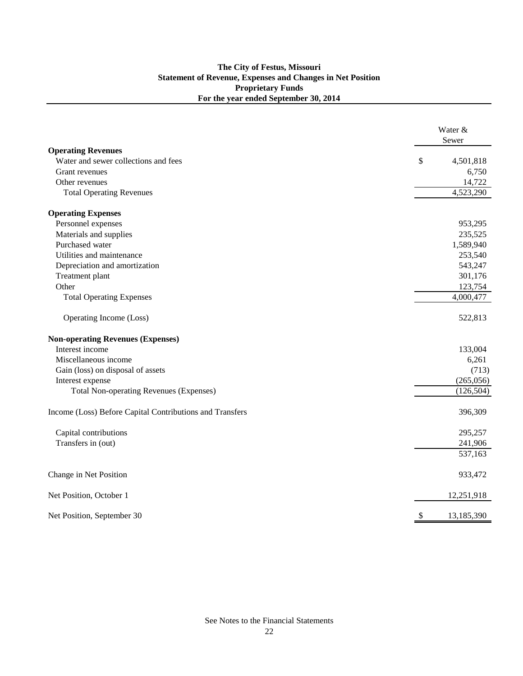|                                                          | Water &<br>Sewer |
|----------------------------------------------------------|------------------|
| <b>Operating Revenues</b>                                |                  |
| Water and sewer collections and fees                     | \$<br>4,501,818  |
| Grant revenues                                           | 6,750            |
| Other revenues                                           | 14,722           |
| <b>Total Operating Revenues</b>                          | 4,523,290        |
| <b>Operating Expenses</b>                                |                  |
| Personnel expenses                                       | 953,295          |
| Materials and supplies                                   | 235,525          |
| Purchased water                                          | 1,589,940        |
| Utilities and maintenance                                | 253,540          |
| Depreciation and amortization                            | 543,247          |
| Treatment plant                                          | 301,176          |
| Other                                                    | 123,754          |
| <b>Total Operating Expenses</b>                          | 4,000,477        |
| Operating Income (Loss)                                  | 522,813          |
| <b>Non-operating Revenues (Expenses)</b>                 |                  |
| Interest income                                          | 133,004          |
| Miscellaneous income                                     | 6,261            |
| Gain (loss) on disposal of assets                        | (713)            |
| Interest expense                                         | (265,056)        |
| <b>Total Non-operating Revenues (Expenses)</b>           | (126, 504)       |
| Income (Loss) Before Capital Contributions and Transfers | 396,309          |
| Capital contributions                                    | 295,257          |
| Transfers in (out)                                       | 241,906          |
|                                                          | 537,163          |
| Change in Net Position                                   | 933,472          |
| Net Position, October 1                                  | 12,251,918       |
| Net Position, September 30                               | \$<br>13,185,390 |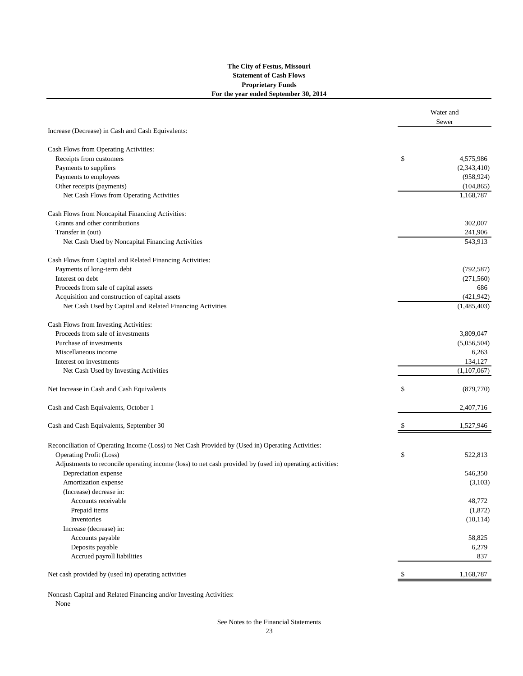### **The City of Festus, Missouri Statement of Cash Flows Proprietary Funds For the year ended September 30, 2014**

| Sewer<br>Increase (Decrease) in Cash and Cash Equivalents:<br>Cash Flows from Operating Activities:<br>Receipts from customers<br>\$<br>4,575,986<br>Payments to suppliers<br>(2,343,410)<br>Payments to employees<br>(958, 924)<br>Other receipts (payments)<br>(104, 865)<br>Net Cash Flows from Operating Activities<br>1,168,787<br>Cash Flows from Noncapital Financing Activities:<br>Grants and other contributions<br>302,007<br>Transfer in (out)<br>241,906<br>543,913<br>Net Cash Used by Noncapital Financing Activities<br>Cash Flows from Capital and Related Financing Activities:<br>Payments of long-term debt<br>(792, 587)<br>Interest on debt<br>(271, 560)<br>Proceeds from sale of capital assets<br>686<br>Acquisition and construction of capital assets<br>(421, 942)<br>Net Cash Used by Capital and Related Financing Activities<br>(1,485,403)<br>Cash Flows from Investing Activities:<br>Proceeds from sale of investments<br>3,809,047<br>Purchase of investments<br>(5,056,504)<br>Miscellaneous income<br>6,263<br>134,127<br>Interest on investments<br>Net Cash Used by Investing Activities<br>(1,107,067)<br>\$<br>Net Increase in Cash and Cash Equivalents<br>(879,770)<br>2,407,716<br>Cash and Cash Equivalents, October 1<br>1,527,946<br>Cash and Cash Equivalents, September 30<br>Reconciliation of Operating Income (Loss) to Net Cash Provided by (Used in) Operating Activities:<br><b>Operating Profit (Loss)</b><br>\$<br>522,813<br>Adjustments to reconcile operating income (loss) to net cash provided by (used in) operating activities:<br>Depreciation expense<br>546,350<br>Amortization expense<br>(3,103)<br>(Increase) decrease in:<br>48,772<br>Accounts receivable<br>Prepaid items<br>(1,872)<br>Inventories<br>(10, 114)<br>Increase (decrease) in:<br>Accounts payable<br>58,825<br>Deposits payable<br>6,279<br>Accrued payroll liabilities<br>837<br>Net cash provided by (used in) operating activities<br>1,168,787 | Water and |  |
|-------------------------------------------------------------------------------------------------------------------------------------------------------------------------------------------------------------------------------------------------------------------------------------------------------------------------------------------------------------------------------------------------------------------------------------------------------------------------------------------------------------------------------------------------------------------------------------------------------------------------------------------------------------------------------------------------------------------------------------------------------------------------------------------------------------------------------------------------------------------------------------------------------------------------------------------------------------------------------------------------------------------------------------------------------------------------------------------------------------------------------------------------------------------------------------------------------------------------------------------------------------------------------------------------------------------------------------------------------------------------------------------------------------------------------------------------------------------------------------------------------------------------------------------------------------------------------------------------------------------------------------------------------------------------------------------------------------------------------------------------------------------------------------------------------------------------------------------------------------------------------------------------------------------------------------------------------------------------------------------|-----------|--|
|                                                                                                                                                                                                                                                                                                                                                                                                                                                                                                                                                                                                                                                                                                                                                                                                                                                                                                                                                                                                                                                                                                                                                                                                                                                                                                                                                                                                                                                                                                                                                                                                                                                                                                                                                                                                                                                                                                                                                                                           |           |  |
|                                                                                                                                                                                                                                                                                                                                                                                                                                                                                                                                                                                                                                                                                                                                                                                                                                                                                                                                                                                                                                                                                                                                                                                                                                                                                                                                                                                                                                                                                                                                                                                                                                                                                                                                                                                                                                                                                                                                                                                           |           |  |
|                                                                                                                                                                                                                                                                                                                                                                                                                                                                                                                                                                                                                                                                                                                                                                                                                                                                                                                                                                                                                                                                                                                                                                                                                                                                                                                                                                                                                                                                                                                                                                                                                                                                                                                                                                                                                                                                                                                                                                                           |           |  |
|                                                                                                                                                                                                                                                                                                                                                                                                                                                                                                                                                                                                                                                                                                                                                                                                                                                                                                                                                                                                                                                                                                                                                                                                                                                                                                                                                                                                                                                                                                                                                                                                                                                                                                                                                                                                                                                                                                                                                                                           |           |  |
|                                                                                                                                                                                                                                                                                                                                                                                                                                                                                                                                                                                                                                                                                                                                                                                                                                                                                                                                                                                                                                                                                                                                                                                                                                                                                                                                                                                                                                                                                                                                                                                                                                                                                                                                                                                                                                                                                                                                                                                           |           |  |
|                                                                                                                                                                                                                                                                                                                                                                                                                                                                                                                                                                                                                                                                                                                                                                                                                                                                                                                                                                                                                                                                                                                                                                                                                                                                                                                                                                                                                                                                                                                                                                                                                                                                                                                                                                                                                                                                                                                                                                                           |           |  |
|                                                                                                                                                                                                                                                                                                                                                                                                                                                                                                                                                                                                                                                                                                                                                                                                                                                                                                                                                                                                                                                                                                                                                                                                                                                                                                                                                                                                                                                                                                                                                                                                                                                                                                                                                                                                                                                                                                                                                                                           |           |  |
|                                                                                                                                                                                                                                                                                                                                                                                                                                                                                                                                                                                                                                                                                                                                                                                                                                                                                                                                                                                                                                                                                                                                                                                                                                                                                                                                                                                                                                                                                                                                                                                                                                                                                                                                                                                                                                                                                                                                                                                           |           |  |
|                                                                                                                                                                                                                                                                                                                                                                                                                                                                                                                                                                                                                                                                                                                                                                                                                                                                                                                                                                                                                                                                                                                                                                                                                                                                                                                                                                                                                                                                                                                                                                                                                                                                                                                                                                                                                                                                                                                                                                                           |           |  |
|                                                                                                                                                                                                                                                                                                                                                                                                                                                                                                                                                                                                                                                                                                                                                                                                                                                                                                                                                                                                                                                                                                                                                                                                                                                                                                                                                                                                                                                                                                                                                                                                                                                                                                                                                                                                                                                                                                                                                                                           |           |  |
|                                                                                                                                                                                                                                                                                                                                                                                                                                                                                                                                                                                                                                                                                                                                                                                                                                                                                                                                                                                                                                                                                                                                                                                                                                                                                                                                                                                                                                                                                                                                                                                                                                                                                                                                                                                                                                                                                                                                                                                           |           |  |
|                                                                                                                                                                                                                                                                                                                                                                                                                                                                                                                                                                                                                                                                                                                                                                                                                                                                                                                                                                                                                                                                                                                                                                                                                                                                                                                                                                                                                                                                                                                                                                                                                                                                                                                                                                                                                                                                                                                                                                                           |           |  |
|                                                                                                                                                                                                                                                                                                                                                                                                                                                                                                                                                                                                                                                                                                                                                                                                                                                                                                                                                                                                                                                                                                                                                                                                                                                                                                                                                                                                                                                                                                                                                                                                                                                                                                                                                                                                                                                                                                                                                                                           |           |  |
|                                                                                                                                                                                                                                                                                                                                                                                                                                                                                                                                                                                                                                                                                                                                                                                                                                                                                                                                                                                                                                                                                                                                                                                                                                                                                                                                                                                                                                                                                                                                                                                                                                                                                                                                                                                                                                                                                                                                                                                           |           |  |
|                                                                                                                                                                                                                                                                                                                                                                                                                                                                                                                                                                                                                                                                                                                                                                                                                                                                                                                                                                                                                                                                                                                                                                                                                                                                                                                                                                                                                                                                                                                                                                                                                                                                                                                                                                                                                                                                                                                                                                                           |           |  |
|                                                                                                                                                                                                                                                                                                                                                                                                                                                                                                                                                                                                                                                                                                                                                                                                                                                                                                                                                                                                                                                                                                                                                                                                                                                                                                                                                                                                                                                                                                                                                                                                                                                                                                                                                                                                                                                                                                                                                                                           |           |  |
|                                                                                                                                                                                                                                                                                                                                                                                                                                                                                                                                                                                                                                                                                                                                                                                                                                                                                                                                                                                                                                                                                                                                                                                                                                                                                                                                                                                                                                                                                                                                                                                                                                                                                                                                                                                                                                                                                                                                                                                           |           |  |
|                                                                                                                                                                                                                                                                                                                                                                                                                                                                                                                                                                                                                                                                                                                                                                                                                                                                                                                                                                                                                                                                                                                                                                                                                                                                                                                                                                                                                                                                                                                                                                                                                                                                                                                                                                                                                                                                                                                                                                                           |           |  |
|                                                                                                                                                                                                                                                                                                                                                                                                                                                                                                                                                                                                                                                                                                                                                                                                                                                                                                                                                                                                                                                                                                                                                                                                                                                                                                                                                                                                                                                                                                                                                                                                                                                                                                                                                                                                                                                                                                                                                                                           |           |  |
|                                                                                                                                                                                                                                                                                                                                                                                                                                                                                                                                                                                                                                                                                                                                                                                                                                                                                                                                                                                                                                                                                                                                                                                                                                                                                                                                                                                                                                                                                                                                                                                                                                                                                                                                                                                                                                                                                                                                                                                           |           |  |
|                                                                                                                                                                                                                                                                                                                                                                                                                                                                                                                                                                                                                                                                                                                                                                                                                                                                                                                                                                                                                                                                                                                                                                                                                                                                                                                                                                                                                                                                                                                                                                                                                                                                                                                                                                                                                                                                                                                                                                                           |           |  |
|                                                                                                                                                                                                                                                                                                                                                                                                                                                                                                                                                                                                                                                                                                                                                                                                                                                                                                                                                                                                                                                                                                                                                                                                                                                                                                                                                                                                                                                                                                                                                                                                                                                                                                                                                                                                                                                                                                                                                                                           |           |  |
|                                                                                                                                                                                                                                                                                                                                                                                                                                                                                                                                                                                                                                                                                                                                                                                                                                                                                                                                                                                                                                                                                                                                                                                                                                                                                                                                                                                                                                                                                                                                                                                                                                                                                                                                                                                                                                                                                                                                                                                           |           |  |
|                                                                                                                                                                                                                                                                                                                                                                                                                                                                                                                                                                                                                                                                                                                                                                                                                                                                                                                                                                                                                                                                                                                                                                                                                                                                                                                                                                                                                                                                                                                                                                                                                                                                                                                                                                                                                                                                                                                                                                                           |           |  |
|                                                                                                                                                                                                                                                                                                                                                                                                                                                                                                                                                                                                                                                                                                                                                                                                                                                                                                                                                                                                                                                                                                                                                                                                                                                                                                                                                                                                                                                                                                                                                                                                                                                                                                                                                                                                                                                                                                                                                                                           |           |  |
|                                                                                                                                                                                                                                                                                                                                                                                                                                                                                                                                                                                                                                                                                                                                                                                                                                                                                                                                                                                                                                                                                                                                                                                                                                                                                                                                                                                                                                                                                                                                                                                                                                                                                                                                                                                                                                                                                                                                                                                           |           |  |
|                                                                                                                                                                                                                                                                                                                                                                                                                                                                                                                                                                                                                                                                                                                                                                                                                                                                                                                                                                                                                                                                                                                                                                                                                                                                                                                                                                                                                                                                                                                                                                                                                                                                                                                                                                                                                                                                                                                                                                                           |           |  |
|                                                                                                                                                                                                                                                                                                                                                                                                                                                                                                                                                                                                                                                                                                                                                                                                                                                                                                                                                                                                                                                                                                                                                                                                                                                                                                                                                                                                                                                                                                                                                                                                                                                                                                                                                                                                                                                                                                                                                                                           |           |  |
|                                                                                                                                                                                                                                                                                                                                                                                                                                                                                                                                                                                                                                                                                                                                                                                                                                                                                                                                                                                                                                                                                                                                                                                                                                                                                                                                                                                                                                                                                                                                                                                                                                                                                                                                                                                                                                                                                                                                                                                           |           |  |
|                                                                                                                                                                                                                                                                                                                                                                                                                                                                                                                                                                                                                                                                                                                                                                                                                                                                                                                                                                                                                                                                                                                                                                                                                                                                                                                                                                                                                                                                                                                                                                                                                                                                                                                                                                                                                                                                                                                                                                                           |           |  |
|                                                                                                                                                                                                                                                                                                                                                                                                                                                                                                                                                                                                                                                                                                                                                                                                                                                                                                                                                                                                                                                                                                                                                                                                                                                                                                                                                                                                                                                                                                                                                                                                                                                                                                                                                                                                                                                                                                                                                                                           |           |  |
|                                                                                                                                                                                                                                                                                                                                                                                                                                                                                                                                                                                                                                                                                                                                                                                                                                                                                                                                                                                                                                                                                                                                                                                                                                                                                                                                                                                                                                                                                                                                                                                                                                                                                                                                                                                                                                                                                                                                                                                           |           |  |
|                                                                                                                                                                                                                                                                                                                                                                                                                                                                                                                                                                                                                                                                                                                                                                                                                                                                                                                                                                                                                                                                                                                                                                                                                                                                                                                                                                                                                                                                                                                                                                                                                                                                                                                                                                                                                                                                                                                                                                                           |           |  |
|                                                                                                                                                                                                                                                                                                                                                                                                                                                                                                                                                                                                                                                                                                                                                                                                                                                                                                                                                                                                                                                                                                                                                                                                                                                                                                                                                                                                                                                                                                                                                                                                                                                                                                                                                                                                                                                                                                                                                                                           |           |  |
|                                                                                                                                                                                                                                                                                                                                                                                                                                                                                                                                                                                                                                                                                                                                                                                                                                                                                                                                                                                                                                                                                                                                                                                                                                                                                                                                                                                                                                                                                                                                                                                                                                                                                                                                                                                                                                                                                                                                                                                           |           |  |
|                                                                                                                                                                                                                                                                                                                                                                                                                                                                                                                                                                                                                                                                                                                                                                                                                                                                                                                                                                                                                                                                                                                                                                                                                                                                                                                                                                                                                                                                                                                                                                                                                                                                                                                                                                                                                                                                                                                                                                                           |           |  |
|                                                                                                                                                                                                                                                                                                                                                                                                                                                                                                                                                                                                                                                                                                                                                                                                                                                                                                                                                                                                                                                                                                                                                                                                                                                                                                                                                                                                                                                                                                                                                                                                                                                                                                                                                                                                                                                                                                                                                                                           |           |  |
|                                                                                                                                                                                                                                                                                                                                                                                                                                                                                                                                                                                                                                                                                                                                                                                                                                                                                                                                                                                                                                                                                                                                                                                                                                                                                                                                                                                                                                                                                                                                                                                                                                                                                                                                                                                                                                                                                                                                                                                           |           |  |
|                                                                                                                                                                                                                                                                                                                                                                                                                                                                                                                                                                                                                                                                                                                                                                                                                                                                                                                                                                                                                                                                                                                                                                                                                                                                                                                                                                                                                                                                                                                                                                                                                                                                                                                                                                                                                                                                                                                                                                                           |           |  |
|                                                                                                                                                                                                                                                                                                                                                                                                                                                                                                                                                                                                                                                                                                                                                                                                                                                                                                                                                                                                                                                                                                                                                                                                                                                                                                                                                                                                                                                                                                                                                                                                                                                                                                                                                                                                                                                                                                                                                                                           |           |  |
|                                                                                                                                                                                                                                                                                                                                                                                                                                                                                                                                                                                                                                                                                                                                                                                                                                                                                                                                                                                                                                                                                                                                                                                                                                                                                                                                                                                                                                                                                                                                                                                                                                                                                                                                                                                                                                                                                                                                                                                           |           |  |

Noncash Capital and Related Financing and/or Investing Activities:

None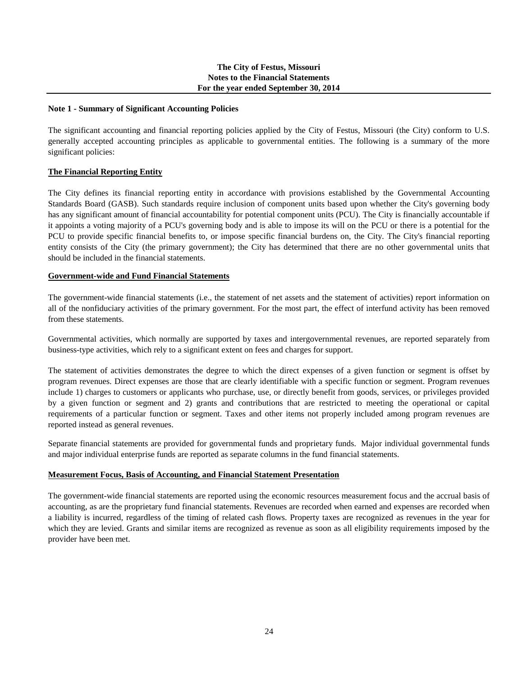### **Note 1 - Summary of Significant Accounting Policies**

The significant accounting and financial reporting policies applied by the City of Festus, Missouri (the City) conform to U.S. generally accepted accounting principles as applicable to governmental entities. The following is a summary of the more significant policies:

### **The Financial Reporting Entity**

The City defines its financial reporting entity in accordance with provisions established by the Governmental Accounting Standards Board (GASB). Such standards require inclusion of component units based upon whether the City's governing body has any significant amount of financial accountability for potential component units (PCU). The City is financially accountable if it appoints a voting majority of a PCU's governing body and is able to impose its will on the PCU or there is a potential for the PCU to provide specific financial benefits to, or impose specific financial burdens on, the City. The City's financial reporting entity consists of the City (the primary government); the City has determined that there are no other governmental units that should be included in the financial statements.

### **Government-wide and Fund Financial Statements**

The government-wide financial statements (i.e., the statement of net assets and the statement of activities) report information on all of the nonfiduciary activities of the primary government. For the most part, the effect of interfund activity has been removed from these statements.

Governmental activities, which normally are supported by taxes and intergovernmental revenues, are reported separately from business-type activities, which rely to a significant extent on fees and charges for support.

The statement of activities demonstrates the degree to which the direct expenses of a given function or segment is offset by program revenues. Direct expenses are those that are clearly identifiable with a specific function or segment. Program revenues include 1) charges to customers or applicants who purchase, use, or directly benefit from goods, services, or privileges provided by a given function or segment and 2) grants and contributions that are restricted to meeting the operational or capital requirements of a particular function or segment. Taxes and other items not properly included among program revenues are reported instead as general revenues.

Separate financial statements are provided for governmental funds and proprietary funds. Major individual governmental funds and major individual enterprise funds are reported as separate columns in the fund financial statements.

### **Measurement Focus, Basis of Accounting, and Financial Statement Presentation**

The government-wide financial statements are reported using the economic resources measurement focus and the accrual basis of accounting, as are the proprietary fund financial statements. Revenues are recorded when earned and expenses are recorded when a liability is incurred, regardless of the timing of related cash flows. Property taxes are recognized as revenues in the year for which they are levied. Grants and similar items are recognized as revenue as soon as all eligibility requirements imposed by the provider have been met.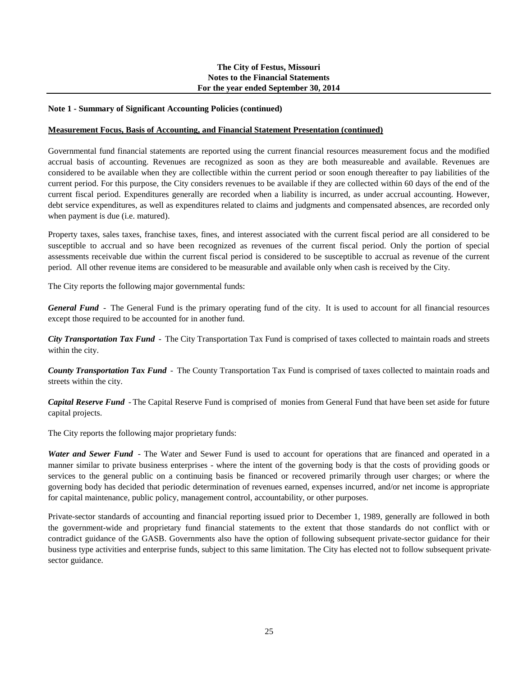### **The City of Festus, Missouri Notes to the Financial Statements For the year ended September 30, 2014**

### **Note 1 - Summary of Significant Accounting Policies (continued)**

### **Measurement Focus, Basis of Accounting, and Financial Statement Presentation (continued)**

Governmental fund financial statements are reported using the current financial resources measurement focus and the modified accrual basis of accounting. Revenues are recognized as soon as they are both measureable and available. Revenues are considered to be available when they are collectible within the current period or soon enough thereafter to pay liabilities of the current period. For this purpose, the City considers revenues to be available if they are collected within 60 days of the end of the current fiscal period. Expenditures generally are recorded when a liability is incurred, as under accrual accounting. However, debt service expenditures, as well as expenditures related to claims and judgments and compensated absences, are recorded only when payment is due (i.e. matured).

Property taxes, sales taxes, franchise taxes, fines, and interest associated with the current fiscal period are all considered to be susceptible to accrual and so have been recognized as revenues of the current fiscal period. Only the portion of special assessments receivable due within the current fiscal period is considered to be susceptible to accrual as revenue of the current period. All other revenue items are considered to be measurable and available only when cash is received by the City.

The City reports the following major governmental funds:

*General Fund -* The General Fund is the primary operating fund of the city. It is used to account for all financial resources except those required to be accounted for in another fund.

*City Transportation Tax Fund -* The City Transportation Tax Fund is comprised of taxes collected to maintain roads and streets within the city.

*County Transportation Tax Fund -* The County Transportation Tax Fund is comprised of taxes collected to maintain roads and streets within the city.

*Capital Reserve Fund -* The Capital Reserve Fund is comprised of monies from General Fund that have been set aside for future capital projects.

The City reports the following major proprietary funds:

*Water and Sewer Fund* - The Water and Sewer Fund is used to account for operations that are financed and operated in a manner similar to private business enterprises - where the intent of the governing body is that the costs of providing goods or services to the general public on a continuing basis be financed or recovered primarily through user charges; or where the governing body has decided that periodic determination of revenues earned, expenses incurred, and/or net income is appropriate for capital maintenance, public policy, management control, accountability, or other purposes.

Private-sector standards of accounting and financial reporting issued prior to December 1, 1989, generally are followed in both the government-wide and proprietary fund financial statements to the extent that those standards do not conflict with or contradict guidance of the GASB. Governments also have the option of following subsequent private-sector guidance for their business type activities and enterprise funds, subject to this same limitation. The City has elected not to follow subsequent privatesector guidance.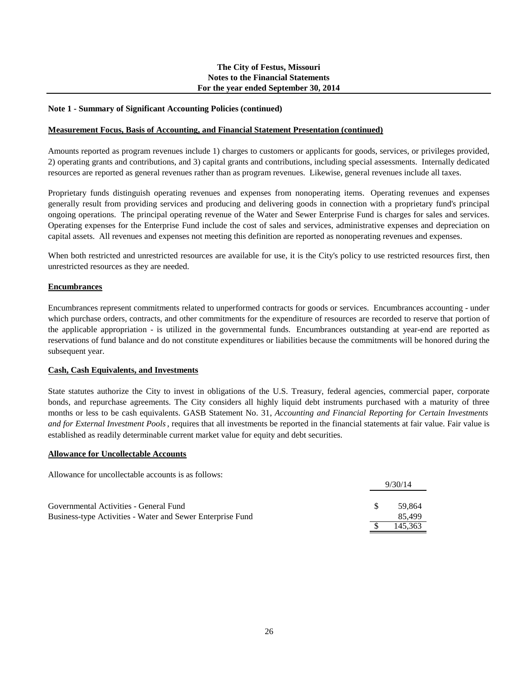### **The City of Festus, Missouri Notes to the Financial Statements For the year ended September 30, 2014**

#### **Note 1 - Summary of Significant Accounting Policies (continued)**

### **Measurement Focus, Basis of Accounting, and Financial Statement Presentation (continued)**

Amounts reported as program revenues include 1) charges to customers or applicants for goods, services, or privileges provided, 2) operating grants and contributions, and 3) capital grants and contributions, including special assessments. Internally dedicated resources are reported as general revenues rather than as program revenues. Likewise, general revenues include all taxes.

Proprietary funds distinguish operating revenues and expenses from nonoperating items. Operating revenues and expenses generally result from providing services and producing and delivering goods in connection with a proprietary fund's principal ongoing operations. The principal operating revenue of the Water and Sewer Enterprise Fund is charges for sales and services. Operating expenses for the Enterprise Fund include the cost of sales and services, administrative expenses and depreciation on capital assets. All revenues and expenses not meeting this definition are reported as nonoperating revenues and expenses.

When both restricted and unrestricted resources are available for use, it is the City's policy to use restricted resources first, then unrestricted resources as they are needed.

### **Encumbrances**

Encumbrances represent commitments related to unperformed contracts for goods or services. Encumbrances accounting - under which purchase orders, contracts, and other commitments for the expenditure of resources are recorded to reserve that portion of the applicable appropriation - is utilized in the governmental funds. Encumbrances outstanding at year-end are reported as reservations of fund balance and do not constitute expenditures or liabilities because the commitments will be honored during the subsequent year.

### **Cash, Cash Equivalents, and Investments**

State statutes authorize the City to invest in obligations of the U.S. Treasury, federal agencies, commercial paper, corporate bonds, and repurchase agreements. The City considers all highly liquid debt instruments purchased with a maturity of three months or less to be cash equivalents. GASB Statement No. 31, *Accounting and Financial Reporting for Certain Investments and for External Investment Pools*, requires that all investments be reported in the financial statements at fair value. Fair value is established as readily determinable current market value for equity and debt securities.

9/30/14

### **Allowance for Uncollectable Accounts**

Allowance for uncollectable accounts is as follows:

|                                                            | 9/30/14 |
|------------------------------------------------------------|---------|
|                                                            |         |
| Governmental Activities - General Fund                     | 59.864  |
| Business-type Activities - Water and Sewer Enterprise Fund | 85.499  |
|                                                            | 145.363 |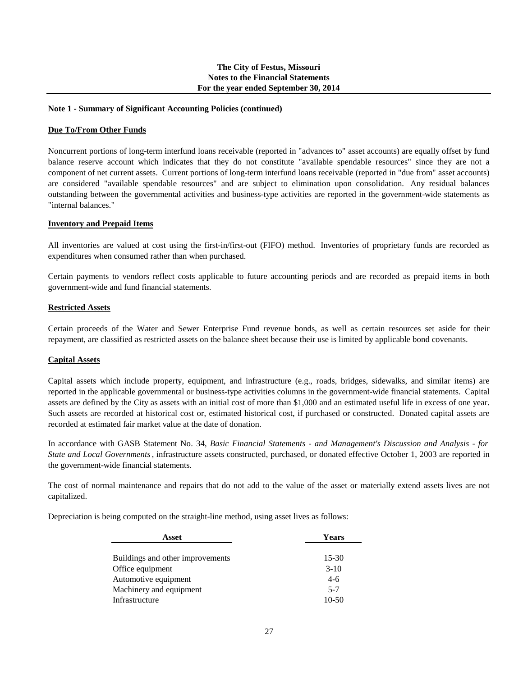#### **Due To/From Other Funds**

Noncurrent portions of long-term interfund loans receivable (reported in "advances to" asset accounts) are equally offset by fund balance reserve account which indicates that they do not constitute "available spendable resources" since they are not a component of net current assets. Current portions of long-term interfund loans receivable (reported in "due from" asset accounts) are considered "available spendable resources" and are subject to elimination upon consolidation. Any residual balances outstanding between the governmental activities and business-type activities are reported in the government-wide statements as "internal balances."

#### **Inventory and Prepaid Items**

All inventories are valued at cost using the first-in/first-out (FIFO) method. Inventories of proprietary funds are recorded as expenditures when consumed rather than when purchased.

Certain payments to vendors reflect costs applicable to future accounting periods and are recorded as prepaid items in both government-wide and fund financial statements.

#### **Restricted Assets**

Certain proceeds of the Water and Sewer Enterprise Fund revenue bonds, as well as certain resources set aside for their repayment, are classified as restricted assets on the balance sheet because their use is limited by applicable bond covenants.

#### **Capital Assets**

Capital assets which include property, equipment, and infrastructure (e.g., roads, bridges, sidewalks, and similar items) are reported in the applicable governmental or business-type activities columns in the government-wide financial statements. Capital assets are defined by the City as assets with an initial cost of more than \$1,000 and an estimated useful life in excess of one year. Such assets are recorded at historical cost or, estimated historical cost, if purchased or constructed. Donated capital assets are recorded at estimated fair market value at the date of donation.

In accordance with GASB Statement No. 34, *Basic Financial Statements - and Management's Discussion and Analysis - for State and Local Governments*, infrastructure assets constructed, purchased, or donated effective October 1, 2003 are reported in the government-wide financial statements.

The cost of normal maintenance and repairs that do not add to the value of the asset or materially extend assets lives are not capitalized.

Depreciation is being computed on the straight-line method, using asset lives as follows:

| Asset                            | <b>Years</b> |  |  |  |
|----------------------------------|--------------|--|--|--|
|                                  |              |  |  |  |
| Buildings and other improvements | $15 - 30$    |  |  |  |
| Office equipment                 | $3-10$       |  |  |  |
| Automotive equipment             | $4-6$        |  |  |  |
| Machinery and equipment          | $5 - 7$      |  |  |  |
| Infrastructure                   | $10-50$      |  |  |  |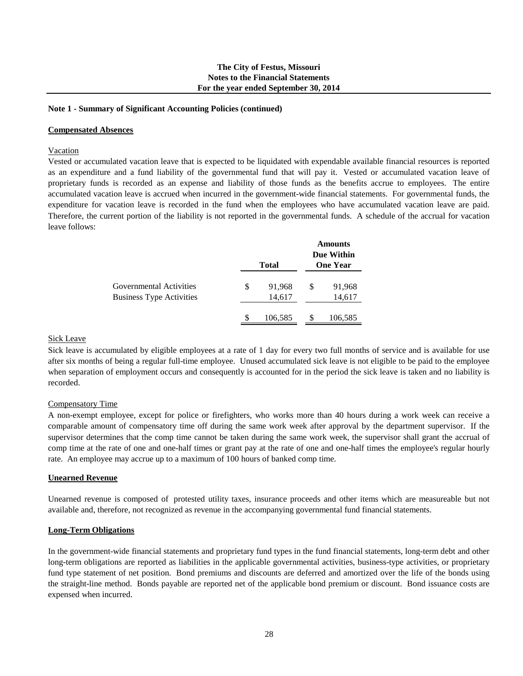#### **Compensated Absences**

### Vacation

Vested or accumulated vacation leave that is expected to be liquidated with expendable available financial resources is reported as an expenditure and a fund liability of the governmental fund that will pay it. Vested or accumulated vacation leave of proprietary funds is recorded as an expense and liability of those funds as the benefits accrue to employees. The entire accumulated vacation leave is accrued when incurred in the government-wide financial statements. For governmental funds, the expenditure for vacation leave is recorded in the fund when the employees who have accumulated vacation leave are paid. Therefore, the current portion of the liability is not reported in the governmental funds. A schedule of the accrual for vacation leave follows:

|                                                            |   | <b>Total</b>     |    | <b>Amounts</b><br>Due Within<br><b>One Year</b> |  |  |
|------------------------------------------------------------|---|------------------|----|-------------------------------------------------|--|--|
| Governmental Activities<br><b>Business Type Activities</b> | S | 91,968<br>14,617 | \$ | 91,968<br>14,617                                |  |  |
|                                                            |   | 106,585          |    | 106,585                                         |  |  |

#### Sick Leave

Sick leave is accumulated by eligible employees at a rate of 1 day for every two full months of service and is available for use after six months of being a regular full-time employee. Unused accumulated sick leave is not eligible to be paid to the employee when separation of employment occurs and consequently is accounted for in the period the sick leave is taken and no liability is recorded.

### Compensatory Time

A non-exempt employee, except for police or firefighters, who works more than 40 hours during a work week can receive a comparable amount of compensatory time off during the same work week after approval by the department supervisor. If the supervisor determines that the comp time cannot be taken during the same work week, the supervisor shall grant the accrual of comp time at the rate of one and one-half times or grant pay at the rate of one and one-half times the employee's regular hourly rate. An employee may accrue up to a maximum of 100 hours of banked comp time.

### **Unearned Revenue**

Unearned revenue is composed of protested utility taxes, insurance proceeds and other items which are measureable but not available and, therefore, not recognized as revenue in the accompanying governmental fund financial statements.

### **Long-Term Obligations**

In the government-wide financial statements and proprietary fund types in the fund financial statements, long-term debt and other long-term obligations are reported as liabilities in the applicable governmental activities, business-type activities, or proprietary fund type statement of net position. Bond premiums and discounts are deferred and amortized over the life of the bonds using the straight-line method. Bonds payable are reported net of the applicable bond premium or discount. Bond issuance costs are expensed when incurred.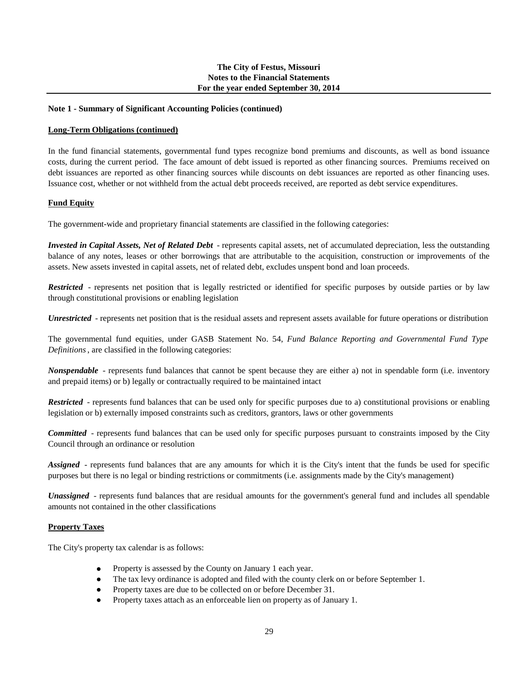#### **Long-Term Obligations (continued)**

In the fund financial statements, governmental fund types recognize bond premiums and discounts, as well as bond issuance costs, during the current period. The face amount of debt issued is reported as other financing sources. Premiums received on debt issuances are reported as other financing sources while discounts on debt issuances are reported as other financing uses. Issuance cost, whether or not withheld from the actual debt proceeds received, are reported as debt service expenditures.

### **Fund Equity**

The government-wide and proprietary financial statements are classified in the following categories:

*Invested in Capital Assets, Net of Related Debt* - represents capital assets, net of accumulated depreciation, less the outstanding balance of any notes, leases or other borrowings that are attributable to the acquisition, construction or improvements of the assets. New assets invested in capital assets, net of related debt, excludes unspent bond and loan proceeds.

*Restricted* - represents net position that is legally restricted or identified for specific purposes by outside parties or by law through constitutional provisions or enabling legislation

*Unrestricted* - represents net position that is the residual assets and represent assets available for future operations or distribution

The governmental fund equities, under GASB Statement No. 54, *Fund Balance Reporting and Governmental Fund Type Definitions*, are classified in the following categories:

*Nonspendable* - represents fund balances that cannot be spent because they are either a) not in spendable form (i.e. inventory and prepaid items) or b) legally or contractually required to be maintained intact

*Restricted* - represents fund balances that can be used only for specific purposes due to a) constitutional provisions or enabling legislation or b) externally imposed constraints such as creditors, grantors, laws or other governments

*Committed* - represents fund balances that can be used only for specific purposes pursuant to constraints imposed by the City Council through an ordinance or resolution

*Assigned* - represents fund balances that are any amounts for which it is the City's intent that the funds be used for specific purposes but there is no legal or binding restrictions or commitments (i.e. assignments made by the City's management)

*Unassigned* - represents fund balances that are residual amounts for the government's general fund and includes all spendable amounts not contained in the other classifications

### **Property Taxes**

The City's property tax calendar is as follows:

- Property is assessed by the County on January 1 each year.
- The tax levy ordinance is adopted and filed with the county clerk on or before September 1.
- Property taxes are due to be collected on or before December 31.
- Property taxes attach as an enforceable lien on property as of January 1.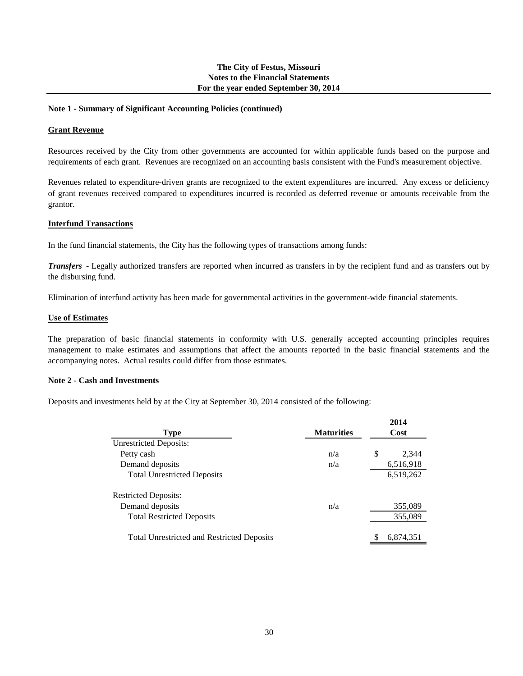### **Grant Revenue**

Resources received by the City from other governments are accounted for within applicable funds based on the purpose and requirements of each grant. Revenues are recognized on an accounting basis consistent with the Fund's measurement objective.

Revenues related to expenditure-driven grants are recognized to the extent expenditures are incurred. Any excess or deficiency of grant revenues received compared to expenditures incurred is recorded as deferred revenue or amounts receivable from the grantor.

### **Interfund Transactions**

In the fund financial statements, the City has the following types of transactions among funds:

*Transfers* - Legally authorized transfers are reported when incurred as transfers in by the recipient fund and as transfers out by the disbursing fund.

Elimination of interfund activity has been made for governmental activities in the government-wide financial statements.

### **Use of Estimates**

The preparation of basic financial statements in conformity with U.S. generally accepted accounting principles requires management to make estimates and assumptions that affect the amounts reported in the basic financial statements and the accompanying notes. Actual results could differ from those estimates.

### **Note 2 - Cash and Investments**

Deposits and investments held by at the City at September 30, 2014 consisted of the following:

| <b>Type</b>                                       | <b>Maturities</b> |   | 2014<br>Cost |
|---------------------------------------------------|-------------------|---|--------------|
| <b>Unrestricted Deposits:</b>                     |                   |   |              |
| Petty cash                                        | n/a               | S | 2.344        |
| Demand deposits                                   | n/a               |   | 6,516,918    |
| <b>Total Unrestricted Deposits</b>                |                   |   | 6,519,262    |
| <b>Restricted Deposits:</b>                       |                   |   |              |
| Demand deposits                                   | n/a               |   | 355,089      |
| <b>Total Restricted Deposits</b>                  |                   |   | 355,089      |
| <b>Total Unrestricted and Restricted Deposits</b> |                   |   | 6,874,351    |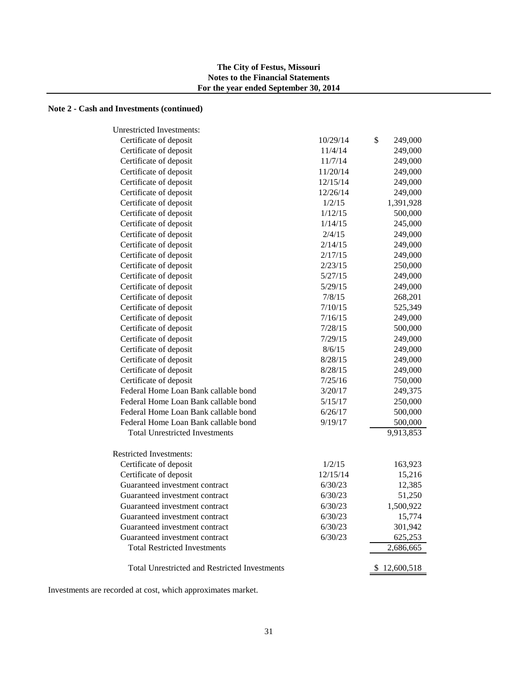### **Note 2 - Cash and Investments (continued)**

| Unrestricted Investments:                            |          |    |            |
|------------------------------------------------------|----------|----|------------|
| Certificate of deposit                               | 10/29/14 | \$ | 249,000    |
| Certificate of deposit                               | 11/4/14  |    | 249,000    |
| Certificate of deposit                               | 11/7/14  |    | 249,000    |
| Certificate of deposit                               | 11/20/14 |    | 249,000    |
| Certificate of deposit                               | 12/15/14 |    | 249,000    |
| Certificate of deposit                               | 12/26/14 |    | 249,000    |
| Certificate of deposit                               | 1/2/15   |    | 1,391,928  |
| Certificate of deposit                               | 1/12/15  |    | 500,000    |
| Certificate of deposit                               | 1/14/15  |    | 245,000    |
| Certificate of deposit                               | 2/4/15   |    | 249,000    |
| Certificate of deposit                               | 2/14/15  |    | 249,000    |
| Certificate of deposit                               | 2/17/15  |    | 249,000    |
| Certificate of deposit                               | 2/23/15  |    | 250,000    |
| Certificate of deposit                               | 5/27/15  |    | 249,000    |
| Certificate of deposit                               | 5/29/15  |    | 249,000    |
| Certificate of deposit                               | 7/8/15   |    | 268,201    |
| Certificate of deposit                               | 7/10/15  |    | 525,349    |
| Certificate of deposit                               | 7/16/15  |    | 249,000    |
| Certificate of deposit                               | 7/28/15  |    | 500,000    |
| Certificate of deposit                               | 7/29/15  |    | 249,000    |
| Certificate of deposit                               | 8/6/15   |    | 249,000    |
| Certificate of deposit                               | 8/28/15  |    | 249,000    |
| Certificate of deposit                               | 8/28/15  |    | 249,000    |
| Certificate of deposit                               | 7/25/16  |    | 750,000    |
| Federal Home Loan Bank callable bond                 | 3/20/17  |    | 249,375    |
| Federal Home Loan Bank callable bond                 | 5/15/17  |    | 250,000    |
| Federal Home Loan Bank callable bond                 | 6/26/17  |    | 500,000    |
| Federal Home Loan Bank callable bond                 | 9/19/17  |    | 500,000    |
| <b>Total Unrestricted Investments</b>                |          |    | 9,913,853  |
| <b>Restricted Investments:</b>                       |          |    |            |
| Certificate of deposit                               | 1/2/15   |    | 163,923    |
| Certificate of deposit                               | 12/15/14 |    | 15,216     |
| Guaranteed investment contract                       | 6/30/23  |    | 12,385     |
| Guaranteed investment contract                       | 6/30/23  |    | 51,250     |
| Guaranteed investment contract                       | 6/30/23  |    | 1,500,922  |
| Guaranteed investment contract                       | 6/30/23  |    | 15,774     |
| Guaranteed investment contract                       | 6/30/23  |    | 301,942    |
| Guaranteed investment contract                       | 6/30/23  |    | 625,253    |
| <b>Total Restricted Investments</b>                  |          |    | 2,686,665  |
| <b>Total Unrestricted and Restricted Investments</b> |          | S  | 12,600,518 |

Investments are recorded at cost, which approximates market.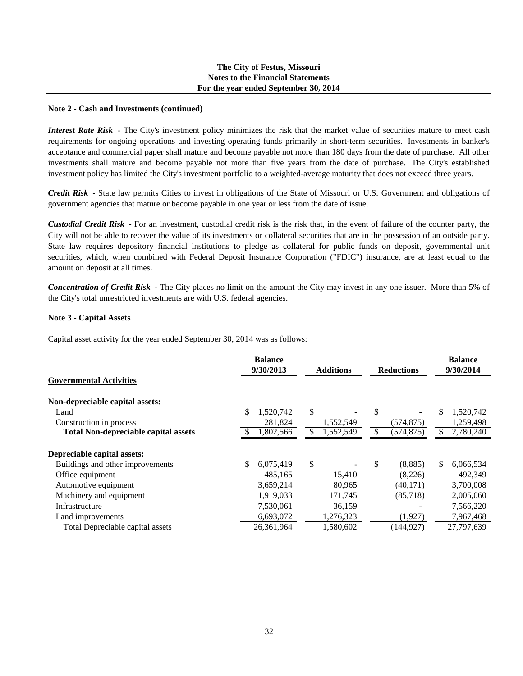### **The City of Festus, Missouri Notes to the Financial Statements For the year ended September 30, 2014**

#### **Note 2 - Cash and Investments (continued)**

*Interest Rate Risk* - The City's investment policy minimizes the risk that the market value of securities mature to meet cash requirements for ongoing operations and investing operating funds primarily in short-term securities. Investments in banker's acceptance and commercial paper shall mature and become payable not more than 180 days from the date of purchase. All other investments shall mature and become payable not more than five years from the date of purchase. The City's established investment policy has limited the City's investment portfolio to a weighted-average maturity that does not exceed three years.

*Credit Risk* - State law permits Cities to invest in obligations of the State of Missouri or U.S. Government and obligations of government agencies that mature or become payable in one year or less from the date of issue.

*Custodial Credit Risk* - For an investment, custodial credit risk is the risk that, in the event of failure of the counter party, the City will not be able to recover the value of its investments or collateral securities that are in the possession of an outside party. State law requires depository financial institutions to pledge as collateral for public funds on deposit, governmental unit securities, which, when combined with Federal Deposit Insurance Corporation ("FDIC") insurance, are at least equal to the amount on deposit at all times.

*Concentration of Credit Risk* - The City places no limit on the amount the City may invest in any one issuer. More than 5% of the City's total unrestricted investments are with U.S. federal agencies.

### **Note 3 - Capital Assets**

Capital asset activity for the year ended September 30, 2014 was as follows:

|                                             | <b>Balance</b><br>9/30/2013 |            | <b>Additions</b> |           | <b>Reductions</b> |            | <b>Balance</b><br>9/30/2014 |            |
|---------------------------------------------|-----------------------------|------------|------------------|-----------|-------------------|------------|-----------------------------|------------|
| <b>Governmental Activities</b>              |                             |            |                  |           |                   |            |                             |            |
| Non-depreciable capital assets:             |                             |            |                  |           |                   |            |                             |            |
| Land                                        | \$                          | 1,520,742  | \$               |           | \$                |            | \$                          | 1,520,742  |
| Construction in process                     |                             | 281,824    |                  | 1,552,549 |                   | (574, 875) |                             | 1,259,498  |
| <b>Total Non-depreciable capital assets</b> |                             | 1,802,566  | \$               | 1,552,549 | \$                | (574, 875) | \$                          | 2,780,240  |
| Depreciable capital assets:                 |                             |            |                  |           |                   |            |                             |            |
| Buildings and other improvements            | \$                          | 6,075,419  | \$               |           | \$                | (8,885)    | \$                          | 6,066,534  |
| Office equipment                            |                             | 485.165    |                  | 15,410    |                   | (8,226)    |                             | 492,349    |
| Automotive equipment                        |                             | 3,659,214  |                  | 80,965    |                   | (40, 171)  |                             | 3,700,008  |
| Machinery and equipment                     |                             | 1,919,033  |                  | 171,745   |                   | (85,718)   |                             | 2,005,060  |
| Infrastructure                              |                             | 7,530,061  |                  | 36,159    |                   |            |                             | 7,566,220  |
| Land improvements                           |                             | 6,693,072  |                  | 1,276,323 |                   | (1,927)    |                             | 7,967,468  |
| Total Depreciable capital assets            |                             | 26,361,964 |                  | 1,580,602 |                   | (144, 927) |                             | 27,797,639 |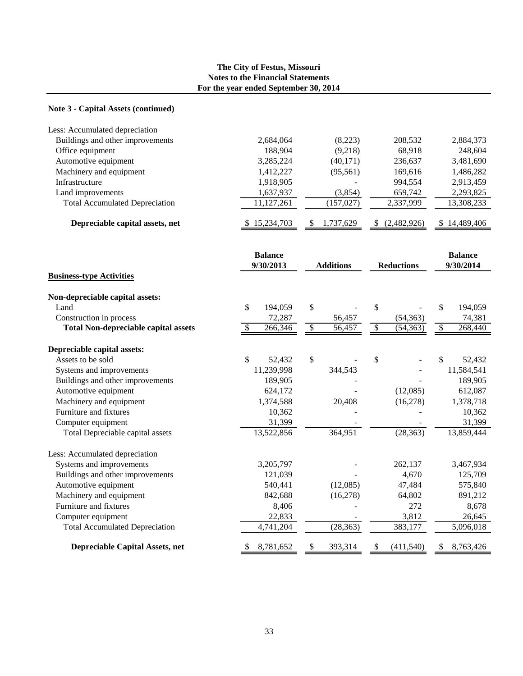# **The City of Festus, Missouri Notes to the Financial Statements For the year ended September 30, 2014**

### **Note 3 - Capital Assets (continued)**

| Less: Accumulated depreciation              |                                     |                                   |                                       |                                     |
|---------------------------------------------|-------------------------------------|-----------------------------------|---------------------------------------|-------------------------------------|
| Buildings and other improvements            | 2,684,064                           | (8,223)                           | 208,532                               | 2,884,373                           |
| Office equipment                            | 188,904                             | (9,218)                           | 68,918                                | 248,604                             |
| Automotive equipment                        | 3,285,224                           | (40, 171)                         | 236,637                               | 3,481,690                           |
| Machinery and equipment                     | 1,412,227                           | (95, 561)                         | 169,616                               | 1,486,282                           |
| Infrastructure                              | 1,918,905                           |                                   | 994,554                               | 2,913,459                           |
| Land improvements                           | 1,637,937                           | (3,854)                           | 659,742                               | 2,293,825                           |
| <b>Total Accumulated Depreciation</b>       | 11,127,261                          | (157, 027)                        | 2,337,999                             | 13,308,233                          |
| Depreciable capital assets, net             | 15,234,703                          | 1,737,629<br>\$                   | (2,482,926)<br>S                      | 14,489,406<br>\$                    |
|                                             |                                     |                                   |                                       |                                     |
|                                             | <b>Balance</b><br>9/30/2013         | <b>Additions</b>                  | <b>Reductions</b>                     | <b>Balance</b><br>9/30/2014         |
| <b>Business-type Activities</b>             |                                     |                                   |                                       |                                     |
| Non-depreciable capital assets:             |                                     |                                   |                                       |                                     |
| Land                                        | \$<br>194,059                       | \$                                | \$                                    | \$<br>194,059                       |
| Construction in process                     | 72,287                              | 56,457                            | (54, 363)                             | 74,381                              |
| <b>Total Non-depreciable capital assets</b> | $\overline{\mathcal{S}}$<br>266,346 | $\sqrt[6]{\frac{1}{2}}$<br>56,457 | $\overline{\mathcal{S}}$<br>(54, 363) | $\overline{\mathcal{S}}$<br>268,440 |
| Depreciable capital assets:                 |                                     |                                   |                                       |                                     |
| Assets to be sold                           | \$<br>52,432                        | \$                                | \$                                    | \$<br>52,432                        |
| Systems and improvements                    | 11,239,998                          | 344,543                           |                                       | 11,584,541                          |
| Buildings and other improvements            | 189,905                             |                                   |                                       | 189,905                             |
| Automotive equipment                        | 624,172                             |                                   | (12,085)                              | 612,087                             |
| Machinery and equipment                     | 1,374,588                           | 20,408                            | (16,278)                              | 1,378,718                           |
| Furniture and fixtures                      | 10,362                              |                                   |                                       | 10,362                              |
| Computer equipment                          | 31,399                              |                                   |                                       | 31,399                              |
| Total Depreciable capital assets            | 13,522,856                          | 364,951                           | (28, 363)                             | 13,859,444                          |
| Less: Accumulated depreciation              |                                     |                                   |                                       |                                     |
| Systems and improvements                    | 3,205,797                           |                                   | 262,137                               | 3,467,934                           |
| Buildings and other improvements            | 121,039                             |                                   | 4,670                                 | 125,709                             |
| Automotive equipment                        | 540,441                             | (12,085)                          | 47,484                                | 575,840                             |
| Machinery and equipment                     | 842,688                             | (16,278)                          | 64,802                                | 891,212                             |
| Furniture and fixtures                      | 8,406                               |                                   | 272                                   | 8,678                               |
| Computer equipment                          | 22,833                              |                                   | 3,812                                 | 26,645                              |
| <b>Total Accumulated Depreciation</b>       | 4,741,204                           | (28, 363)                         | 383,177                               | 5,096,018                           |
| <b>Depreciable Capital Assets, net</b>      | 8,781,652<br>\$                     | \$<br>393,314                     | (411,540)<br>\$                       | 8,763,426<br>\$                     |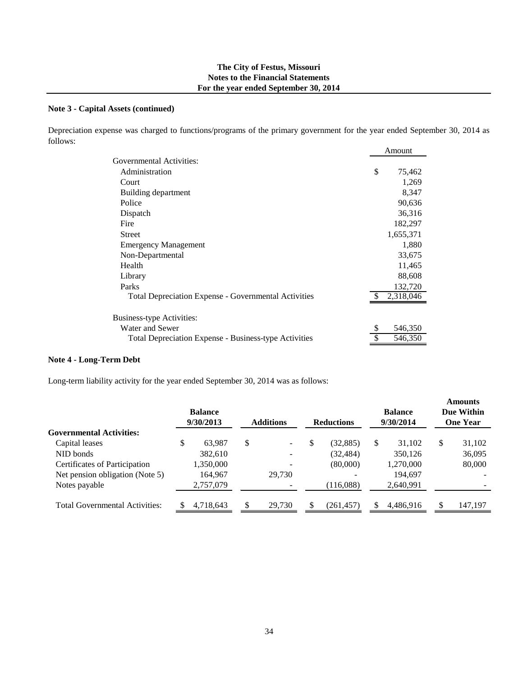### **Note 3 - Capital Assets (continued)**

Depreciation expense was charged to functions/programs of the primary government for the year ended September 30, 2014 as follows:

|                                                              | Amount        |
|--------------------------------------------------------------|---------------|
| Governmental Activities:                                     |               |
| Administration                                               | \$<br>75,462  |
| Court                                                        | 1,269         |
| Building department                                          | 8,347         |
| Police                                                       | 90,636        |
| Dispatch                                                     | 36,316        |
| Fire                                                         | 182,297       |
| <b>Street</b>                                                | 1,655,371     |
| <b>Emergency Management</b>                                  | 1,880         |
| Non-Departmental                                             | 33,675        |
| Health                                                       | 11,465        |
| Library                                                      | 88,608        |
| Parks                                                        | 132,720       |
| <b>Total Depreciation Expense - Governmental Activities</b>  | 2,318,046     |
|                                                              |               |
| Business-type Activities:                                    |               |
| Water and Sewer                                              | \$<br>546,350 |
| <b>Total Depreciation Expense - Business-type Activities</b> | 546,350       |

### **Note 4 - Long-Term Debt**

Long-term liability activity for the year ended September 30, 2014 was as follows:

|                                 | <b>Balance</b><br>9/30/2013 |   | <b>Additions</b>         |    | <b>Reductions</b> |     | <b>Balance</b><br>9/30/2014 | <b>Amounts</b><br>Due Within<br><b>One Year</b> |
|---------------------------------|-----------------------------|---|--------------------------|----|-------------------|-----|-----------------------------|-------------------------------------------------|
| <b>Governmental Activities:</b> |                             |   |                          |    |                   |     |                             |                                                 |
| Capital leases                  | \$<br>63.987                | S | $\sim$                   | S  | (32, 885)         | \$. | 31.102                      | \$<br>31,102                                    |
| NID bonds                       | 382,610                     |   | $\overline{\phantom{0}}$ |    | (32,484)          |     | 350,126                     | 36,095                                          |
| Certificates of Participation   | 1,350,000                   |   |                          |    | (80,000)          |     | 1,270,000                   | 80,000                                          |
| Net pension obligation (Note 5) | 164.967                     |   | 29.730                   |    |                   |     | 194.697                     |                                                 |
| Notes payable                   | 2,757,079                   |   |                          |    | (116,088)         |     | 2,640,991                   |                                                 |
| Total Governmental Activities:  | 4,718,643                   |   | 29,730                   | \$ | (261, 457)        |     | 4,486,916                   | 147,197                                         |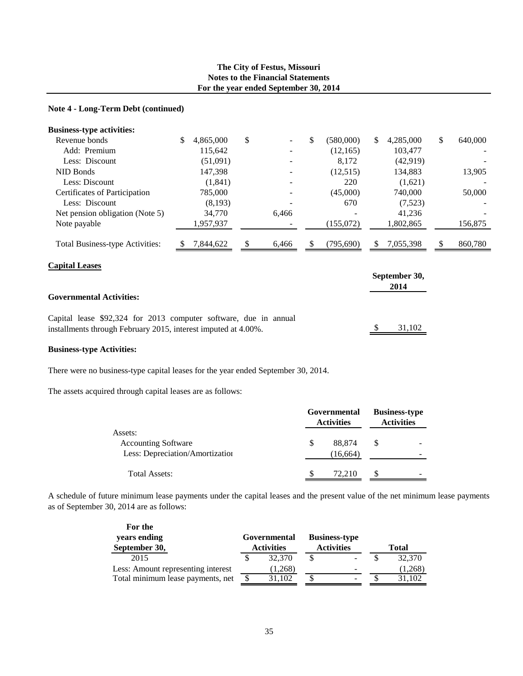## **The City of Festus, Missouri Notes to the Financial Statements For the year ended September 30, 2014**

### **Note 4 - Long-Term Debt (continued)**

| <b>Business-type activities:</b> |                 |    |       |                 |     |                       |               |
|----------------------------------|-----------------|----|-------|-----------------|-----|-----------------------|---------------|
| Revenue bonds                    | \$<br>4,865,000 | \$ |       | \$<br>(580,000) | \$. | 4,285,000             | \$<br>640,000 |
| Add: Premium                     | 115.642         |    |       | (12, 165)       |     | 103,477               |               |
| Less: Discount                   | (51,091)        |    |       | 8,172           |     | (42, 919)             |               |
| NID Bonds                        | 147,398         |    |       | (12,515)        |     | 134,883               | 13,905        |
| Less: Discount                   | (1, 841)        |    |       | 220             |     | (1,621)               |               |
| Certificates of Participation    | 785,000         |    |       | (45,000)        |     | 740,000               | 50,000        |
| Less: Discount                   | (8,193)         |    |       | 670             |     | (7,523)               |               |
| Net pension obligation (Note 5)  | 34,770          |    | 6,466 |                 |     | 41,236                |               |
| Note payable                     | 1,957,937       |    |       | (155,072)       |     | 1,802,865             | 156,875       |
| Total Business-type Activities:  | 7,844,622       | S  | 6,466 | \$<br>(795,690) | \$. | 7,055,398             | \$<br>860,780 |
| <b>Capital Leases</b>            |                 |    |       |                 |     |                       |               |
|                                  |                 |    |       |                 |     | September 30,<br>2014 |               |

### **Governmental Activities:**

| Capital lease \$92,324 for 2013 computer software, due in annual |        |
|------------------------------------------------------------------|--------|
| installments through February 2015, interest imputed at 4.00%.   | 31.102 |

### **Business-type Activities:**

There were no business-type capital leases for the year ended September 30, 2014.

The assets acquired through capital leases are as follows:

|                                                               | Governmental<br><b>Activities</b> | <b>Business-type</b><br><b>Activities</b> |
|---------------------------------------------------------------|-----------------------------------|-------------------------------------------|
| Assets:                                                       |                                   |                                           |
| <b>Accounting Software</b><br>Less: Depreciation/Amortization | 88,874<br>(16,664)                | S<br>-<br>-                               |
| <b>Total Assets:</b>                                          | 72.210                            | -                                         |

A schedule of future minimum lease payments under the capital leases and the present value of the net minimum lease payments as of September 30, 2014 are as follows:

| For the                            |  |                   |                      |         |
|------------------------------------|--|-------------------|----------------------|---------|
| years ending                       |  | Governmental      | <b>Business-type</b> |         |
| September 30,                      |  | <b>Activities</b> | <b>Activities</b>    | Total   |
| 2015                               |  | 32,370            |                      | 32,370  |
| Less: Amount representing interest |  | (1,268)           |                      | (1,268) |
| Total minimum lease payments, net  |  | 31,102            |                      | .102    |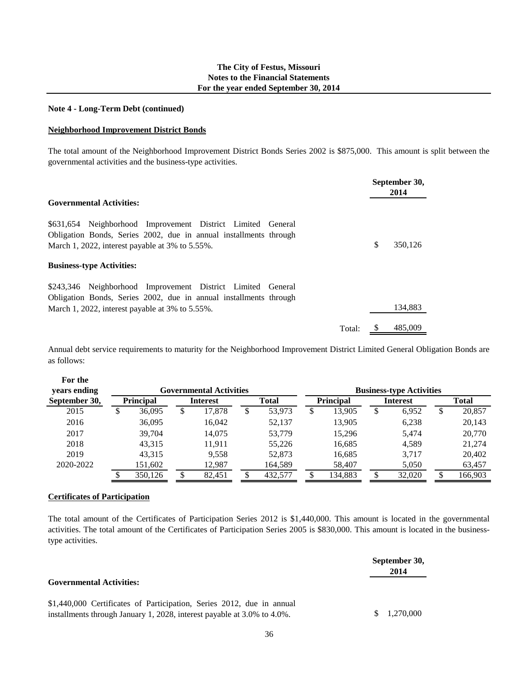#### **Note 4 - Long-Term Debt (continued)**

#### **Neighborhood Improvement District Bonds**

The total amount of the Neighborhood Improvement District Bonds Series 2002 is \$875,000. This amount is split between the governmental activities and the business-type activities.

|                                                                                                                                                                                               |        | September 30,<br>2014 |
|-----------------------------------------------------------------------------------------------------------------------------------------------------------------------------------------------|--------|-----------------------|
| <b>Governmental Activities:</b>                                                                                                                                                               |        |                       |
| Neighborhood Improvement District Limited General<br>\$631.654<br>Obligation Bonds, Series 2002, due in annual installments through<br>March 1, 2022, interest payable at $3\%$ to $5.55\%$ . |        | \$<br>350,126         |
| <b>Business-type Activities:</b>                                                                                                                                                              |        |                       |
| \$243,346 Neighborhood Improvement District Limited General<br>Obligation Bonds, Series 2002, due in annual installments through                                                              |        |                       |
| March 1, 2022, interest payable at 3% to 5.55%.                                                                                                                                               |        | 134,883               |
|                                                                                                                                                                                               | Total: | 485,009               |

Annual debt service requirements to maturity for the Neighborhood Improvement District Limited General Obligation Bonds are as follows:

| For the<br>vears ending |                  |         |   | <b>Governmental Activities</b> |              |         |                  |         |   | <b>Business-type Activities</b> |              |
|-------------------------|------------------|---------|---|--------------------------------|--------------|---------|------------------|---------|---|---------------------------------|--------------|
| September 30,           | <b>Principal</b> |         |   | Interest                       | <b>Total</b> |         | <b>Principal</b> |         |   | <b>Interest</b>                 | <b>Total</b> |
| 2015                    | \$               | 36,095  | S | 17,878                         | S            | 53,973  | S                | 13,905  | S | 6,952                           | \$<br>20,857 |
| 2016                    |                  | 36,095  |   | 16.042                         |              | 52,137  |                  | 13,905  |   | 6,238                           | 20,143       |
| 2017                    |                  | 39,704  |   | 14.075                         |              | 53,779  |                  | 15.296  |   | 5,474                           | 20,770       |
| 2018                    |                  | 43,315  |   | 11,911                         |              | 55,226  |                  | 16,685  |   | 4,589                           | 21,274       |
| 2019                    |                  | 43.315  |   | 9,558                          |              | 52,873  |                  | 16,685  |   | 3,717                           | 20,402       |
| 2020-2022               |                  | 151,602 |   | 12.987                         |              | 164,589 |                  | 58,407  |   | 5,050                           | 63,457       |
|                         |                  | 350,126 |   | 82,451                         |              | 432,577 |                  | 134,883 |   | 32,020                          | 166,903      |

### **Certificates of Participation**

The total amount of the Certificates of Participation Series 2012 is \$1,440,000. This amount is located in the governmental activities. The total amount of the Certificates of Participation Series 2005 is \$830,000. This amount is located in the businesstype activities.

| September 30,<br>2014 |
|-----------------------|
|                       |
| 1.270.000             |
| SS.                   |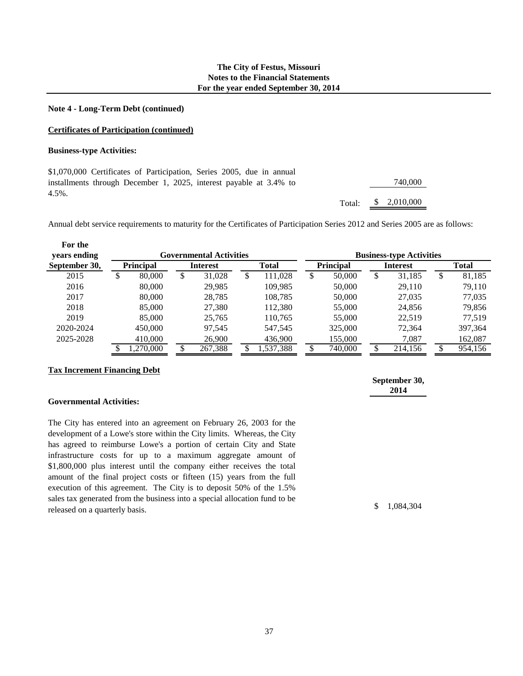#### **Note 4 - Long-Term Debt (continued)**

#### **Certificates of Participation (continued)**

#### **Business-type Activities:**

\$1,070,000 Certificates of Participation, Series 2005, due in annual installments through December 1, 2025, interest payable at 3.4% to 4.5%.

Annual debt service requirements to maturity for the Certificates of Participation Series 2012 and Series 2005 are as follows:

| For the<br>years ending |   |                  |   | <b>Governmental Activities</b> |   |              |                  |         |     | <b>Business-type Activities</b> |    |              |
|-------------------------|---|------------------|---|--------------------------------|---|--------------|------------------|---------|-----|---------------------------------|----|--------------|
| September 30,           |   | <b>Principal</b> |   | <b>Interest</b>                |   | <b>Total</b> | <b>Principal</b> |         |     | <b>Interest</b>                 |    | <b>Total</b> |
| 2015                    | S | 80,000           | S | 31,028                         | S | 111.028      | \$               | 50,000  | \$. | 31,185                          | \$ | 81,185       |
| 2016                    |   | 80,000           |   | 29,985                         |   | 109.985      |                  | 50,000  |     | 29.110                          |    | 79,110       |
| 2017                    |   | 80,000           |   | 28,785                         |   | 108.785      |                  | 50,000  |     | 27,035                          |    | 77,035       |
| 2018                    |   | 85,000           |   | 27,380                         |   | 112.380      |                  | 55,000  |     | 24,856                          |    | 79,856       |
| 2019                    |   | 85,000           |   | 25,765                         |   | 110.765      |                  | 55,000  |     | 22.519                          |    | 77,519       |
| 2020-2024               |   | 450,000          |   | 97,545                         |   | 547.545      |                  | 325,000 |     | 72,364                          |    | 397,364      |
| 2025-2028               |   | 410,000          |   | 26,900                         |   | 436,900      |                  | 155,000 |     | 7,087                           |    | 162,087      |
|                         |   | ,270,000         |   | 267,388                        |   | ,537,388     |                  | 740,000 |     | 214,156                         |    | 954,156      |

### **Tax Increment Financing Debt**

### **Governmental Activities:**

The City has entered into an agreement on February 26, 2003 for the development of a Lowe's store within the City limits. Whereas, the City has agreed to reimburse Lowe's a portion of certain City and State infrastructure costs for up to a maximum aggregate amount of \$1,800,000 plus interest until the company either receives the total amount of the final project costs or fifteen (15) years from the full execution of this agreement. The City is to deposit 50% of the 1.5% sales tax generated from the business into a special allocation fund to be released on a quarterly basis.

**September 30, 2014**

\$ 1,084,304

 740,000 Total: \$ 2,010,000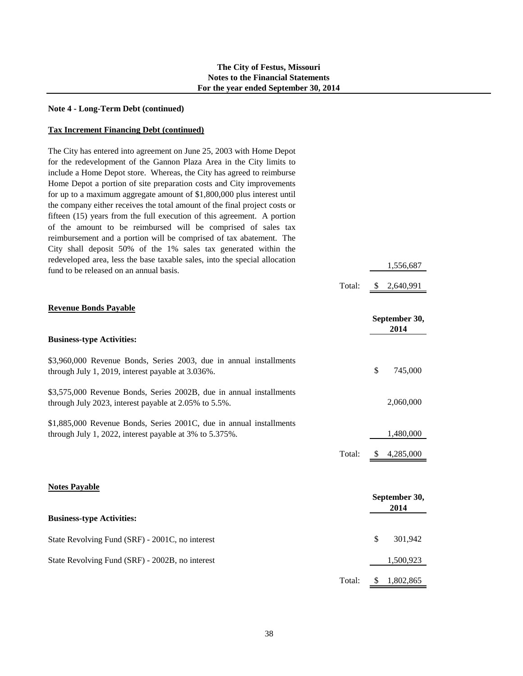1,556,687

#### **Note 4 - Long-Term Debt (continued)**

### **Tax Increment Financing Debt (continued)**

The City has entered into agreement on June 25, 2003 with Home Depot for the redevelopment of the Gannon Plaza Area in the City limits to include a Home Depot store. Whereas, the City has agreed to reimburse Home Depot a portion of site preparation costs and City improvements for up to a maximum aggregate amount of \$1,800,000 plus interest until the company either receives the total amount of the final project costs or fifteen (15) years from the full execution of this agreement. A portion of the amount to be reimbursed will be comprised of sales tax reimbursement and a portion will be comprised of tax abatement. The City shall deposit 50% of the 1% sales tax generated within the redeveloped area, less the base taxable sales, into the special allocation fund to be released on an annual basis.

|                                                                                                                                     | Total: | 2.640.991             |
|-------------------------------------------------------------------------------------------------------------------------------------|--------|-----------------------|
| <b>Revenue Bonds Payable</b><br><b>Business-type Activities:</b>                                                                    |        | September 30,<br>2014 |
|                                                                                                                                     |        |                       |
| \$3,960,000 Revenue Bonds, Series 2003, due in annual installments<br>through July 1, 2019, interest payable at 3.036%.             |        | \$<br>745,000         |
| \$3,575,000 Revenue Bonds, Series 2002B, due in annual installments<br>through July 2023, interest payable at $2.05\%$ to $5.5\%$ . |        | 2,060,000             |
| \$1,885,000 Revenue Bonds, Series 2001C, due in annual installments<br>through July 1, 2022, interest payable at 3% to 5.375%.      |        | 1,480,000             |
|                                                                                                                                     | Total: | 4,285,000             |
| <b>Notes Payable</b>                                                                                                                |        |                       |
|                                                                                                                                     |        | September 30,         |
|                                                                                                                                     |        | 2014                  |
| <b>Business-type Activities:</b>                                                                                                    |        |                       |
| State Revolving Fund (SRF) - 2001C, no interest                                                                                     |        | \$<br>301,942         |
| State Revolving Fund (SRF) - 2002B, no interest                                                                                     |        | 1,500,923             |
|                                                                                                                                     | Total: | 1,802,865<br>S        |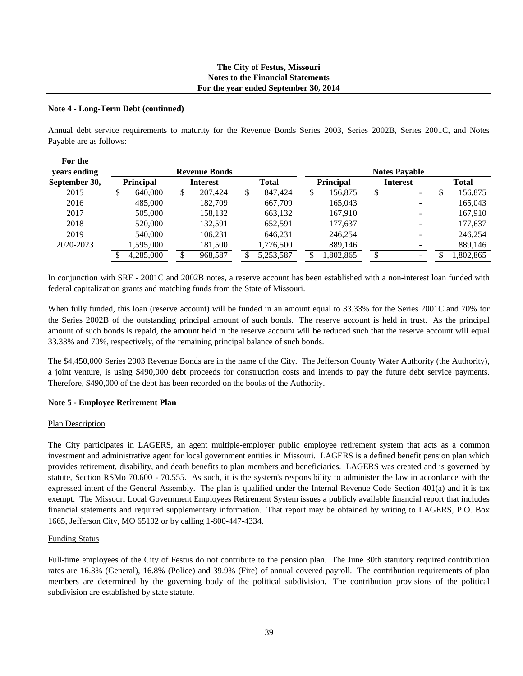#### **Note 4 - Long-Term Debt (continued)**

Annual debt service requirements to maturity for the Revenue Bonds Series 2003, Series 2002B, Series 2001C, and Notes Payable are as follows:

| For the<br>vears ending |   |                  |   | <b>Revenue Bonds</b> |   |           |                  | <b>Notes Pavable</b>     |    |           |  |  |
|-------------------------|---|------------------|---|----------------------|---|-----------|------------------|--------------------------|----|-----------|--|--|
| September 30,           |   | <b>Principal</b> |   | <b>Interest</b>      |   | Total     | <b>Principal</b> | <b>Interest</b>          |    | Total     |  |  |
| 2015                    | S | 640,000          | S | 207.424              | S | 847.424   | \$<br>156,875    | \$<br>$\sim$             | D. | 156,875   |  |  |
| 2016                    |   | 485,000          |   | 182,709              |   | 667,709   | 165,043          |                          |    | 165,043   |  |  |
| 2017                    |   | 505,000          |   | 158,132              |   | 663.132   | 167.910          | $\overline{\phantom{0}}$ |    | 167,910   |  |  |
| 2018                    |   | 520,000          |   | 132,591              |   | 652,591   | 177,637          |                          |    | 177,637   |  |  |
| 2019                    |   | 540,000          |   | 106,231              |   | 646.231   | 246,254          |                          |    | 246.254   |  |  |
| 2020-2023               |   | 1,595,000        |   | 181,500              |   | 1,776,500 | 889,146          |                          |    | 889,146   |  |  |
|                         |   | 4,285,000        |   | 968,587              |   | 5,253,587 | 1,802,865        |                          |    | 1,802,865 |  |  |

In conjunction with SRF - 2001C and 2002B notes, a reserve account has been established with a non-interest loan funded with federal capitalization grants and matching funds from the State of Missouri.

When fully funded, this loan (reserve account) will be funded in an amount equal to 33.33% for the Series 2001C and 70% for the Series 2002B of the outstanding principal amount of such bonds. The reserve account is held in trust. As the principal amount of such bonds is repaid, the amount held in the reserve account will be reduced such that the reserve account will equal 33.33% and 70%, respectively, of the remaining principal balance of such bonds.

The \$4,450,000 Series 2003 Revenue Bonds are in the name of the City. The Jefferson County Water Authority (the Authority), a joint venture, is using \$490,000 debt proceeds for construction costs and intends to pay the future debt service payments. Therefore, \$490,000 of the debt has been recorded on the books of the Authority.

### **Note 5 - Employee Retirement Plan**

### Plan Description

The City participates in LAGERS, an agent multiple-employer public employee retirement system that acts as a common investment and administrative agent for local government entities in Missouri. LAGERS is a defined benefit pension plan which provides retirement, disability, and death benefits to plan members and beneficiaries. LAGERS was created and is governed by statute, Section RSMo 70.600 - 70.555. As such, it is the system's responsibility to administer the law in accordance with the expressed intent of the General Assembly. The plan is qualified under the Internal Revenue Code Section 401(a) and it is tax exempt. The Missouri Local Government Employees Retirement System issues a publicly available financial report that includes financial statements and required supplementary information. That report may be obtained by writing to LAGERS, P.O. Box 1665, Jefferson City, MO 65102 or by calling 1-800-447-4334.

### Funding Status

Full-time employees of the City of Festus do not contribute to the pension plan. The June 30th statutory required contribution rates are 16.3% (General), 16.8% (Police) and 39.9% (Fire) of annual covered payroll. The contribution requirements of plan members are determined by the governing body of the political subdivision. The contribution provisions of the political subdivision are established by state statute.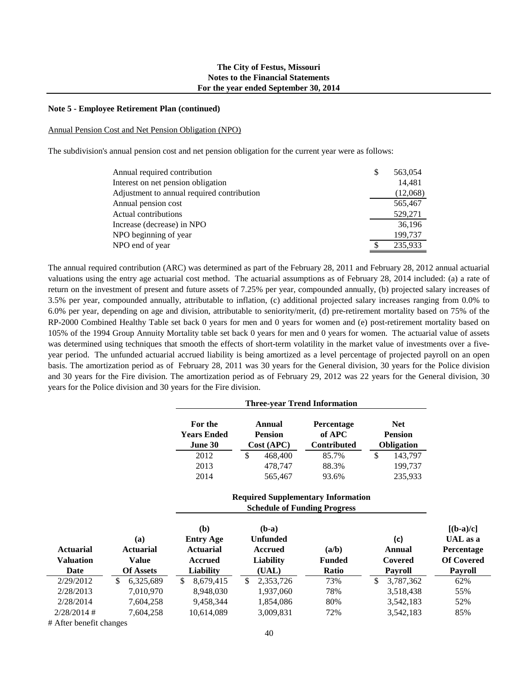#### **Note 5 - Employee Retirement Plan (continued)**

#### Annual Pension Cost and Net Pension Obligation (NPO)

The subdivision's annual pension cost and net pension obligation for the current year were as follows:

| Annual required contribution<br>S          |          |
|--------------------------------------------|----------|
| Interest on net pension obligation         | 14.481   |
| Adjustment to annual required contribution | (12,068) |
| Annual pension cost                        | 565,467  |
| Actual contributions                       | 529,271  |
| Increase (decrease) in NPO                 | 36.196   |
| NPO beginning of year                      | 199,737  |
| NPO end of year                            | 235,933  |

The annual required contribution (ARC) was determined as part of the February 28, 2011 and February 28, 2012 annual actuarial valuations using the entry age actuarial cost method. The actuarial assumptions as of February 28, 2014 included: (a) a rate of return on the investment of present and future assets of 7.25% per year, compounded annually, (b) projected salary increases of 3.5% per year, compounded annually, attributable to inflation, (c) additional projected salary increases ranging from 0.0% to 6.0% per year, depending on age and division, attributable to seniority/merit, (d) pre-retirement mortality based on 75% of the RP-2000 Combined Healthy Table set back 0 years for men and 0 years for women and (e) post-retirement mortality based on 105% of the 1994 Group Annuity Mortality table set back 0 years for men and 0 years for women. The actuarial value of assets was determined using techniques that smooth the effects of short-term volatility in the market value of investments over a fiveyear period. The unfunded actuarial accrued liability is being amortized as a level percentage of projected payroll on an open basis. The amortization period as of February 28, 2011 was 30 years for the General division, 30 years for the Police division and 30 years for the Fire division. The amortization period as of February 29, 2012 was 22 years for the General division, 30 years for the Police division and 30 years for the Fire division.

|                                      |                           |                                          | <b>Three-year Trend Information</b>                                              |                                            |                                            |                                 |
|--------------------------------------|---------------------------|------------------------------------------|----------------------------------------------------------------------------------|--------------------------------------------|--------------------------------------------|---------------------------------|
|                                      |                           | For the<br><b>Years Ended</b><br>June 30 | Annual<br><b>Pension</b><br>Cost (APC)                                           | Percentage<br>of APC<br><b>Contributed</b> | <b>Net</b><br><b>Pension</b><br>Obligation |                                 |
|                                      |                           | 2012                                     | \$<br>468,400                                                                    | 85.7%                                      | \$<br>143,797                              |                                 |
|                                      |                           | 2013                                     | 478,747                                                                          | 88.3%                                      | 199,737                                    |                                 |
|                                      |                           | 2014                                     | 565,467                                                                          | 93.6%                                      | 235,933                                    |                                 |
|                                      |                           |                                          | <b>Required Supplementary Information</b><br><b>Schedule of Funding Progress</b> |                                            |                                            |                                 |
|                                      | (a)                       | (b)<br><b>Entry Age</b>                  | $(b-a)$<br><b>Unfunded</b>                                                       |                                            | (c)                                        | $[(b-a)/c]$<br>UAL as a         |
| <b>Actuarial</b><br><b>Valuation</b> | <b>Actuarial</b>          | <b>Actuarial</b>                         | Accrued                                                                          | (a/b)                                      | Annual                                     | Percentage<br><b>Of Covered</b> |
| Date                                 | Value<br><b>Of Assets</b> | <b>Accrued</b><br><b>Liability</b>       | Liability<br>(UAL)                                                               | <b>Funded</b><br>Ratio                     | Covered<br><b>Payroll</b>                  |                                 |
|                                      |                           | \$                                       | \$                                                                               |                                            |                                            | <b>Payroll</b>                  |
| 2/29/2012                            | \$<br>6,325,689           | 8,679,415                                | 2,353,726                                                                        | 73%                                        | \$<br>3,787,362                            | 62%                             |
| 2/28/2013                            | 7,010,970                 | 8,948,030                                | 1,937,060                                                                        | 78%                                        | 3,518,438                                  | 55%                             |
| 2/28/2014                            | 7,604,258                 | 9,458,344                                | 1,854,086                                                                        | 80%                                        | 3,542,183                                  | 52%                             |
| $2/28/2014$ #                        | 7,604,258                 | 10,614,089                               | 3,009,831                                                                        | 72%                                        | 3,542,183                                  | 85%                             |

# After benefit changes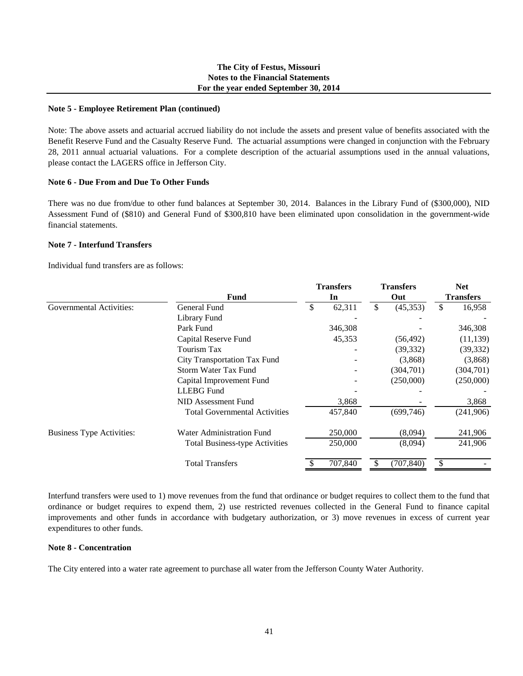### **Note 5 - Employee Retirement Plan (continued)**

Note: The above assets and actuarial accrued liability do not include the assets and present value of benefits associated with the Benefit Reserve Fund and the Casualty Reserve Fund. The actuarial assumptions were changed in conjunction with the February 28, 2011 annual actuarial valuations. For a complete description of the actuarial assumptions used in the annual valuations, please contact the LAGERS office in Jefferson City.

### **Note 6 - Due From and Due To Other Funds**

There was no due from/due to other fund balances at September 30, 2014. Balances in the Library Fund of (\$300,000), NID Assessment Fund of (\$810) and General Fund of \$300,810 have been eliminated upon consolidation in the government-wide financial statements.

### **Note 7 - Interfund Transfers**

Individual fund transfers are as follows:

|                                  |                                       | <b>Transfers</b> | <b>Transfers</b> | <b>Net</b>       |
|----------------------------------|---------------------------------------|------------------|------------------|------------------|
|                                  | Fund                                  | In               | Out              | <b>Transfers</b> |
| Governmental Activities:         | General Fund                          | \$<br>62,311     | \$<br>(45, 353)  | \$<br>16,958     |
|                                  | Library Fund                          |                  |                  |                  |
|                                  | Park Fund                             | 346,308          |                  | 346,308          |
|                                  | Capital Reserve Fund                  | 45,353           | (56, 492)        | (11, 139)        |
|                                  | Tourism Tax                           |                  | (39, 332)        | (39, 332)        |
|                                  | <b>City Transportation Tax Fund</b>   |                  | (3,868)          | (3,868)          |
|                                  | <b>Storm Water Tax Fund</b>           |                  | (304, 701)       | (304,701)        |
|                                  | Capital Improvement Fund              |                  | (250,000)        | (250,000)        |
|                                  | <b>LLEBG</b> Fund                     |                  |                  |                  |
|                                  | NID Assessment Fund                   | 3,868            |                  | 3,868            |
|                                  | <b>Total Governmental Activities</b>  | 457,840          | (699,746)        | (241,906)        |
| <b>Business Type Activities:</b> | Water Administration Fund             | 250,000          | (8,094)          | 241,906          |
|                                  | <b>Total Business-type Activities</b> | 250,000          | (8,094)          | 241,906          |
|                                  | <b>Total Transfers</b>                | 707,840          | (707, 840)       |                  |

Interfund transfers were used to 1) move revenues from the fund that ordinance or budget requires to collect them to the fund that ordinance or budget requires to expend them, 2) use restricted revenues collected in the General Fund to finance capital improvements and other funds in accordance with budgetary authorization, or 3) move revenues in excess of current year expenditures to other funds.

### **Note 8 - Concentration**

The City entered into a water rate agreement to purchase all water from the Jefferson County Water Authority.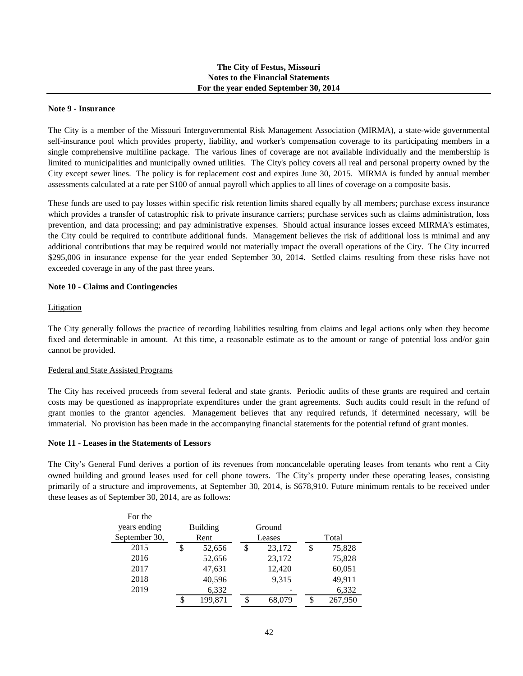### **Note 9 - Insurance**

The City is a member of the Missouri Intergovernmental Risk Management Association (MIRMA), a state-wide governmental self-insurance pool which provides property, liability, and worker's compensation coverage to its participating members in a single comprehensive multiline package. The various lines of coverage are not available individually and the membership is limited to municipalities and municipally owned utilities. The City's policy covers all real and personal property owned by the City except sewer lines. The policy is for replacement cost and expires June 30, 2015. MIRMA is funded by annual member assessments calculated at a rate per \$100 of annual payroll which applies to all lines of coverage on a composite basis.

These funds are used to pay losses within specific risk retention limits shared equally by all members; purchase excess insurance which provides a transfer of catastrophic risk to private insurance carriers; purchase services such as claims administration, loss prevention, and data processing; and pay administrative expenses. Should actual insurance losses exceed MIRMA's estimates, the City could be required to contribute additional funds. Management believes the risk of additional loss is minimal and any additional contributions that may be required would not materially impact the overall operations of the City. The City incurred \$295,006 in insurance expense for the year ended September 30, 2014. Settled claims resulting from these risks have not exceeded coverage in any of the past three years.

### **Note 10 - Claims and Contingencies**

### **Litigation**

The City generally follows the practice of recording liabilities resulting from claims and legal actions only when they become fixed and determinable in amount. At this time, a reasonable estimate as to the amount or range of potential loss and/or gain cannot be provided.

### Federal and State Assisted Programs

The City has received proceeds from several federal and state grants. Periodic audits of these grants are required and certain costs may be questioned as inappropriate expenditures under the grant agreements. Such audits could result in the refund of grant monies to the grantor agencies. Management believes that any required refunds, if determined necessary, will be immaterial. No provision has been made in the accompanying financial statements for the potential refund of grant monies.

### **Note 11 - Leases in the Statements of Lessors**

The City's General Fund derives a portion of its revenues from noncancelable operating leases from tenants who rent a City owned building and ground leases used for cell phone towers. The City's property under these operating leases, consisting primarily of a structure and improvements, at September 30, 2014, is \$678,910. Future minimum rentals to be received under these leases as of September 30, 2014, are as follows:

| For the       |                 |              |    |         |
|---------------|-----------------|--------------|----|---------|
| years ending  | <b>Building</b> | Ground       |    |         |
| September 30, | Rent            | Leases       |    | Total   |
| 2015          | \$<br>52,656    | \$<br>23,172 | \$ | 75,828  |
| 2016          | 52,656          | 23,172       |    | 75,828  |
| 2017          | 47,631          | 12,420       |    | 60,051  |
| 2018          | 40,596          | 9,315        |    | 49,911  |
| 2019          | 6,332           |              |    | 6,332   |
|               | 199,871         | 68,079       | Φ  | 267,950 |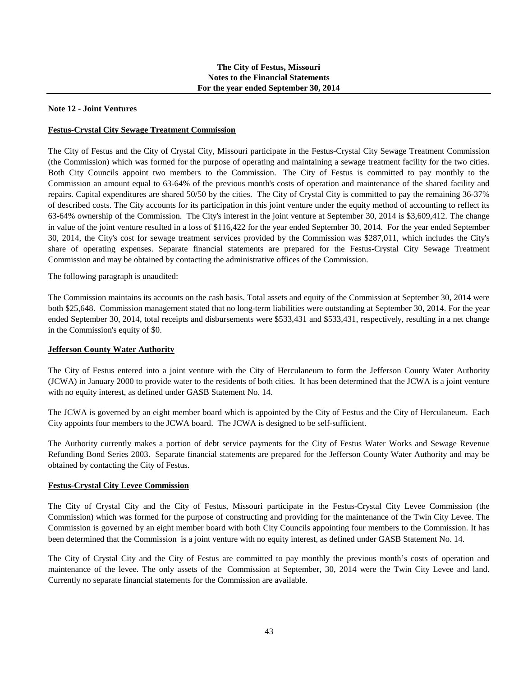#### **Note 12 - Joint Ventures**

### **Festus-Crystal City Sewage Treatment Commission**

The City of Festus and the City of Crystal City, Missouri participate in the Festus-Crystal City Sewage Treatment Commission (the Commission) which was formed for the purpose of operating and maintaining a sewage treatment facility for the two cities. Both City Councils appoint two members to the Commission. The City of Festus is committed to pay monthly to the Commission an amount equal to 63-64% of the previous month's costs of operation and maintenance of the shared facility and repairs. Capital expenditures are shared 50/50 by the cities. The City of Crystal City is committed to pay the remaining 36-37% of described costs. The City accounts for its participation in this joint venture under the equity method of accounting to reflect its 63-64% ownership of the Commission. The City's interest in the joint venture at September 30, 2014 is \$3,609,412. The change in value of the joint venture resulted in a loss of \$116,422 for the year ended September 30, 2014. For the year ended September 30, 2014, the City's cost for sewage treatment services provided by the Commission was \$287,011, which includes the City's share of operating expenses. Separate financial statements are prepared for the Festus-Crystal City Sewage Treatment Commission and may be obtained by contacting the administrative offices of the Commission.

The following paragraph is unaudited:

The Commission maintains its accounts on the cash basis. Total assets and equity of the Commission at September 30, 2014 were both \$25,648. Commission management stated that no long-term liabilities were outstanding at September 30, 2014. For the year ended September 30, 2014, total receipts and disbursements were \$533,431 and \$533,431, respectively, resulting in a net change in the Commission's equity of \$0.

### **Jefferson County Water Authority**

The City of Festus entered into a joint venture with the City of Herculaneum to form the Jefferson County Water Authority (JCWA) in January 2000 to provide water to the residents of both cities. It has been determined that the JCWA is a joint venture with no equity interest, as defined under GASB Statement No. 14.

The JCWA is governed by an eight member board which is appointed by the City of Festus and the City of Herculaneum. Each City appoints four members to the JCWA board. The JCWA is designed to be self-sufficient.

The Authority currently makes a portion of debt service payments for the City of Festus Water Works and Sewage Revenue Refunding Bond Series 2003. Separate financial statements are prepared for the Jefferson County Water Authority and may be obtained by contacting the City of Festus.

### **Festus-Crystal City Levee Commission**

The City of Crystal City and the City of Festus, Missouri participate in the Festus-Crystal City Levee Commission (the Commission) which was formed for the purpose of constructing and providing for the maintenance of the Twin City Levee. The Commission is governed by an eight member board with both City Councils appointing four members to the Commission. It has been determined that the Commission is a joint venture with no equity interest, as defined under GASB Statement No. 14.

The City of Crystal City and the City of Festus are committed to pay monthly the previous month's costs of operation and maintenance of the levee. The only assets of the Commission at September, 30, 2014 were the Twin City Levee and land. Currently no separate financial statements for the Commission are available.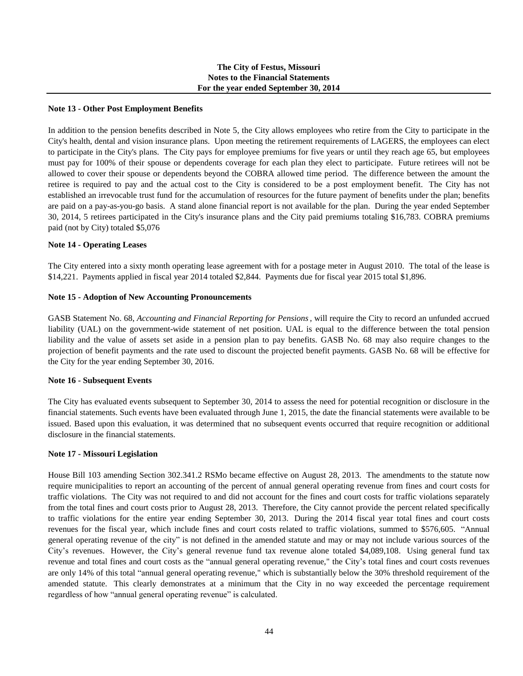### **Note 13 - Other Post Employment Benefits**

In addition to the pension benefits described in Note 5, the City allows employees who retire from the City to participate in the City's health, dental and vision insurance plans. Upon meeting the retirement requirements of LAGERS, the employees can elect to participate in the City's plans. The City pays for employee premiums for five years or until they reach age 65, but employees must pay for 100% of their spouse or dependents coverage for each plan they elect to participate. Future retirees will not be allowed to cover their spouse or dependents beyond the COBRA allowed time period. The difference between the amount the retiree is required to pay and the actual cost to the City is considered to be a post employment benefit. The City has not established an irrevocable trust fund for the accumulation of resources for the future payment of benefits under the plan; benefits are paid on a pay-as-you-go basis. A stand alone financial report is not available for the plan. During the year ended September 30, 2014, 5 retirees participated in the City's insurance plans and the City paid premiums totaling \$16,783. COBRA premiums paid (not by City) totaled \$5,076

### **Note 14 - Operating Leases**

The City entered into a sixty month operating lease agreement with for a postage meter in August 2010. The total of the lease is \$14,221. Payments applied in fiscal year 2014 totaled \$2,844. Payments due for fiscal year 2015 total \$1,896.

### **Note 15 - Adoption of New Accounting Pronouncements**

GASB Statement No. 68, *Accounting and Financial Reporting for Pensions*, will require the City to record an unfunded accrued liability (UAL) on the government-wide statement of net position. UAL is equal to the difference between the total pension liability and the value of assets set aside in a pension plan to pay benefits. GASB No. 68 may also require changes to the projection of benefit payments and the rate used to discount the projected benefit payments. GASB No. 68 will be effective for the City for the year ending September 30, 2016.

### **Note 16 - Subsequent Events**

The City has evaluated events subsequent to September 30, 2014 to assess the need for potential recognition or disclosure in the financial statements. Such events have been evaluated through June 1, 2015, the date the financial statements were available to be issued. Based upon this evaluation, it was determined that no subsequent events occurred that require recognition or additional disclosure in the financial statements.

### **Note 17 - Missouri Legislation**

House Bill 103 amending Section 302.341.2 RSMo became effective on August 28, 2013. The amendments to the statute now require municipalities to report an accounting of the percent of annual general operating revenue from fines and court costs for traffic violations. The City was not required to and did not account for the fines and court costs for traffic violations separately from the total fines and court costs prior to August 28, 2013. Therefore, the City cannot provide the percent related specifically to traffic violations for the entire year ending September 30, 2013. During the 2014 fiscal year total fines and court costs revenues for the fiscal year, which include fines and court costs related to traffic violations, summed to \$576,605. "Annual general operating revenue of the city" is not defined in the amended statute and may or may not include various sources of the City's revenues. However, the City's general revenue fund tax revenue alone totaled \$4,089,108. Using general fund tax revenue and total fines and court costs as the "annual general operating revenue," the City's total fines and court costs revenues are only 14% of this total "annual general operating revenue," which is substantially below the 30% threshold requirement of the amended statute. This clearly demonstrates at a minimum that the City in no way exceeded the percentage requirement regardless of how "annual general operating revenue" is calculated.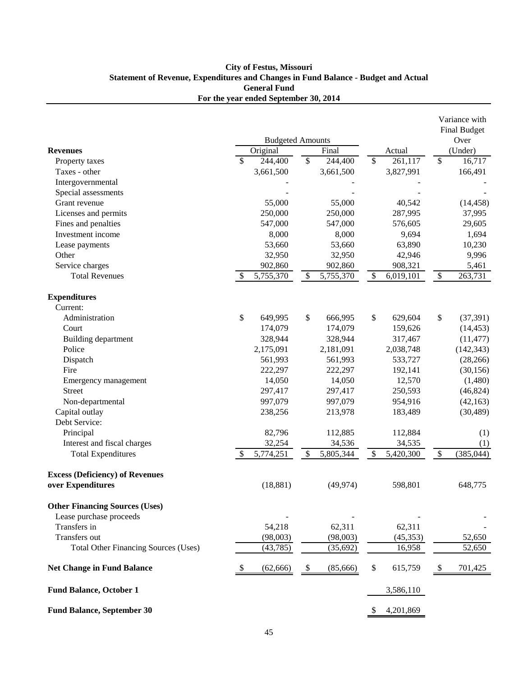## **City of Festus, Missouri Statement of Revenue, Expenditures and Changes in Fund Balance - Budget and Actual General Fund For the year ended September 30, 2014**

|                                                                  |               | <b>Budgeted Amounts</b> |                 |           |                 |           |                          | Variance with<br><b>Final Budget</b><br>Over |
|------------------------------------------------------------------|---------------|-------------------------|-----------------|-----------|-----------------|-----------|--------------------------|----------------------------------------------|
| <b>Revenues</b>                                                  |               | Original                |                 | Final     |                 | Actual    |                          | (Under)                                      |
| Property taxes                                                   | $\mathcal{S}$ | 244,400                 | $\overline{\$}$ | 244,400   | $\overline{\$}$ | 261,117   | $\overline{\mathcal{S}}$ | 16,717                                       |
| Taxes - other                                                    |               | 3,661,500               |                 | 3,661,500 |                 | 3,827,991 |                          | 166,491                                      |
| Intergovernmental                                                |               |                         |                 |           |                 |           |                          |                                              |
| Special assessments                                              |               |                         |                 |           |                 |           |                          |                                              |
| Grant revenue                                                    |               | 55,000                  |                 | 55,000    |                 | 40,542    |                          | (14, 458)                                    |
| Licenses and permits                                             |               | 250,000                 |                 | 250,000   |                 | 287,995   |                          | 37,995                                       |
| Fines and penalties                                              |               | 547,000                 |                 | 547,000   |                 | 576,605   |                          | 29,605                                       |
| Investment income                                                |               | 8,000                   |                 | 8,000     |                 | 9,694     |                          | 1,694                                        |
| Lease payments                                                   |               | 53,660                  |                 | 53,660    |                 | 63,890    |                          | 10,230                                       |
| Other                                                            |               | 32,950                  |                 | 32,950    |                 | 42,946    |                          | 9,996                                        |
| Service charges                                                  |               | 902,860                 |                 | 902,860   |                 | 908,321   |                          | 5,461                                        |
| <b>Total Revenues</b>                                            | <sup>\$</sup> | 5,755,370               | \$              | 5,755,370 | \$              | 6,019,101 | $\$$                     | 263,731                                      |
| <b>Expenditures</b>                                              |               |                         |                 |           |                 |           |                          |                                              |
| Current:                                                         |               |                         |                 |           |                 |           |                          |                                              |
| Administration                                                   | \$            | 649,995                 | \$              | 666,995   | \$              | 629,604   | \$                       | (37, 391)                                    |
| Court                                                            |               | 174,079                 |                 | 174,079   |                 | 159,626   |                          | (14, 453)                                    |
| Building department                                              |               | 328,944                 |                 | 328,944   |                 | 317,467   |                          | (11, 477)                                    |
| Police                                                           |               | 2,175,091               |                 | 2,181,091 |                 | 2,038,748 |                          | (142, 343)                                   |
| Dispatch                                                         |               | 561,993                 |                 | 561,993   |                 | 533,727   |                          | (28, 266)                                    |
| Fire                                                             |               | 222,297                 |                 | 222,297   |                 | 192,141   |                          | (30, 156)                                    |
| Emergency management                                             |               | 14,050                  |                 | 14,050    |                 | 12,570    |                          | (1,480)                                      |
| <b>Street</b>                                                    |               | 297,417                 |                 | 297,417   |                 | 250,593   |                          | (46, 824)                                    |
| Non-departmental                                                 |               | 997,079                 |                 | 997,079   |                 | 954,916   |                          | (42, 163)                                    |
| Capital outlay                                                   |               | 238,256                 |                 | 213,978   |                 | 183,489   |                          | (30, 489)                                    |
| Debt Service:                                                    |               |                         |                 |           |                 |           |                          |                                              |
| Principal                                                        |               | 82,796                  |                 | 112,885   |                 | 112,884   |                          | (1)                                          |
| Interest and fiscal charges                                      |               | 32,254                  |                 | 34,536    |                 | 34,535    |                          | (1)                                          |
| <b>Total Expenditures</b>                                        | \$            | 5,774,251               | \$              | 5,805,344 | \$              | 5,420,300 | $\$\,$                   | (385, 044)                                   |
| <b>Excess (Deficiency) of Revenues</b><br>over Expenditures      |               | (18, 881)               |                 | (49, 974) |                 | 598,801   |                          | 648,775                                      |
| <b>Other Financing Sources (Uses)</b><br>Lease purchase proceeds |               |                         |                 |           |                 |           |                          |                                              |
| Transfers in                                                     |               | 54,218                  |                 | 62,311    |                 | 62,311    |                          |                                              |
| Transfers out                                                    |               | (98,003)                |                 | (98,003)  |                 | (45, 353) |                          | 52,650                                       |
| <b>Total Other Financing Sources (Uses)</b>                      |               | (43, 785)               |                 | (35, 692) |                 | 16,958    |                          | 52,650                                       |
| <b>Net Change in Fund Balance</b>                                | <sup>8</sup>  | (62, 666)               | -\$             | (85,666)  | \$              | 615,759   | - \$                     | 701,425                                      |
| <b>Fund Balance, October 1</b>                                   |               |                         |                 |           |                 | 3,586,110 |                          |                                              |
| <b>Fund Balance, September 30</b>                                |               |                         |                 |           | \$              | 4,201,869 |                          |                                              |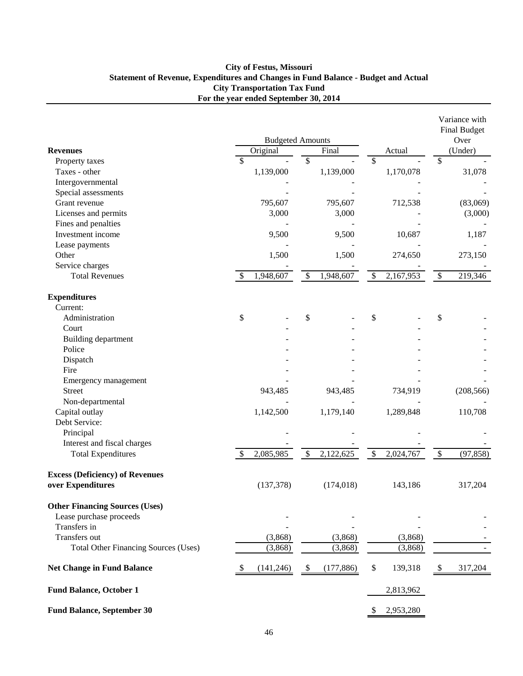## **City of Festus, Missouri Statement of Revenue, Expenditures and Changes in Fund Balance - Budget and Actual City Transportation Tax Fund For the year ended September 30, 2014**

|                                             |                          |                         |                            |            |      |           |                          | Variance with<br><b>Final Budget</b> |
|---------------------------------------------|--------------------------|-------------------------|----------------------------|------------|------|-----------|--------------------------|--------------------------------------|
|                                             |                          | <b>Budgeted Amounts</b> |                            |            |      |           |                          | Over                                 |
| <b>Revenues</b>                             | $\overline{\mathcal{S}}$ | Original                | $\overline{\$}$            | Final      | \$   | Actual    |                          | (Under)                              |
| Property taxes                              |                          |                         |                            |            |      |           | \$                       |                                      |
| Taxes - other                               |                          | 1,139,000               |                            | 1,139,000  |      | 1,170,078 |                          | 31,078                               |
| Intergovernmental                           |                          |                         |                            |            |      |           |                          |                                      |
| Special assessments<br>Grant revenue        |                          |                         |                            | 795,607    |      |           |                          | (83,069)                             |
|                                             |                          | 795,607                 |                            |            |      | 712,538   |                          |                                      |
| Licenses and permits                        |                          | 3,000                   |                            | 3,000      |      |           |                          | (3,000)                              |
| Fines and penalties                         |                          |                         |                            |            |      |           |                          |                                      |
| Investment income                           |                          | 9,500                   |                            | 9,500      |      | 10,687    |                          | 1,187                                |
| Lease payments                              |                          |                         |                            |            |      |           |                          |                                      |
| Other                                       |                          | 1,500                   |                            | 1,500      |      | 274,650   |                          | 273,150                              |
| Service charges                             |                          |                         |                            |            |      |           |                          |                                      |
| <b>Total Revenues</b>                       | <sup>\$</sup>            | 1,948,607               | $\$$                       | 1,948,607  | \$   | 2,167,953 | $\sqrt{3}$               | 219,346                              |
| <b>Expenditures</b>                         |                          |                         |                            |            |      |           |                          |                                      |
| Current:                                    |                          |                         |                            |            |      |           |                          |                                      |
| Administration                              | \$                       |                         | \$                         |            | \$   |           | \$                       |                                      |
| Court                                       |                          |                         |                            |            |      |           |                          |                                      |
| Building department                         |                          |                         |                            |            |      |           |                          |                                      |
| Police                                      |                          |                         |                            |            |      |           |                          |                                      |
| Dispatch                                    |                          |                         |                            |            |      |           |                          |                                      |
| Fire                                        |                          |                         |                            |            |      |           |                          |                                      |
| Emergency management                        |                          |                         |                            |            |      |           |                          |                                      |
| <b>Street</b>                               |                          | 943,485                 |                            | 943,485    |      | 734,919   |                          | (208, 566)                           |
| Non-departmental                            |                          |                         |                            |            |      |           |                          |                                      |
| Capital outlay                              |                          | 1,142,500               |                            | 1,179,140  |      | 1,289,848 |                          | 110,708                              |
| Debt Service:                               |                          |                         |                            |            |      |           |                          |                                      |
| Principal                                   |                          |                         |                            |            |      |           |                          |                                      |
| Interest and fiscal charges                 |                          |                         |                            |            |      |           |                          |                                      |
| <b>Total Expenditures</b>                   | \$                       | 2,085,985               | $\$$                       | 2,122,625  | $\$$ | 2,024,767 | $\overline{\mathcal{S}}$ | (97, 858)                            |
| <b>Excess (Deficiency) of Revenues</b>      |                          |                         |                            |            |      |           |                          |                                      |
| over Expenditures                           |                          | (137, 378)              |                            | (174, 018) |      | 143,186   |                          | 317,204                              |
| <b>Other Financing Sources (Uses)</b>       |                          |                         |                            |            |      |           |                          |                                      |
| Lease purchase proceeds                     |                          |                         |                            |            |      |           |                          |                                      |
| Transfers in                                |                          |                         |                            |            |      |           |                          |                                      |
| <b>Transfers out</b>                        |                          | (3,868)                 |                            | (3,868)    |      | (3,868)   |                          |                                      |
| <b>Total Other Financing Sources (Uses)</b> |                          | (3,868)                 |                            | (3,868)    |      | (3,868)   |                          | ٠                                    |
| <b>Net Change in Fund Balance</b>           | -S                       | (141,246)               | $\boldsymbol{\mathcal{S}}$ | (177, 886) | \$   | 139,318   | -\$                      | 317,204                              |
| <b>Fund Balance, October 1</b>              |                          |                         |                            |            |      | 2,813,962 |                          |                                      |
| <b>Fund Balance, September 30</b>           |                          |                         |                            |            | P.   | 2,953,280 |                          |                                      |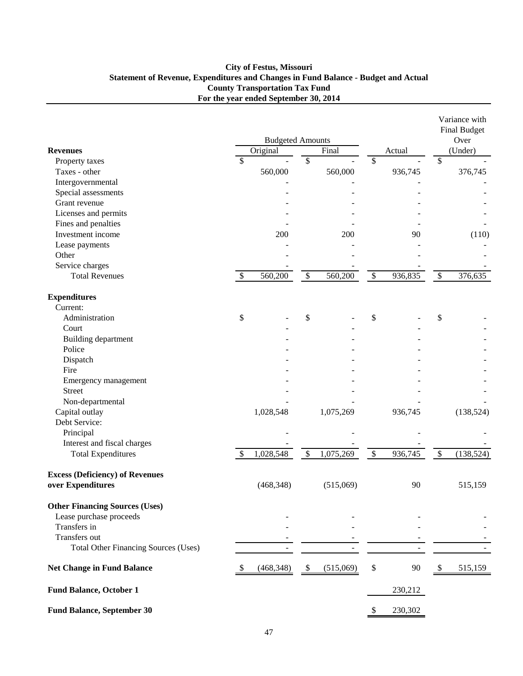## **City of Festus, Missouri Statement of Revenue, Expenditures and Changes in Fund Balance - Budget and Actual County Transportation Tax Fund For the year ended September 30, 2014**

|                                             |                 | <b>Budgeted Amounts</b> |                 |                |                          |         |                           | Variance with<br><b>Final Budget</b><br>Over |
|---------------------------------------------|-----------------|-------------------------|-----------------|----------------|--------------------------|---------|---------------------------|----------------------------------------------|
| <b>Revenues</b>                             |                 | Original                |                 | Final          |                          | Actual  |                           | (Under)                                      |
| Property taxes                              | $\overline{\$}$ |                         | $\overline{\$}$ |                | $\overline{\mathcal{S}}$ |         | $\overline{\mathcal{S}}$  |                                              |
| Taxes - other                               |                 | 560,000                 |                 | 560,000        |                          | 936,745 |                           | 376,745                                      |
| Intergovernmental                           |                 |                         |                 |                |                          |         |                           |                                              |
| Special assessments                         |                 |                         |                 |                |                          |         |                           |                                              |
| Grant revenue                               |                 |                         |                 |                |                          |         |                           |                                              |
| Licenses and permits                        |                 |                         |                 |                |                          |         |                           |                                              |
| Fines and penalties                         |                 |                         |                 |                |                          |         |                           |                                              |
| Investment income                           |                 | 200                     |                 | 200            |                          | 90      |                           | (110)                                        |
| Lease payments                              |                 |                         |                 |                |                          |         |                           |                                              |
| Other                                       |                 |                         |                 |                |                          |         |                           |                                              |
| Service charges                             |                 |                         |                 |                |                          |         |                           |                                              |
| <b>Total Revenues</b>                       | $\mathcal{S}$   | 560,200                 | $\mathbb{S}$    | 560,200        | $\$\,$                   | 936,835 | $\sqrt{3}$                | 376,635                                      |
| <b>Expenditures</b>                         |                 |                         |                 |                |                          |         |                           |                                              |
| Current:                                    |                 |                         |                 |                |                          |         |                           |                                              |
| Administration                              | \$              |                         | \$              |                | \$                       |         | \$                        |                                              |
| Court                                       |                 |                         |                 |                |                          |         |                           |                                              |
| Building department                         |                 |                         |                 |                |                          |         |                           |                                              |
| Police                                      |                 |                         |                 |                |                          |         |                           |                                              |
| Dispatch                                    |                 |                         |                 |                |                          |         |                           |                                              |
| Fire                                        |                 |                         |                 |                |                          |         |                           |                                              |
| Emergency management                        |                 |                         |                 |                |                          |         |                           |                                              |
| <b>Street</b>                               |                 |                         |                 |                |                          |         |                           |                                              |
| Non-departmental                            |                 |                         |                 |                |                          |         |                           |                                              |
| Capital outlay                              |                 | 1,028,548               |                 | 1,075,269      |                          | 936,745 |                           | (138, 524)                                   |
| Debt Service:                               |                 |                         |                 |                |                          |         |                           |                                              |
| Principal                                   |                 |                         |                 |                |                          |         |                           |                                              |
| Interest and fiscal charges                 |                 |                         |                 |                |                          |         |                           |                                              |
| <b>Total Expenditures</b>                   | \$              | 1,028,548               | $\overline{\$}$ | 1,075,269      | $\overline{\mathcal{L}}$ | 936,745 | \$                        | (138, 524)                                   |
| <b>Excess (Deficiency) of Revenues</b>      |                 |                         |                 |                |                          |         |                           |                                              |
| over Expenditures                           |                 | (468, 348)              |                 | (515,069)      |                          | 90      |                           | 515,159                                      |
| <b>Other Financing Sources (Uses)</b>       |                 |                         |                 |                |                          |         |                           |                                              |
| Lease purchase proceeds                     |                 |                         |                 |                |                          |         |                           |                                              |
| Transfers in                                |                 |                         |                 |                |                          |         |                           |                                              |
| Transfers out                               |                 |                         |                 |                |                          |         |                           |                                              |
| <b>Total Other Financing Sources (Uses)</b> |                 |                         |                 | $\blacksquare$ |                          |         |                           | $\overline{\phantom{a}}$                     |
| <b>Net Change in Fund Balance</b>           | \$              | (468, 348)              | \$              | (515,069)      | \$                       | 90      | $\boldsymbol{\mathsf{S}}$ | 515,159                                      |
| <b>Fund Balance, October 1</b>              |                 |                         |                 |                |                          | 230,212 |                           |                                              |
| <b>Fund Balance, September 30</b>           |                 |                         |                 |                | \$                       | 230,302 |                           |                                              |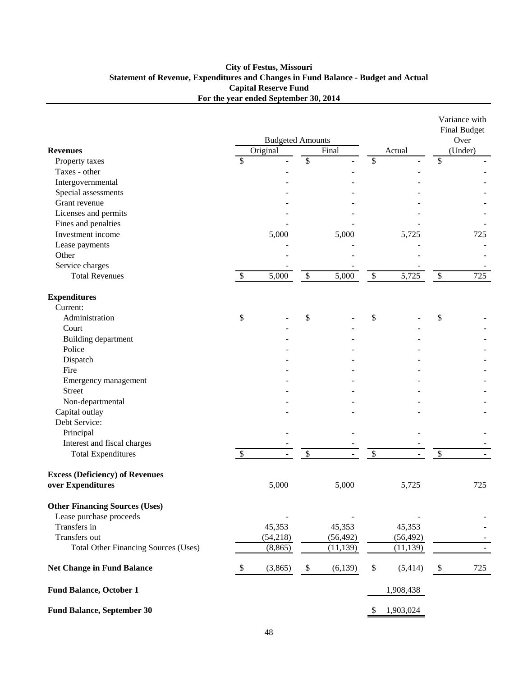## **City of Festus, Missouri Statement of Revenue, Expenditures and Changes in Fund Balance - Budget and Actual Capital Reserve Fund For the year ended September 30, 2014**

|                                             |                           |                                     |                 |                          |                 |           |                          | Variance with               |
|---------------------------------------------|---------------------------|-------------------------------------|-----------------|--------------------------|-----------------|-----------|--------------------------|-----------------------------|
|                                             |                           |                                     |                 |                          |                 |           |                          | <b>Final Budget</b><br>Over |
| <b>Revenues</b>                             |                           | <b>Budgeted Amounts</b><br>Original |                 | Final                    |                 | Actual    |                          | (Under)                     |
| Property taxes                              | $\mathcal{S}$             |                                     | \$              |                          | \$              |           | \$                       |                             |
| Taxes - other                               |                           |                                     |                 |                          |                 |           |                          |                             |
| Intergovernmental                           |                           |                                     |                 |                          |                 |           |                          |                             |
| Special assessments                         |                           |                                     |                 |                          |                 |           |                          |                             |
| Grant revenue                               |                           |                                     |                 |                          |                 |           |                          |                             |
| Licenses and permits                        |                           |                                     |                 |                          |                 |           |                          |                             |
| Fines and penalties                         |                           |                                     |                 |                          |                 |           |                          |                             |
| Investment income                           |                           | 5,000                               |                 | 5,000                    |                 | 5,725     |                          | 725                         |
| Lease payments                              |                           |                                     |                 |                          |                 |           |                          |                             |
| Other                                       |                           |                                     |                 |                          |                 |           |                          |                             |
| Service charges                             |                           |                                     |                 |                          |                 |           |                          |                             |
| <b>Total Revenues</b>                       | $\mathcal{S}$             | 5,000                               | $\overline{\$}$ | 5,000                    | $\overline{\$}$ | 5,725     | $\overline{\mathcal{S}}$ | 725                         |
| <b>Expenditures</b>                         |                           |                                     |                 |                          |                 |           |                          |                             |
| Current:                                    |                           |                                     |                 |                          |                 |           |                          |                             |
| Administration                              | \$                        |                                     | \$              |                          | \$              |           | \$                       |                             |
| Court                                       |                           |                                     |                 |                          |                 |           |                          |                             |
| Building department                         |                           |                                     |                 |                          |                 |           |                          |                             |
| Police                                      |                           |                                     |                 |                          |                 |           |                          |                             |
| Dispatch                                    |                           |                                     |                 |                          |                 |           |                          |                             |
| Fire                                        |                           |                                     |                 |                          |                 |           |                          |                             |
| Emergency management                        |                           |                                     |                 |                          |                 |           |                          |                             |
| <b>Street</b>                               |                           |                                     |                 |                          |                 |           |                          |                             |
| Non-departmental                            |                           |                                     |                 |                          |                 |           |                          |                             |
| Capital outlay                              |                           |                                     |                 |                          |                 |           |                          |                             |
| Debt Service:                               |                           |                                     |                 |                          |                 |           |                          |                             |
| Principal                                   |                           |                                     |                 |                          |                 |           |                          |                             |
| Interest and fiscal charges                 |                           |                                     |                 |                          |                 |           |                          |                             |
| <b>Total Expenditures</b>                   | $\boldsymbol{\mathsf{S}}$ |                                     | \$              | $\overline{\phantom{a}}$ | \$              |           | \$                       |                             |
| <b>Excess (Deficiency) of Revenues</b>      |                           |                                     |                 |                          |                 |           |                          |                             |
| over Expenditures                           |                           | 5,000                               |                 | 5,000                    |                 | 5,725     |                          | 725                         |
| <b>Other Financing Sources (Uses)</b>       |                           |                                     |                 |                          |                 |           |                          |                             |
| Lease purchase proceeds                     |                           |                                     |                 |                          |                 |           |                          |                             |
| Transfers in                                |                           | 45,353                              |                 | 45,353                   |                 | 45,353    |                          |                             |
| Transfers out                               |                           | (54,218)                            |                 | (56, 492)                |                 | (56, 492) |                          |                             |
| <b>Total Other Financing Sources (Uses)</b> |                           | (8, 865)                            |                 | (11, 139)                |                 | (11, 139) |                          |                             |
| <b>Net Change in Fund Balance</b>           | \$                        | (3,865)                             | \$              | (6,139)                  | \$              | (5, 414)  | \$                       | 725                         |
| <b>Fund Balance, October 1</b>              |                           |                                     |                 |                          |                 | 1,908,438 |                          |                             |
| <b>Fund Balance, September 30</b>           |                           |                                     |                 |                          |                 | 1,903,024 |                          |                             |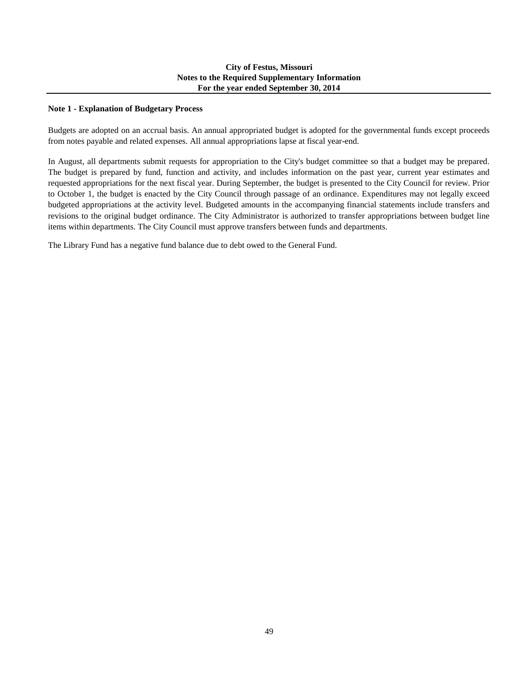### **Note 1 - Explanation of Budgetary Process**

Budgets are adopted on an accrual basis. An annual appropriated budget is adopted for the governmental funds except proceeds from notes payable and related expenses. All annual appropriations lapse at fiscal year-end.

In August, all departments submit requests for appropriation to the City's budget committee so that a budget may be prepared. The budget is prepared by fund, function and activity, and includes information on the past year, current year estimates and requested appropriations for the next fiscal year. During September, the budget is presented to the City Council for review. Prior to October 1, the budget is enacted by the City Council through passage of an ordinance. Expenditures may not legally exceed budgeted appropriations at the activity level. Budgeted amounts in the accompanying financial statements include transfers and revisions to the original budget ordinance. The City Administrator is authorized to transfer appropriations between budget line items within departments. The City Council must approve transfers between funds and departments.

The Library Fund has a negative fund balance due to debt owed to the General Fund.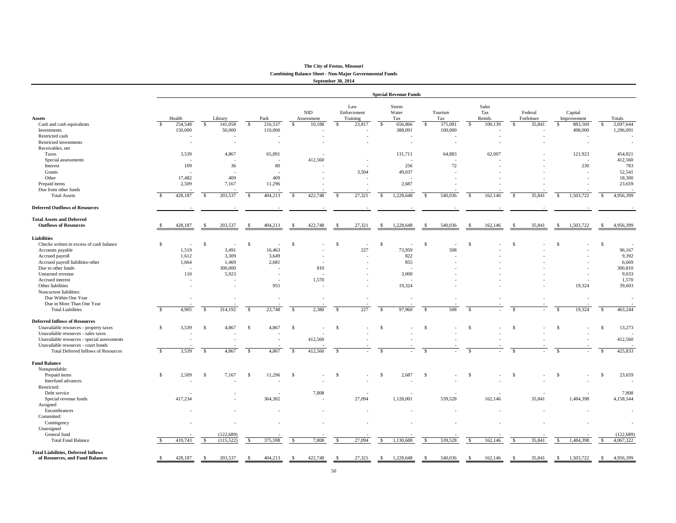### **The City of Festus, Missouri Combining Balance Sheet - Non-Major Governmental Funds September 30, 2014**

|                                             | <b>Special Revenue Funds</b> |         |               |                          |                         |                          |                         |                          |                         |                    |      |                |                         |         |                         |              |                         |            |               |             |               |            |
|---------------------------------------------|------------------------------|---------|---------------|--------------------------|-------------------------|--------------------------|-------------------------|--------------------------|-------------------------|--------------------|------|----------------|-------------------------|---------|-------------------------|--------------|-------------------------|------------|---------------|-------------|---------------|------------|
|                                             |                              |         |               |                          |                         |                          |                         | NID                      |                         | Law<br>Enforcement |      | Storm<br>Water |                         | Tourism |                         | Sales<br>Tax |                         | Federal    |               | Capital     |               |            |
| <b>Assets</b>                               |                              | Health  | Library       |                          |                         | Park                     |                         | Assessment               |                         | Training           |      | Tax            |                         | Tax     |                         | Reimb.       |                         | Forfeiture |               | Improvement |               | Totals     |
| Cash and cash equivalents                   | -S                           | 254,548 | <sup>\$</sup> | 141,058                  | - \$                    | 216,537                  | -S                      | 10,188                   | -S                      | 23,817             | S.   | 656,866        | \$                      | 375,081 | <sup>\$</sup>           | 100,139      | \$                      | 35,841     | <sup>\$</sup> | 883,569     | -S            | 2,697,644  |
| Investments                                 |                              | 150,000 |               | 50,000                   |                         | 110,000                  |                         |                          |                         |                    |      | 388,091        |                         | 100,000 |                         |              |                         |            |               | 498,000     |               | 1,296,091  |
| Restricted cash                             |                              |         |               |                          |                         |                          |                         |                          |                         |                    |      |                |                         |         |                         |              |                         |            |               |             |               |            |
| Restricted investments                      |                              |         |               |                          |                         |                          |                         |                          |                         |                    |      |                |                         |         |                         |              |                         |            |               |             |               |            |
| Receivables, net                            |                              |         |               |                          |                         |                          |                         |                          |                         |                    |      |                |                         |         |                         |              |                         |            |               |             |               |            |
| Taxes                                       |                              | 3,539   |               | 4,867                    |                         | 65,891                   |                         |                          |                         |                    |      | 131,711        |                         | 64,883  |                         | 62,007       |                         |            |               | 121,923     |               | 454,821    |
| Special assessments                         |                              |         |               |                          |                         | $\overline{\phantom{a}}$ |                         | 412,560                  |                         |                    |      |                |                         | $\sim$  |                         |              |                         |            |               |             |               | 412,560    |
| Interest                                    |                              | 109     |               | 36                       |                         | 80                       |                         |                          |                         |                    |      | 256            |                         | 72      |                         |              |                         |            |               | 230         |               | 783        |
| Grants                                      |                              |         |               |                          |                         |                          |                         |                          |                         | 3,504              |      | 49,037         |                         |         |                         |              |                         |            |               |             |               | 52,541     |
| Other                                       |                              | 17,482  |               | 409                      |                         | 409                      |                         |                          |                         |                    |      |                |                         |         |                         |              |                         |            |               |             |               | 18,300     |
|                                             |                              |         |               |                          |                         |                          |                         |                          |                         |                    |      |                |                         |         |                         |              |                         |            |               |             |               |            |
| Prepaid items                               |                              | 2,509   |               | 7,167                    |                         | 11,296                   |                         |                          |                         |                    |      | 2,687          |                         |         |                         |              |                         |            |               |             |               | 23,659     |
| Due from other funds                        |                              |         |               |                          |                         |                          |                         |                          |                         |                    |      |                |                         |         |                         |              |                         |            |               |             |               |            |
| <b>Total Assets</b>                         | -\$                          | 428,187 | - \$          | 203,537                  | - \$                    | 404,213                  | -S                      | 422,748                  | -S                      | 27,321             | - S  | 1,228,648      | - \$                    | 540,036 | - \$                    | 162,146      | - \$                    | 35,841     | -S            | 1,503,722   | <sup>\$</sup> | 4,956,399  |
| <b>Deferred Outflows of Resources</b>       |                              |         |               |                          |                         |                          |                         |                          |                         |                    |      |                |                         |         |                         |              |                         |            |               |             |               |            |
| <b>Total Assets and Deferred</b>            |                              |         |               |                          |                         |                          |                         |                          |                         |                    |      |                |                         |         |                         |              |                         |            |               |             |               |            |
| <b>Outflows of Resources</b>                |                              | 428,187 | -S            | 203,537                  | -8                      | 404,213                  |                         | 422,748                  | -S                      | 27,321             | -S   | 1,228,648      | -S                      | 540,036 | - \$                    | 162,146      | -8                      | 35,841     | - \$          | 1,503,722   | -S            | 4,956,399  |
| <b>Liabilities</b>                          |                              |         |               |                          |                         |                          |                         |                          |                         |                    |      |                |                         |         |                         |              |                         |            |               |             |               |            |
| Checks written in excess of cash balance    | \$                           |         | <sup>\$</sup> |                          | $\mathbb{S}$            |                          | <sup>\$</sup>           |                          | $\mathcal{S}$           |                    | -S   |                | $\mathbb{S}$            |         | - \$                    |              | - \$                    |            | - \$          |             | <sup>\$</sup> |            |
| Accounts payable                            |                              | 1,519   |               | 3,491                    |                         | 16,463                   |                         |                          |                         | 227                |      | 73,959         |                         | 508     |                         |              |                         |            |               |             |               | 96,167     |
| Accrued payroll                             |                              | 1,612   |               | 3,309                    |                         | 3,649                    |                         |                          |                         |                    |      | 822            |                         |         |                         |              |                         |            |               |             |               | 9,392      |
|                                             |                              |         |               |                          |                         |                          |                         |                          |                         |                    |      |                |                         |         |                         |              |                         |            |               |             |               |            |
| Accrued payroll liabilities-other           |                              | 1,664   |               | 1,469                    |                         | 2,681                    |                         |                          |                         |                    |      | 855            |                         |         |                         |              |                         |            |               |             |               | 6,669      |
| Due to other funds                          |                              | $\sim$  |               | 300,000                  |                         | $\sim$                   |                         | 810                      |                         |                    |      |                |                         |         |                         |              |                         |            |               |             |               | 300,810    |
| Unearned revenue                            |                              | 110     |               | 5,923                    |                         | $\overline{\phantom{a}}$ |                         |                          |                         |                    |      | 3,000          |                         |         |                         |              |                         |            |               |             |               | 9,033      |
| Accrued interest                            |                              |         |               | $\overline{\phantom{a}}$ |                         | $\overline{\phantom{a}}$ |                         | 1,570                    |                         |                    |      |                |                         |         |                         |              |                         |            |               |             |               | 1,570      |
| Other liabilities                           |                              |         |               |                          |                         | 955                      |                         |                          |                         |                    |      | 19,324         |                         |         |                         |              |                         |            |               | 19,324      |               | 39,603     |
| Noncurrent liabilities:                     |                              |         |               |                          |                         |                          |                         |                          |                         |                    |      |                |                         |         |                         |              |                         |            |               |             |               |            |
| Due Within One Year                         |                              |         |               |                          |                         |                          |                         |                          |                         |                    |      |                |                         |         |                         |              |                         |            |               |             |               |            |
| Due in More Than One Year                   |                              |         |               |                          |                         |                          |                         |                          |                         |                    |      |                |                         |         |                         |              |                         |            |               |             |               |            |
| <b>Total Liabilities</b>                    | $\mathcal{S}$                | 4,905   | $\mathcal{S}$ | 314,192                  | $\overline{\mathbf{s}}$ | 23,748                   | $\overline{\mathbf{s}}$ | 2,380                    | $\overline{\mathbf{s}}$ | 227                | - \$ | 97,960         | $\overline{\mathbf{s}}$ | 508     | $\overline{\mathbf{s}}$ |              | $\overline{\mathbf{s}}$ |            | -S            | 19,324      | <sup>S</sup>  | 463,244    |
| <b>Deferred Inflows of Resources</b>        |                              |         |               |                          |                         |                          |                         |                          |                         |                    |      |                |                         |         |                         |              |                         |            |               |             |               |            |
| Unavailable resources - property taxes      | \$                           | 3,539   | -S            | 4,867                    | -S                      | 4,867                    | \$                      |                          | -S                      |                    | -S   |                | -S                      |         | -S                      |              | -\$                     |            | -S            |             | -S            | 13,273     |
|                                             |                              |         |               |                          |                         |                          |                         |                          |                         |                    |      |                |                         |         |                         |              |                         |            |               |             |               |            |
| Unavailable resources - sales taxes         |                              |         |               |                          |                         |                          |                         |                          |                         |                    |      |                |                         |         |                         |              |                         |            |               |             |               |            |
| Unavailable resources - special assessments |                              |         |               |                          |                         |                          |                         | 412,560                  |                         |                    |      |                |                         |         |                         |              |                         |            |               |             |               | 412,560    |
| Unavailable resources - court bonds         |                              |         |               |                          |                         |                          |                         |                          |                         |                    |      |                |                         |         |                         |              |                         |            |               |             |               |            |
| <b>Total Deferred Inflows of Resources</b>  | <sup>\$</sup>                | 3,539   | -S            | 4,867                    | - \$                    | 4,867                    | <sup>\$</sup>           | 412,560                  | - S                     |                    | -S   |                | $\mathbf{s}$            |         | - \$                    |              | $\mathbf{\hat{S}}$      |            | -S            |             | -S            | 425,833    |
| <b>Fund Balance</b>                         |                              |         |               |                          |                         |                          |                         |                          |                         |                    |      |                |                         |         |                         |              |                         |            |               |             |               |            |
| Nonspendable:                               |                              |         |               |                          |                         |                          |                         |                          |                         |                    |      |                |                         |         |                         |              |                         |            |               |             |               |            |
| Prepaid items                               | \$                           | 2,509   | \$            | 7,167                    | -\$                     | 11,296                   | \$                      |                          | -S                      |                    | S.   | 2,687          | - \$                    |         | -S                      |              | -\$                     |            | -S            |             | \$            | 23,659     |
| Interfund advances                          |                              |         |               |                          |                         |                          |                         |                          |                         |                    |      |                |                         |         |                         |              |                         |            |               |             |               |            |
| Restricted:                                 |                              |         |               |                          |                         |                          |                         |                          |                         |                    |      |                |                         |         |                         |              |                         |            |               |             |               |            |
| Debt service                                |                              |         |               |                          |                         |                          |                         | 7,808                    |                         |                    |      |                |                         |         |                         |              |                         |            |               |             |               | 7,808      |
| Special revenue funds                       |                              | 417,234 |               |                          |                         | 364,302                  |                         |                          |                         | 27,094             |      | 1,128,001      |                         | 539,528 |                         | 162,146      |                         | 35,841     |               | 1,484,398   |               | 4,158,544  |
|                                             |                              |         |               |                          |                         |                          |                         |                          |                         |                    |      |                |                         |         |                         |              |                         |            |               |             |               |            |
| Assigned                                    |                              |         |               |                          |                         |                          |                         |                          |                         |                    |      |                |                         |         |                         |              |                         |            |               |             |               | $\sim$     |
| Encumbrances                                |                              |         |               |                          |                         |                          |                         |                          |                         |                    |      |                |                         |         |                         |              |                         |            |               |             |               |            |
| Committed:                                  |                              |         |               |                          |                         |                          |                         |                          |                         |                    |      |                |                         |         |                         |              |                         |            |               |             |               |            |
| Contingency                                 |                              | $\sim$  |               | $\sim$                   |                         | $\overline{\phantom{a}}$ |                         | $\overline{\phantom{a}}$ |                         |                    |      |                |                         |         |                         |              |                         |            |               |             |               | $\sim$     |
| Unassigned                                  |                              |         |               |                          |                         |                          |                         |                          |                         |                    |      |                |                         |         |                         |              |                         |            |               |             |               |            |
| General fund                                |                              |         |               | (122, 689)               |                         |                          |                         |                          |                         |                    |      |                |                         |         |                         |              |                         |            |               |             |               | (122, 689) |
| <b>Total Fund Balance</b>                   |                              | 419,743 | S.            | (115, 522)               | - \$                    | 375,598                  | \$                      | 7,808                    | -S                      | 27,094             | -S   | 1,130,688      | -S                      | 539,528 | -S                      | 162,146      | -S                      | 35,841     | -S            | 1,484,398   | S.            | 4,067,322  |
| <b>Total Liabilities, Deferred Inflows</b>  |                              |         |               |                          |                         |                          |                         |                          |                         |                    |      |                |                         |         |                         |              |                         |            |               |             |               |            |
| of Resources, and Fund Balances             | <sup>S</sup>                 | 428,187 | -S            | 203,537                  | -S                      | 404,213                  | -S                      | 422,748                  | -S                      | 27,321             | - S  | 1,228,648      | <sup>S</sup>            | 540,036 | - S                     | 162,146      | -S                      | 35,841     | S.            | 1,503,722   | -S            | 4,956,399  |
|                                             |                              |         |               |                          |                         |                          |                         |                          |                         |                    |      |                |                         |         |                         |              |                         |            |               |             |               |            |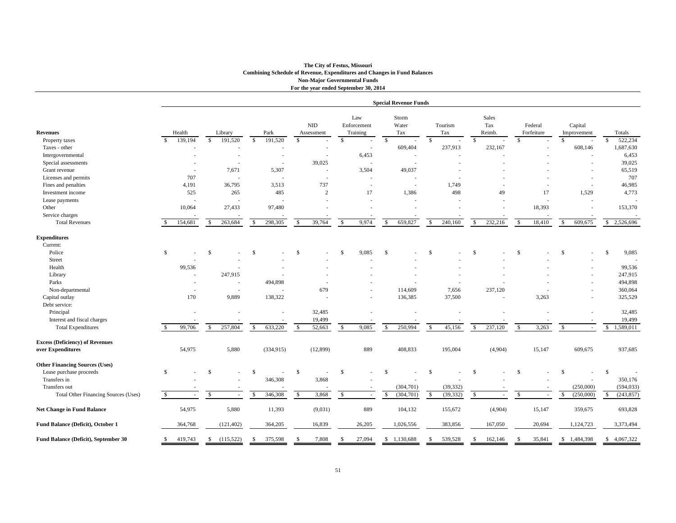### **The City of Festus, Missouri Combining Schedule of Revenue, Expenditures and Changes in Fund Balances For the year ended September 30, 2014 Non-Major Governmental Funds**

|                                             |               |                          |               |                          |                    |                          |                    |                |              |                          |               | <b>Special Revenue Funds</b> |               |           |                    |                     |                    |            |                    |                          |               |             |
|---------------------------------------------|---------------|--------------------------|---------------|--------------------------|--------------------|--------------------------|--------------------|----------------|--------------|--------------------------|---------------|------------------------------|---------------|-----------|--------------------|---------------------|--------------------|------------|--------------------|--------------------------|---------------|-------------|
|                                             |               |                          |               |                          |                    |                          |                    | ${\rm NID}$    |              | Law<br>Enforcement       |               | Storm<br>Water               |               | Tourism   |                    | <b>Sales</b><br>Tax |                    | Federal    |                    | Capital                  |               |             |
| <b>Revenues</b>                             | Health        |                          |               | Library                  |                    | Park                     |                    | Assessment     |              | Training                 |               | Tax                          |               | Tax       |                    | Reimb.              |                    | Forfeiture |                    | Improvement              |               | Totals      |
| Property taxes                              | $\mathcal{S}$ | 139,194                  | \$            | 191,520                  | $\mathbb{S}$       | 191,520                  | \$                 |                | $\mathbb{S}$ | $\sim$                   | $\mathbb{S}$  |                              | $\mathbb{S}$  |           | $\mathcal{S}$      |                     | $\mathbb{S}$       | $\sim$     | $\mathbb{S}$       | $\sim$                   | $\mathbb{S}$  | 522,234     |
| Taxes - other                               |               |                          |               |                          |                    |                          |                    |                |              | $\sim$                   |               | 609,404                      |               | 237,913   |                    | 232,167             |                    |            |                    | 608,146                  |               | 1,687,630   |
| Intergovernmental                           |               |                          |               |                          |                    | $\sim$                   |                    |                |              | 6,453                    |               |                              |               |           |                    |                     |                    |            |                    |                          |               | 6,453       |
| Special assessments                         |               |                          |               | $\overline{a}$           |                    | $\overline{\phantom{a}}$ |                    | 39,025         |              | $\overline{\phantom{a}}$ |               |                              |               |           |                    |                     |                    |            |                    | $\overline{\phantom{a}}$ |               | 39,025      |
| Grant revenue                               |               |                          |               | 7,671                    |                    | 5,307                    |                    |                |              | 3,504                    |               | 49,037                       |               |           |                    |                     |                    |            |                    |                          |               | 65,519      |
| Licenses and permits                        |               | 707                      |               | $\overline{\phantom{a}}$ |                    |                          |                    | $\sim$         |              | $\sim$                   |               |                              |               |           |                    |                     |                    |            |                    |                          |               | 707         |
| Fines and penalties                         |               | 4,191                    |               | 36,795                   |                    | 3,513                    |                    | 737            |              | $\sim$                   |               |                              |               | 1,749     |                    |                     |                    |            |                    |                          |               | 46,985      |
| Investment income                           |               | 525                      |               | 265                      |                    | 485                      |                    | $\overline{2}$ |              | 17                       |               | 1,386                        |               | 498       |                    | 49                  |                    | 17         |                    | 1,529                    |               | 4,773       |
| Lease payments                              |               |                          |               |                          |                    |                          |                    |                |              | $\overline{\phantom{a}}$ |               |                              |               |           |                    |                     |                    |            |                    |                          |               |             |
| Other                                       |               | 10,064                   |               | 27,433                   |                    | 97,480                   |                    |                |              |                          |               |                              |               |           |                    |                     |                    | 18,393     |                    |                          |               | 153,370     |
| Service charges                             |               |                          |               |                          |                    |                          |                    |                |              |                          |               |                              |               |           |                    |                     |                    |            |                    |                          |               |             |
| <b>Total Revenues</b>                       |               | 154,681                  | \$            | 263,684                  | \$                 | 298,305                  | -\$                | 39,764         | -\$          | 9,974                    | -\$           | 659,827                      | \$            | 240,160   | -S                 | 232,216             | $\mathcal{S}$      | 18,410     | \$                 | 609,675                  |               | \$2,526,696 |
| <b>Expenditures</b>                         |               |                          |               |                          |                    |                          |                    |                |              |                          |               |                              |               |           |                    |                     |                    |            |                    |                          |               |             |
| Current:                                    |               |                          |               |                          |                    |                          |                    |                |              |                          |               |                              |               |           |                    |                     |                    |            |                    |                          |               |             |
| Police                                      | \$            |                          | $\mathcal{S}$ |                          | $\mathbf{\hat{S}}$ |                          | $\mathcal{S}$      |                | $\mathbf{s}$ | 9,085                    | -\$           |                              | $\mathcal{S}$ |           | $\mathcal{S}$      |                     | $\mathbb{S}$       |            | $\mathbf{\hat{S}}$ |                          | $\mathbb{S}$  | 9,085       |
| <b>Street</b>                               |               |                          |               |                          |                    |                          |                    |                |              |                          |               |                              |               |           |                    |                     |                    |            |                    |                          |               | $\sim$      |
| Health                                      |               | 99,536                   |               |                          |                    |                          |                    |                |              |                          |               |                              |               |           |                    |                     |                    |            |                    |                          |               | 99,536      |
| Library                                     |               |                          |               | 247,915                  |                    |                          |                    |                |              |                          |               |                              |               |           |                    |                     |                    |            |                    |                          |               | 247,915     |
| Parks                                       |               | $\overline{\phantom{a}}$ |               | $\sim$                   |                    | 494,898                  |                    |                |              |                          |               |                              |               |           |                    |                     |                    |            |                    |                          |               | 494,898     |
| Non-departmental                            |               |                          |               |                          |                    |                          |                    | 679            |              |                          |               | 114,609                      |               | 7,656     |                    | 237,120             |                    |            |                    |                          |               | 360,064     |
| Capital outlay                              |               | 170                      |               | 9,889                    |                    | 138,322                  |                    |                |              | $\overline{\phantom{a}}$ |               | 136,385                      |               | 37,500    |                    |                     |                    | 3,263      |                    |                          |               | 325,529     |
| Debt service:                               |               |                          |               |                          |                    |                          |                    |                |              |                          |               |                              |               |           |                    |                     |                    |            |                    |                          |               |             |
| Principal                                   |               |                          |               |                          |                    | $\overline{\phantom{a}}$ |                    | 32,485         |              |                          |               |                              |               |           |                    |                     |                    |            |                    |                          |               | 32,485      |
| Interest and fiscal charges                 |               |                          |               |                          |                    |                          |                    | 19,499         |              |                          |               |                              |               |           |                    |                     |                    |            |                    |                          |               | 19,499      |
| <b>Total Expenditures</b>                   |               | 99,706                   | -\$           | 257,804                  | £.                 | 633,220                  | -8                 | 52,663         | -8           | 9,085                    | -\$           | 250,994                      | -\$           | 45,156    |                    | 237,120             |                    | 3,263      | -8                 |                          | \$            | 1,589,011   |
| <b>Excess (Deficiency) of Revenues</b>      |               |                          |               |                          |                    |                          |                    |                |              |                          |               |                              |               |           |                    |                     |                    |            |                    |                          |               |             |
| over Expenditures                           |               | 54,975                   |               | 5,880                    |                    | (334, 915)               |                    | (12,899)       |              | 889                      |               | 408,833                      |               | 195,004   |                    | (4,904)             |                    | 15,147     |                    | 609,675                  |               | 937,685     |
| <b>Other Financing Sources (Uses)</b>       |               |                          |               |                          |                    |                          |                    |                |              |                          |               |                              |               |           |                    |                     |                    |            |                    |                          |               |             |
| Lease purchase proceeds                     | $\mathbb{S}$  |                          | -\$           |                          | \$                 |                          | \$                 |                | \$           |                          | -\$           |                              | -\$           |           | <sup>\$</sup>      |                     | $\mathbf{\hat{S}}$ |            | $\mathcal{S}$      |                          | \$            |             |
| Transfers in                                |               |                          |               |                          |                    | 346,308                  |                    | 3,868          |              |                          |               |                              |               |           |                    |                     |                    |            |                    |                          |               | 350,176     |
| Transfers out                               |               |                          |               |                          |                    |                          |                    |                |              |                          |               | (304, 701)                   |               | (39, 332) |                    |                     |                    |            |                    | (250,000)                |               | (594, 033)  |
| <b>Total Other Financing Sources (Uses)</b> | $\mathcal{S}$ | $\sim$                   | -\$           | $\overline{\phantom{a}}$ | <sup>\$</sup>      | 346,308                  | $\mathbf{\hat{S}}$ | 3,868          | $\mathbb{S}$ | $\sim$                   | <sup>\$</sup> | (304, 701)                   | <sup>\$</sup> | (39, 332) | $\mathbf{\hat{s}}$ |                     | $\mathcal{S}$      | $\sim$     | $\mathbb{S}$       | (250,000)                | $\mathcal{S}$ | (243, 857)  |
|                                             |               |                          |               |                          |                    |                          |                    |                |              |                          |               |                              |               |           |                    |                     |                    |            |                    |                          |               |             |
| <b>Net Change in Fund Balance</b>           |               | 54,975                   |               | 5,880                    |                    | 11,393                   |                    | (9,031)        |              | 889                      |               | 104,132                      |               | 155,672   |                    | (4,904)             |                    | 15,147     |                    | 359,675                  |               | 693,828     |
| Fund Balance (Deficit), October 1           |               | 364,768                  |               | (121, 402)               |                    | 364,205                  |                    | 16,839         |              | 26,205                   |               | 1,026,556                    |               | 383,856   |                    | 167,050             |                    | 20,694     |                    | 1,124,723                |               | 3,373,494   |
| Fund Balance (Deficit), September 30        | -S            | 419,743                  | -S            | (115, 522)               |                    | 375,598                  |                    | 7,808          |              | 27,094                   | S.            | 1,130,688                    |               | 539,528   |                    | 162,146             |                    | 35,841     | \$                 | 1,484,398                | <sup>\$</sup> | 4,067,322   |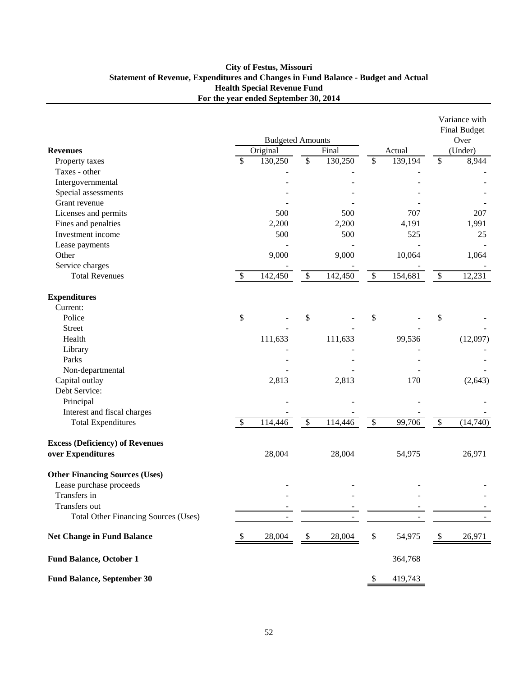## **City of Festus, Missouri Statement of Revenue, Expenditures and Changes in Fund Balance - Budget and Actual Health Special Revenue Fund For the year ended September 30, 2014**

|                                             |                          |                         |                           |         |                          |         |                          | Variance with<br><b>Final Budget</b> |
|---------------------------------------------|--------------------------|-------------------------|---------------------------|---------|--------------------------|---------|--------------------------|--------------------------------------|
|                                             |                          | <b>Budgeted Amounts</b> |                           |         |                          |         |                          | Over                                 |
| <b>Revenues</b>                             |                          | Original                |                           | Final   |                          | Actual  |                          | (Under)                              |
| Property taxes                              | $\overline{\mathcal{S}}$ | 130,250                 | $\overline{\$}$           | 130,250 | $\overline{\mathcal{S}}$ | 139,194 | $\overline{\$}$          | 8,944                                |
| Taxes - other                               |                          |                         |                           |         |                          |         |                          |                                      |
| Intergovernmental                           |                          |                         |                           |         |                          |         |                          |                                      |
| Special assessments                         |                          |                         |                           |         |                          |         |                          |                                      |
| Grant revenue                               |                          |                         |                           |         |                          |         |                          |                                      |
| Licenses and permits                        |                          | 500                     |                           | 500     |                          | 707     |                          | 207                                  |
| Fines and penalties                         |                          | 2,200                   |                           | 2,200   |                          | 4,191   |                          | 1,991                                |
| Investment income                           |                          | 500                     |                           | 500     |                          | 525     |                          | 25                                   |
| Lease payments                              |                          |                         |                           |         |                          |         |                          |                                      |
| Other                                       |                          | 9,000                   |                           | 9,000   |                          | 10,064  |                          | 1,064                                |
| Service charges                             |                          |                         |                           |         |                          |         |                          |                                      |
| <b>Total Revenues</b>                       | $\mathcal{S}$            | 142,450                 | $\boldsymbol{\mathsf{S}}$ | 142,450 | $\$$                     | 154,681 | $\overline{\mathcal{L}}$ | 12,231                               |
| <b>Expenditures</b>                         |                          |                         |                           |         |                          |         |                          |                                      |
| Current:                                    |                          |                         |                           |         |                          |         |                          |                                      |
| Police                                      | \$                       |                         | \$                        |         | \$                       |         | \$                       |                                      |
| <b>Street</b>                               |                          |                         |                           |         |                          |         |                          |                                      |
| Health                                      |                          | 111,633                 |                           | 111,633 |                          | 99,536  |                          | (12,097)                             |
| Library                                     |                          |                         |                           |         |                          |         |                          |                                      |
| Parks                                       |                          |                         |                           |         |                          |         |                          |                                      |
| Non-departmental                            |                          |                         |                           |         |                          |         |                          |                                      |
| Capital outlay                              |                          | 2,813                   |                           | 2,813   |                          | 170     |                          | (2,643)                              |
| Debt Service:                               |                          |                         |                           |         |                          |         |                          |                                      |
| Principal                                   |                          |                         |                           |         |                          |         |                          |                                      |
| Interest and fiscal charges                 |                          |                         |                           |         |                          |         |                          |                                      |
| <b>Total Expenditures</b>                   | $\mathcal{S}$            | 114,446                 | $\boldsymbol{\$}$         | 114,446 | $\$\,$                   | 99,706  | $\overline{\mathcal{S}}$ | (14,740)                             |
| <b>Excess (Deficiency) of Revenues</b>      |                          |                         |                           |         |                          |         |                          |                                      |
| over Expenditures                           |                          | 28,004                  |                           | 28,004  |                          | 54,975  |                          | 26,971                               |
| <b>Other Financing Sources (Uses)</b>       |                          |                         |                           |         |                          |         |                          |                                      |
| Lease purchase proceeds                     |                          |                         |                           |         |                          |         |                          |                                      |
| Transfers in                                |                          |                         |                           |         |                          |         |                          |                                      |
| Transfers out                               |                          |                         |                           |         |                          |         |                          |                                      |
| <b>Total Other Financing Sources (Uses)</b> |                          |                         |                           |         |                          |         |                          |                                      |
| <b>Net Change in Fund Balance</b>           | \$                       | 28,004                  | \$                        | 28,004  | \$                       | 54,975  | \$                       | 26,971                               |
| <b>Fund Balance, October 1</b>              |                          |                         |                           |         |                          | 364,768 |                          |                                      |
| <b>Fund Balance, September 30</b>           |                          |                         |                           |         |                          | 419,743 |                          |                                      |
|                                             |                          |                         |                           |         |                          |         |                          |                                      |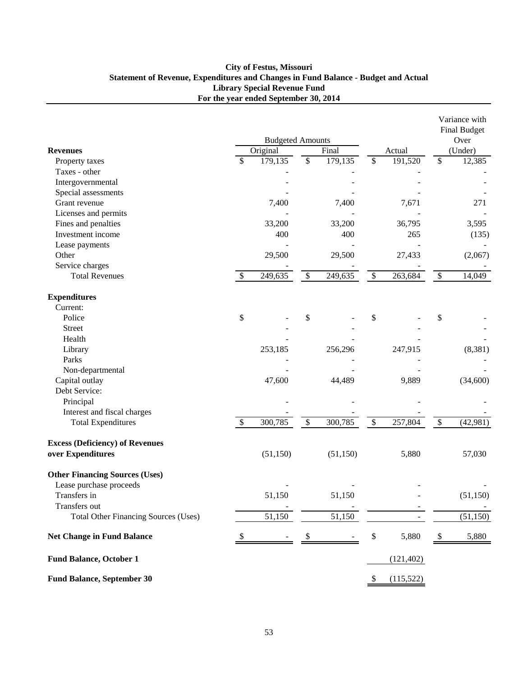## **City of Festus, Missouri Statement of Revenue, Expenditures and Changes in Fund Balance - Budget and Actual Library Special Revenue Fund For the year ended September 30, 2014**

|                                             |                          |                         |                   |          |                 |                      |                           | Variance with<br><b>Final Budget</b> |
|---------------------------------------------|--------------------------|-------------------------|-------------------|----------|-----------------|----------------------|---------------------------|--------------------------------------|
|                                             |                          | <b>Budgeted Amounts</b> |                   |          |                 |                      |                           | Over                                 |
| <b>Revenues</b>                             |                          | Original                |                   | Final    |                 | Actual               |                           | (Under)                              |
| Property taxes                              | $\overline{\mathcal{S}}$ | 179,135                 | $\overline{\$}$   | 179,135  | $\overline{\$}$ | 191,520              | $\overline{\mathcal{S}}$  | 12,385                               |
| Taxes - other                               |                          |                         |                   |          |                 |                      |                           |                                      |
| Intergovernmental                           |                          |                         |                   |          |                 |                      |                           |                                      |
| Special assessments                         |                          |                         |                   |          |                 |                      |                           |                                      |
| Grant revenue                               |                          | 7,400                   |                   | 7,400    |                 | 7,671                |                           | 271                                  |
| Licenses and permits                        |                          |                         |                   |          |                 |                      |                           |                                      |
| Fines and penalties                         |                          | 33,200                  |                   | 33,200   |                 | 36,795               |                           | 3,595                                |
| Investment income                           |                          | 400                     |                   | 400      |                 | 265                  |                           | (135)                                |
| Lease payments                              |                          |                         |                   |          |                 |                      |                           |                                      |
| Other                                       |                          | 29,500                  |                   | 29,500   |                 | 27,433               |                           | (2,067)                              |
| Service charges                             |                          |                         |                   |          |                 |                      |                           |                                      |
| <b>Total Revenues</b>                       | $\mathcal{S}$            | 249,635                 | $\$$              | 249,635  | \$              | 263,684              | $\sqrt{3}$                | 14,049                               |
| <b>Expenditures</b>                         |                          |                         |                   |          |                 |                      |                           |                                      |
| Current:                                    |                          |                         |                   |          |                 |                      |                           |                                      |
| Police                                      | \$                       |                         | \$                |          | \$              |                      | \$                        |                                      |
| <b>Street</b>                               |                          |                         |                   |          |                 |                      |                           |                                      |
| Health                                      |                          |                         |                   |          |                 |                      |                           |                                      |
| Library                                     |                          | 253,185                 |                   | 256,296  |                 | 247,915              |                           | (8,381)                              |
| Parks                                       |                          |                         |                   |          |                 |                      |                           |                                      |
| Non-departmental                            |                          |                         |                   |          |                 |                      |                           |                                      |
| Capital outlay                              |                          | 47,600                  |                   | 44,489   |                 | 9,889                |                           | (34,600)                             |
| Debt Service:                               |                          |                         |                   |          |                 |                      |                           |                                      |
| Principal                                   |                          |                         |                   |          |                 |                      |                           |                                      |
| Interest and fiscal charges                 |                          |                         |                   |          |                 |                      |                           |                                      |
| <b>Total Expenditures</b>                   | $\mathcal{S}$            | 300,785                 | $\boldsymbol{\$}$ | 300,785  | $\$$            | $\overline{257,804}$ | $\mathbb{S}$              | (42,981)                             |
| <b>Excess (Deficiency) of Revenues</b>      |                          |                         |                   |          |                 |                      |                           |                                      |
| over Expenditures                           |                          | (51, 150)               |                   | (51,150) |                 | 5,880                |                           | 57,030                               |
| <b>Other Financing Sources (Uses)</b>       |                          |                         |                   |          |                 |                      |                           |                                      |
| Lease purchase proceeds                     |                          |                         |                   |          |                 |                      |                           |                                      |
| Transfers in                                |                          | 51,150                  |                   | 51,150   |                 |                      |                           | (51, 150)                            |
| Transfers out                               |                          |                         |                   |          |                 |                      |                           |                                      |
| <b>Total Other Financing Sources (Uses)</b> |                          | 51,150                  |                   | 51,150   |                 |                      |                           | (51, 150)                            |
| <b>Net Change in Fund Balance</b>           | \$                       |                         | \$                |          | \$              | 5,880                | $\boldsymbol{\mathsf{S}}$ | 5,880                                |
| <b>Fund Balance, October 1</b>              |                          |                         |                   |          |                 | (121, 402)           |                           |                                      |
| <b>Fund Balance, September 30</b>           |                          |                         |                   |          | - \$            | (115, 522)           |                           |                                      |
|                                             |                          |                         |                   |          |                 |                      |                           |                                      |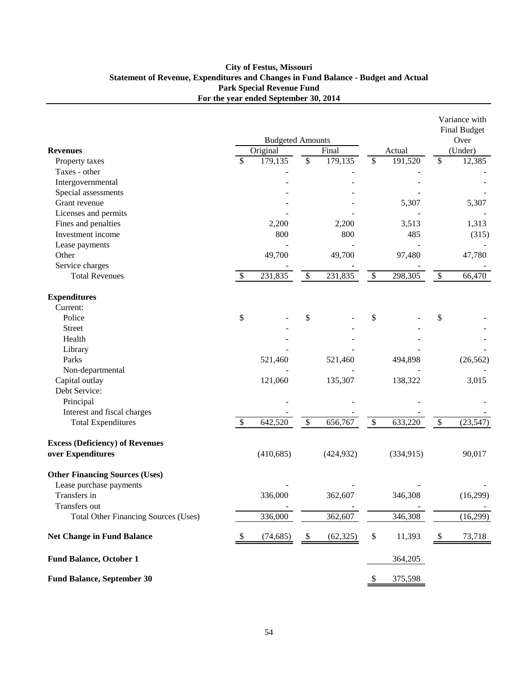## **City of Festus, Missouri Statement of Revenue, Expenditures and Changes in Fund Balance - Budget and Actual Park Special Revenue Fund For the year ended September 30, 2014**

|                                             |                           |                         |                 |            |              |            |                            | Variance with<br><b>Final Budget</b> |
|---------------------------------------------|---------------------------|-------------------------|-----------------|------------|--------------|------------|----------------------------|--------------------------------------|
|                                             |                           | <b>Budgeted Amounts</b> |                 |            |              |            |                            | Over                                 |
| <b>Revenues</b>                             |                           | Original                |                 | Final      |              | Actual     |                            | (Under)                              |
| Property taxes                              | $\mathcal{S}$             | 179,135                 | $\overline{\$}$ | 179,135    | \$           | 191,520    | $\overline{\mathcal{S}}$   | 12,385                               |
| Taxes - other                               |                           |                         |                 |            |              |            |                            |                                      |
| Intergovernmental                           |                           |                         |                 |            |              |            |                            |                                      |
| Special assessments                         |                           |                         |                 |            |              |            |                            |                                      |
| Grant revenue                               |                           |                         |                 |            |              | 5,307      |                            | 5,307                                |
| Licenses and permits                        |                           |                         |                 |            |              |            |                            |                                      |
| Fines and penalties                         |                           | 2,200                   |                 | 2,200      |              | 3,513      |                            | 1,313                                |
| Investment income                           |                           | 800                     |                 | 800        |              | 485        |                            | (315)                                |
| Lease payments                              |                           |                         |                 |            |              |            |                            |                                      |
| Other                                       |                           | 49,700                  |                 | 49,700     |              | 97,480     |                            | 47,780                               |
| Service charges                             |                           |                         |                 |            |              |            |                            |                                      |
| <b>Total Revenues</b>                       | $\mathcal{S}$             | 231,835                 | $\$\,$          | 231,835    | \$           | 298,305    | $\$\,$                     | 66,470                               |
| <b>Expenditures</b>                         |                           |                         |                 |            |              |            |                            |                                      |
| Current:                                    |                           |                         |                 |            |              |            |                            |                                      |
| Police                                      | \$                        |                         | \$              |            | \$           |            | \$                         |                                      |
| <b>Street</b>                               |                           |                         |                 |            |              |            |                            |                                      |
| Health                                      |                           |                         |                 |            |              |            |                            |                                      |
| Library                                     |                           |                         |                 |            |              |            |                            |                                      |
| Parks                                       |                           | 521,460                 |                 | 521,460    |              | 494,898    |                            | (26, 562)                            |
| Non-departmental                            |                           |                         |                 |            |              |            |                            |                                      |
| Capital outlay                              |                           | 121,060                 |                 | 135,307    |              | 138,322    |                            | 3,015                                |
| Debt Service:                               |                           |                         |                 |            |              |            |                            |                                      |
| Principal                                   |                           |                         |                 |            |              |            |                            |                                      |
| Interest and fiscal charges                 |                           |                         |                 |            |              |            |                            |                                      |
| <b>Total Expenditures</b>                   | $\mathcal{S}$             | 642,520                 | $\mathcal{S}$   | 656,767    | $\mathbb{S}$ | 633,220    | $\mathbb{S}$               | (23, 547)                            |
| <b>Excess (Deficiency) of Revenues</b>      |                           |                         |                 |            |              |            |                            |                                      |
| over Expenditures                           |                           | (410, 685)              |                 | (424, 932) |              | (334, 915) |                            | 90,017                               |
| <b>Other Financing Sources (Uses)</b>       |                           |                         |                 |            |              |            |                            |                                      |
| Lease purchase payments                     |                           |                         |                 |            |              |            |                            |                                      |
| Transfers in                                |                           | 336,000                 |                 | 362,607    |              | 346,308    |                            | (16, 299)                            |
| Transfers out                               |                           |                         |                 |            |              |            |                            |                                      |
| <b>Total Other Financing Sources (Uses)</b> |                           | 336,000                 |                 | 362,607    |              | 346,308    |                            | (16, 299)                            |
| <b>Net Change in Fund Balance</b>           | $\boldsymbol{\mathsf{S}}$ | (74, 685)               | $\mathcal{S}$   | (62, 325)  | \$           | 11,393     | $\boldsymbol{\mathsf{\$}}$ | 73,718                               |
| <b>Fund Balance, October 1</b>              |                           |                         |                 |            |              | 364,205    |                            |                                      |
| <b>Fund Balance, September 30</b>           |                           |                         |                 |            |              | 375,598    |                            |                                      |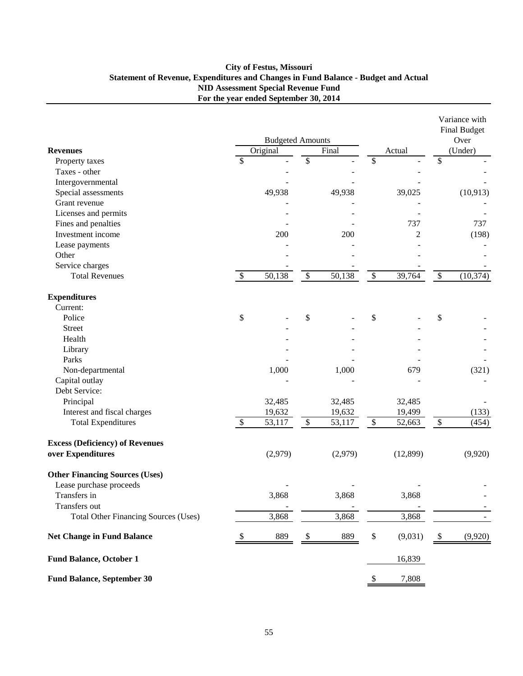## **City of Festus, Missouri Statement of Revenue, Expenditures and Changes in Fund Balance - Budget and Actual NID Assessment Special Revenue Fund For the year ended September 30, 2014**

|                                             |               |                                     |                           |         |      |          |        | Variance with<br><b>Final Budget</b> |
|---------------------------------------------|---------------|-------------------------------------|---------------------------|---------|------|----------|--------|--------------------------------------|
| <b>Revenues</b>                             |               | <b>Budgeted Amounts</b><br>Original |                           | Final   |      |          |        | Over<br>(Under)                      |
| Property taxes                              | $\mathbb{S}$  |                                     | \$                        |         | \$   | Actual   | \$     |                                      |
| Taxes - other                               |               |                                     |                           |         |      |          |        |                                      |
| Intergovernmental                           |               |                                     |                           |         |      |          |        |                                      |
| Special assessments                         |               | 49,938                              |                           | 49,938  |      | 39,025   |        | (10, 913)                            |
| Grant revenue                               |               |                                     |                           |         |      |          |        |                                      |
| Licenses and permits                        |               |                                     |                           |         |      |          |        |                                      |
| Fines and penalties                         |               |                                     |                           |         |      | 737      |        | 737                                  |
| Investment income                           |               | 200                                 |                           | 200     |      | 2        |        | (198)                                |
| Lease payments                              |               |                                     |                           |         |      |          |        |                                      |
| Other                                       |               |                                     |                           |         |      |          |        |                                      |
| Service charges                             |               |                                     |                           |         |      |          |        |                                      |
| <b>Total Revenues</b>                       | $\mathcal{S}$ | 50,138                              | $\boldsymbol{\mathsf{S}}$ | 50,138  | $\$$ | 39,764   | $\$\,$ | (10, 374)                            |
| <b>Expenditures</b>                         |               |                                     |                           |         |      |          |        |                                      |
| Current:                                    |               |                                     |                           |         |      |          |        |                                      |
| Police                                      | \$            |                                     | \$                        |         | \$   |          | \$     |                                      |
| <b>Street</b>                               |               |                                     |                           |         |      |          |        |                                      |
| Health                                      |               |                                     |                           |         |      |          |        |                                      |
| Library                                     |               |                                     |                           |         |      |          |        |                                      |
| Parks                                       |               |                                     |                           |         |      |          |        |                                      |
| Non-departmental                            |               | 1,000                               |                           | 1,000   |      | 679      |        | (321)                                |
| Capital outlay                              |               |                                     |                           |         |      |          |        |                                      |
| Debt Service:                               |               |                                     |                           |         |      |          |        |                                      |
| Principal                                   |               | 32,485                              |                           | 32,485  |      | 32,485   |        |                                      |
| Interest and fiscal charges                 |               | 19,632                              |                           | 19,632  |      | 19,499   |        | (133)                                |
| <b>Total Expenditures</b>                   | $\mathcal{S}$ | 53,117                              | $\mathcal{L}$             | 53,117  | $\$$ | 52,663   | $\$\,$ | (454)                                |
| <b>Excess (Deficiency) of Revenues</b>      |               |                                     |                           |         |      |          |        |                                      |
| over Expenditures                           |               | (2,979)                             |                           | (2,979) |      | (12,899) |        | (9,920)                              |
| <b>Other Financing Sources (Uses)</b>       |               |                                     |                           |         |      |          |        |                                      |
| Lease purchase proceeds                     |               |                                     |                           |         |      |          |        |                                      |
| Transfers in                                |               | 3,868                               |                           | 3,868   |      | 3,868    |        |                                      |
| Transfers out                               |               |                                     |                           |         |      |          |        |                                      |
| <b>Total Other Financing Sources (Uses)</b> |               | 3,868                               |                           | 3,868   |      | 3,868    |        |                                      |
| <b>Net Change in Fund Balance</b>           | \$            | 889                                 | $\boldsymbol{\mathsf{S}}$ | 889     | \$   | (9,031)  | - S    | (9,920)                              |
| <b>Fund Balance, October 1</b>              |               |                                     |                           |         |      | 16,839   |        |                                      |
| <b>Fund Balance, September 30</b>           |               |                                     |                           |         |      | 7,808    |        |                                      |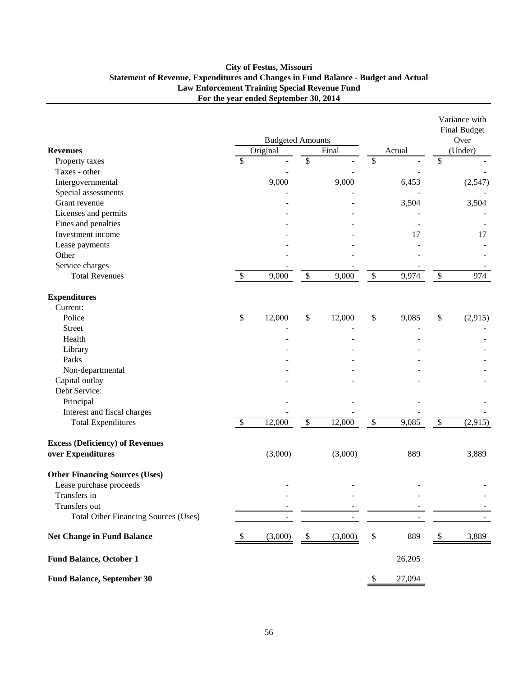## **City of Festus, Missouri Statement of Revenue, Expenditures and Changes in Fund Balance - Budget and Actual Law Enforcement Training Special Revenue Fund For the year ended September 30, 2014**

|                                             |               |                         |                           |         |                 |        |                           | Variance with<br><b>Final Budget</b> |
|---------------------------------------------|---------------|-------------------------|---------------------------|---------|-----------------|--------|---------------------------|--------------------------------------|
|                                             |               | <b>Budgeted Amounts</b> |                           |         |                 |        | Over<br>(Under)           |                                      |
| <b>Revenues</b>                             | $\mathcal{S}$ | Original                | \$                        | Final   | \$              | Actual | $\boldsymbol{\mathsf{S}}$ |                                      |
| Property taxes<br>Taxes - other             |               |                         |                           |         |                 |        |                           |                                      |
| Intergovernmental                           |               | 9,000                   |                           | 9,000   |                 | 6,453  |                           | (2,547)                              |
| Special assessments                         |               |                         |                           |         |                 |        |                           |                                      |
| Grant revenue                               |               |                         |                           |         |                 | 3,504  |                           | 3,504                                |
| Licenses and permits                        |               |                         |                           |         |                 |        |                           |                                      |
| Fines and penalties                         |               |                         |                           |         |                 |        |                           |                                      |
| Investment income                           |               |                         |                           |         |                 | 17     |                           | 17                                   |
| Lease payments                              |               |                         |                           |         |                 |        |                           |                                      |
| Other                                       |               |                         |                           |         |                 |        |                           |                                      |
| Service charges                             |               |                         |                           |         |                 |        |                           |                                      |
| <b>Total Revenues</b>                       | $\mathcal{S}$ | 9,000                   | $\overline{\$}$           | 9,000   | $\overline{\$}$ | 9,974  | $\overline{\mathcal{S}}$  | 974                                  |
| <b>Expenditures</b>                         |               |                         |                           |         |                 |        |                           |                                      |
| Current:                                    |               |                         |                           |         |                 |        |                           |                                      |
| Police                                      | \$            | 12,000                  | \$                        | 12,000  | \$              | 9,085  | \$                        | (2,915)                              |
| <b>Street</b>                               |               |                         |                           |         |                 |        |                           |                                      |
| Health                                      |               |                         |                           |         |                 |        |                           |                                      |
| Library                                     |               |                         |                           |         |                 |        |                           |                                      |
| Parks                                       |               |                         |                           |         |                 |        |                           |                                      |
| Non-departmental                            |               |                         |                           |         |                 |        |                           |                                      |
| Capital outlay                              |               |                         |                           |         |                 |        |                           |                                      |
| Debt Service:                               |               |                         |                           |         |                 |        |                           |                                      |
| Principal                                   |               |                         |                           |         |                 |        |                           |                                      |
| Interest and fiscal charges                 |               |                         |                           |         |                 |        |                           |                                      |
| <b>Total Expenditures</b>                   | $\mathcal{S}$ | 12,000                  | $\mathbb{S}$              | 12,000  | \$              | 9,085  | $\mathbb{S}$              | (2,915)                              |
| <b>Excess (Deficiency) of Revenues</b>      |               |                         |                           |         |                 |        |                           |                                      |
| over Expenditures                           |               | (3,000)                 |                           | (3,000) |                 | 889    |                           | 3,889                                |
| <b>Other Financing Sources (Uses)</b>       |               |                         |                           |         |                 |        |                           |                                      |
| Lease purchase proceeds                     |               |                         |                           |         |                 |        |                           |                                      |
| Transfers in                                |               |                         |                           |         |                 |        |                           |                                      |
| Transfers out                               |               |                         |                           |         |                 |        |                           |                                      |
| <b>Total Other Financing Sources (Uses)</b> |               |                         |                           |         |                 |        |                           |                                      |
| <b>Net Change in Fund Balance</b>           |               | (3,000)                 | $\boldsymbol{\mathsf{S}}$ | (3,000) | \$              | 889    | \$                        | 3,889                                |
| <b>Fund Balance, October 1</b>              |               |                         |                           |         |                 | 26,205 |                           |                                      |
| <b>Fund Balance, September 30</b>           |               |                         |                           |         |                 | 27,094 |                           |                                      |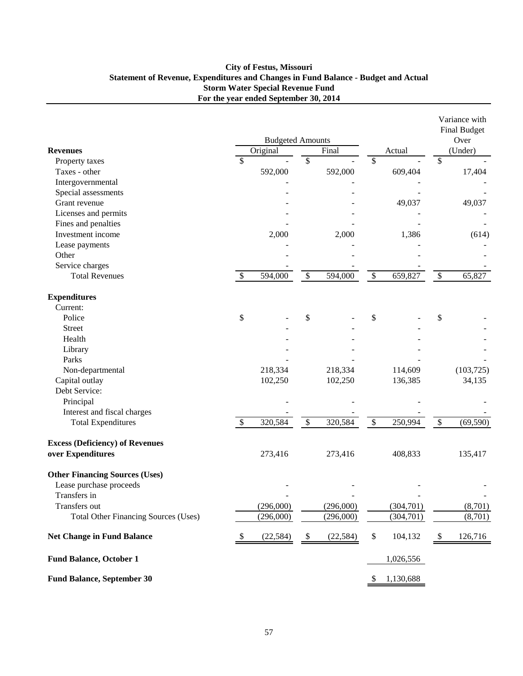## **City of Festus, Missouri Statement of Revenue, Expenditures and Changes in Fund Balance - Budget and Actual Storm Water Special Revenue Fund For the year ended September 30, 2014**

|                                             |                           |                         |                   |           |              |            |                            | Variance with<br><b>Final Budget</b> |
|---------------------------------------------|---------------------------|-------------------------|-------------------|-----------|--------------|------------|----------------------------|--------------------------------------|
|                                             |                           | <b>Budgeted Amounts</b> |                   |           |              |            |                            | Over                                 |
| <b>Revenues</b>                             |                           | $\overline{O}$ riginal  |                   | Final     |              | Actual     |                            | (Under)                              |
| Property taxes                              | $\mathcal{S}$             |                         | $\overline{\$}$   |           | \$           |            | $\overline{\mathcal{S}}$   |                                      |
| Taxes - other                               |                           | 592,000                 |                   | 592,000   |              | 609,404    |                            | 17,404                               |
| Intergovernmental                           |                           |                         |                   |           |              |            |                            |                                      |
| Special assessments                         |                           |                         |                   |           |              |            |                            |                                      |
| Grant revenue                               |                           |                         |                   |           |              | 49,037     |                            | 49,037                               |
| Licenses and permits                        |                           |                         |                   |           |              |            |                            |                                      |
| Fines and penalties                         |                           |                         |                   |           |              |            |                            |                                      |
| Investment income                           |                           | 2,000                   |                   | 2,000     |              | 1,386      |                            | (614)                                |
| Lease payments                              |                           |                         |                   |           |              |            |                            |                                      |
| Other                                       |                           |                         |                   |           |              |            |                            |                                      |
| Service charges                             |                           |                         |                   |           |              |            |                            |                                      |
| <b>Total Revenues</b>                       | $\mathcal{S}$             | 594,000                 | $\mathbb{S}$      | 594,000   | \$           | 659,827    | $\$\,$                     | 65,827                               |
| <b>Expenditures</b>                         |                           |                         |                   |           |              |            |                            |                                      |
| Current:                                    |                           |                         |                   |           |              |            |                            |                                      |
| Police                                      | \$                        |                         | \$                |           | \$           |            | \$                         |                                      |
| <b>Street</b>                               |                           |                         |                   |           |              |            |                            |                                      |
| Health                                      |                           |                         |                   |           |              |            |                            |                                      |
| Library                                     |                           |                         |                   |           |              |            |                            |                                      |
| Parks                                       |                           |                         |                   |           |              |            |                            |                                      |
| Non-departmental                            |                           | 218,334                 |                   | 218,334   |              | 114,609    |                            | (103, 725)                           |
| Capital outlay                              |                           | 102,250                 |                   | 102,250   |              | 136,385    |                            | 34,135                               |
| Debt Service:                               |                           |                         |                   |           |              |            |                            |                                      |
| Principal                                   |                           |                         |                   |           |              |            |                            |                                      |
| Interest and fiscal charges                 |                           |                         |                   |           |              |            |                            |                                      |
| <b>Total Expenditures</b>                   | $\mathcal{S}$             | 320,584                 | $\boldsymbol{\$}$ | 320,584   | $\mathbb{S}$ | 250,994    | $\,$                       | (69, 590)                            |
| <b>Excess (Deficiency) of Revenues</b>      |                           |                         |                   |           |              |            |                            |                                      |
| over Expenditures                           |                           | 273,416                 |                   | 273,416   |              | 408,833    |                            | 135,417                              |
| <b>Other Financing Sources (Uses)</b>       |                           |                         |                   |           |              |            |                            |                                      |
| Lease purchase proceeds                     |                           |                         |                   |           |              |            |                            |                                      |
| Transfers in                                |                           |                         |                   |           |              |            |                            |                                      |
| Transfers out                               |                           | (296,000)               |                   | (296,000) |              | (304, 701) |                            | (8,701)                              |
| <b>Total Other Financing Sources (Uses)</b> |                           | (296,000)               |                   | (296,000) |              | (304, 701) |                            | (8,701)                              |
| <b>Net Change in Fund Balance</b>           | $\boldsymbol{\mathsf{S}}$ | (22, 584)               | $\mathcal{S}$     | (22, 584) | \$           | 104,132    | $\boldsymbol{\mathcal{S}}$ | 126,716                              |
| <b>Fund Balance, October 1</b>              |                           |                         |                   |           |              | 1,026,556  |                            |                                      |
| <b>Fund Balance, September 30</b>           |                           |                         |                   |           | \$           | 1,130,688  |                            |                                      |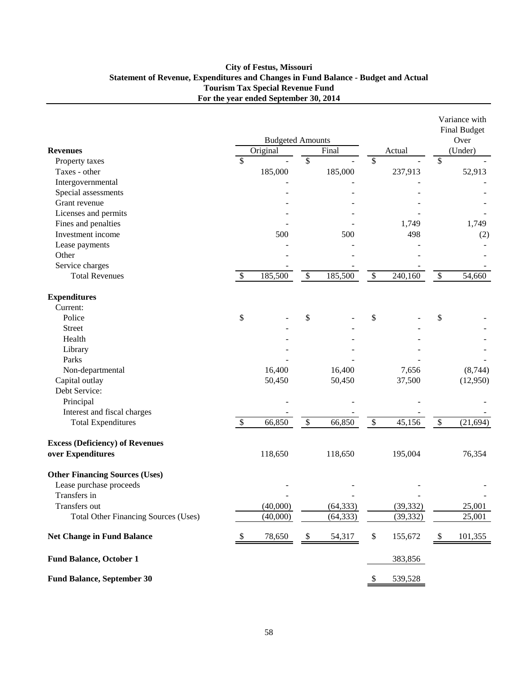## **City of Festus, Missouri Statement of Revenue, Expenditures and Changes in Fund Balance - Budget and Actual Tourism Tax Special Revenue Fund For the year ended September 30, 2014**

|                                             |               |                         |                            |           |              |              |                          | Variance with<br><b>Final Budget</b> |
|---------------------------------------------|---------------|-------------------------|----------------------------|-----------|--------------|--------------|--------------------------|--------------------------------------|
|                                             |               | <b>Budgeted Amounts</b> |                            |           |              |              | Over                     |                                      |
| <b>Revenues</b>                             |               | $\overline{O}$ riginal  |                            | Final     |              | Actual       |                          | (Under)                              |
| Property taxes                              | $\mathbb{S}$  |                         | $\overline{\$}$            |           | \$           |              | $\overline{\mathcal{S}}$ |                                      |
| Taxes - other                               |               | 185,000                 |                            | 185,000   |              | 237,913      |                          | 52,913                               |
| Intergovernmental                           |               |                         |                            |           |              |              |                          |                                      |
| Special assessments                         |               |                         |                            |           |              |              |                          |                                      |
| Grant revenue                               |               |                         |                            |           |              |              |                          |                                      |
| Licenses and permits                        |               |                         |                            |           |              |              |                          |                                      |
| Fines and penalties<br>Investment income    |               | 500                     |                            | 500       |              | 1,749<br>498 |                          | 1,749                                |
|                                             |               |                         |                            |           |              |              |                          | (2)                                  |
| Lease payments<br>Other                     |               |                         |                            |           |              |              |                          |                                      |
| Service charges                             |               |                         |                            |           |              |              |                          |                                      |
| <b>Total Revenues</b>                       | $\mathcal{S}$ | 185,500                 | $\$\,$                     | 185,500   | \$           | 240,160      | $\$\,$                   | 54,660                               |
|                                             |               |                         |                            |           |              |              |                          |                                      |
| <b>Expenditures</b>                         |               |                         |                            |           |              |              |                          |                                      |
| Current:                                    |               |                         |                            |           |              |              |                          |                                      |
| Police                                      | \$            |                         | \$                         |           | \$           |              | \$                       |                                      |
| <b>Street</b>                               |               |                         |                            |           |              |              |                          |                                      |
| Health                                      |               |                         |                            |           |              |              |                          |                                      |
| Library                                     |               |                         |                            |           |              |              |                          |                                      |
| Parks                                       |               |                         |                            |           |              |              |                          |                                      |
| Non-departmental                            |               | 16,400                  |                            | 16,400    |              | 7,656        |                          | (8,744)                              |
| Capital outlay                              |               | 50,450                  |                            | 50,450    |              | 37,500       |                          | (12,950)                             |
| Debt Service:                               |               |                         |                            |           |              |              |                          |                                      |
| Principal                                   |               |                         |                            |           |              |              |                          |                                      |
| Interest and fiscal charges                 |               |                         |                            |           |              |              |                          |                                      |
| <b>Total Expenditures</b>                   | $\sqrt{3}$    | 66,850                  | $\mathbb{S}$               | 66,850    | $\mathbb{S}$ | 45,156       | $\mathbb{S}$             | (21, 694)                            |
| <b>Excess (Deficiency) of Revenues</b>      |               |                         |                            |           |              |              |                          |                                      |
| over Expenditures                           |               | 118,650                 |                            | 118,650   |              | 195,004      |                          | 76,354                               |
|                                             |               |                         |                            |           |              |              |                          |                                      |
| <b>Other Financing Sources (Uses)</b>       |               |                         |                            |           |              |              |                          |                                      |
| Lease purchase proceeds                     |               |                         |                            |           |              |              |                          |                                      |
| Transfers in                                |               |                         |                            |           |              |              |                          |                                      |
| Transfers out                               |               | (40,000)                |                            | (64, 333) |              | (39, 332)    |                          | 25,001                               |
| <b>Total Other Financing Sources (Uses)</b> |               | (40,000)                |                            | (64, 333) |              | (39, 332)    |                          | 25,001                               |
| <b>Net Change in Fund Balance</b>           | $\sqrt{2}$    | 78,650                  | $\boldsymbol{\mathcal{S}}$ | 54,317    | \$           | 155,672      | $\mathcal{S}$            | 101,355                              |
| <b>Fund Balance, October 1</b>              |               |                         |                            |           |              | 383,856      |                          |                                      |
| <b>Fund Balance, September 30</b>           |               |                         |                            |           | - \$         | 539,528      |                          |                                      |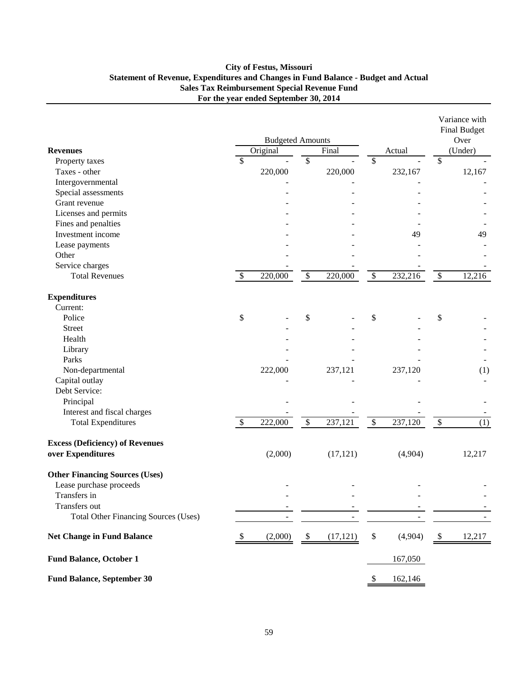## **City of Festus, Missouri Statement of Revenue, Expenditures and Changes in Fund Balance - Budget and Actual Sales Tax Reimbursement Special Revenue Fund For the year ended September 30, 2014**

| <b>Budgeted Amounts</b><br>Original<br>(Under)<br><b>Revenues</b><br>Final<br>Actual<br>$\overline{\mathcal{S}}$<br>$\overline{\$}$<br>$\mathcal{S}$<br>$\overline{\mathcal{S}}$<br>Property taxes<br>220,000<br>220,000<br>232,167<br>12,167<br>Taxes - other<br>Intergovernmental<br>Special assessments<br>Grant revenue<br>Licenses and permits<br>Fines and penalties<br>Investment income<br>49<br>49<br>Lease payments<br>Other<br>Service charges<br>$\overline{220,000}$<br>$\mathcal{L}$<br>$\overline{220,000}$<br>$\$\,$<br>\$<br>12,216<br><b>Total Revenues</b><br>$\mathcal{S}$<br>232,216<br><b>Expenditures</b><br>Current:<br>$\boldsymbol{\mathsf{S}}$<br>\$<br>\$<br>\$<br>Police<br><b>Street</b><br>Health<br>Library<br>Parks<br>Non-departmental<br>222,000<br>237,121<br>237,120<br>(1)<br>Capital outlay<br>Debt Service:<br>Principal<br>Interest and fiscal charges<br>$\sqrt{3}$<br>222,000<br>$\mathbb{S}$<br>237,121<br>$\mathbb{S}$<br>237,120<br>$\mathcal{S}$<br><b>Total Expenditures</b><br>(1)<br><b>Excess (Deficiency) of Revenues</b><br>over Expenditures<br>(2,000)<br>(17, 121)<br>(4,904)<br>12,217<br><b>Other Financing Sources (Uses)</b><br>Lease purchase proceeds<br>Transfers in<br>Transfers out<br><b>Total Other Financing Sources (Uses)</b><br><b>Net Change in Fund Balance</b><br>\$<br>(4,904)<br>(2,000)<br>(17, 121)<br>12,217<br>$\boldsymbol{\mathcal{S}}$<br>$\boldsymbol{\mathsf{S}}$<br>-S<br><b>Fund Balance, October 1</b><br>167,050<br><b>Fund Balance, September 30</b><br>162,146 |  |  |  |  | Variance with<br><b>Final Budget</b><br>Over |
|-----------------------------------------------------------------------------------------------------------------------------------------------------------------------------------------------------------------------------------------------------------------------------------------------------------------------------------------------------------------------------------------------------------------------------------------------------------------------------------------------------------------------------------------------------------------------------------------------------------------------------------------------------------------------------------------------------------------------------------------------------------------------------------------------------------------------------------------------------------------------------------------------------------------------------------------------------------------------------------------------------------------------------------------------------------------------------------------------------------------------------------------------------------------------------------------------------------------------------------------------------------------------------------------------------------------------------------------------------------------------------------------------------------------------------------------------------------------------------------------------------------------------------------------------------------|--|--|--|--|----------------------------------------------|
|                                                                                                                                                                                                                                                                                                                                                                                                                                                                                                                                                                                                                                                                                                                                                                                                                                                                                                                                                                                                                                                                                                                                                                                                                                                                                                                                                                                                                                                                                                                                                           |  |  |  |  |                                              |
|                                                                                                                                                                                                                                                                                                                                                                                                                                                                                                                                                                                                                                                                                                                                                                                                                                                                                                                                                                                                                                                                                                                                                                                                                                                                                                                                                                                                                                                                                                                                                           |  |  |  |  |                                              |
|                                                                                                                                                                                                                                                                                                                                                                                                                                                                                                                                                                                                                                                                                                                                                                                                                                                                                                                                                                                                                                                                                                                                                                                                                                                                                                                                                                                                                                                                                                                                                           |  |  |  |  |                                              |
|                                                                                                                                                                                                                                                                                                                                                                                                                                                                                                                                                                                                                                                                                                                                                                                                                                                                                                                                                                                                                                                                                                                                                                                                                                                                                                                                                                                                                                                                                                                                                           |  |  |  |  |                                              |
|                                                                                                                                                                                                                                                                                                                                                                                                                                                                                                                                                                                                                                                                                                                                                                                                                                                                                                                                                                                                                                                                                                                                                                                                                                                                                                                                                                                                                                                                                                                                                           |  |  |  |  |                                              |
|                                                                                                                                                                                                                                                                                                                                                                                                                                                                                                                                                                                                                                                                                                                                                                                                                                                                                                                                                                                                                                                                                                                                                                                                                                                                                                                                                                                                                                                                                                                                                           |  |  |  |  |                                              |
|                                                                                                                                                                                                                                                                                                                                                                                                                                                                                                                                                                                                                                                                                                                                                                                                                                                                                                                                                                                                                                                                                                                                                                                                                                                                                                                                                                                                                                                                                                                                                           |  |  |  |  |                                              |
|                                                                                                                                                                                                                                                                                                                                                                                                                                                                                                                                                                                                                                                                                                                                                                                                                                                                                                                                                                                                                                                                                                                                                                                                                                                                                                                                                                                                                                                                                                                                                           |  |  |  |  |                                              |
|                                                                                                                                                                                                                                                                                                                                                                                                                                                                                                                                                                                                                                                                                                                                                                                                                                                                                                                                                                                                                                                                                                                                                                                                                                                                                                                                                                                                                                                                                                                                                           |  |  |  |  |                                              |
|                                                                                                                                                                                                                                                                                                                                                                                                                                                                                                                                                                                                                                                                                                                                                                                                                                                                                                                                                                                                                                                                                                                                                                                                                                                                                                                                                                                                                                                                                                                                                           |  |  |  |  |                                              |
|                                                                                                                                                                                                                                                                                                                                                                                                                                                                                                                                                                                                                                                                                                                                                                                                                                                                                                                                                                                                                                                                                                                                                                                                                                                                                                                                                                                                                                                                                                                                                           |  |  |  |  |                                              |
|                                                                                                                                                                                                                                                                                                                                                                                                                                                                                                                                                                                                                                                                                                                                                                                                                                                                                                                                                                                                                                                                                                                                                                                                                                                                                                                                                                                                                                                                                                                                                           |  |  |  |  |                                              |
|                                                                                                                                                                                                                                                                                                                                                                                                                                                                                                                                                                                                                                                                                                                                                                                                                                                                                                                                                                                                                                                                                                                                                                                                                                                                                                                                                                                                                                                                                                                                                           |  |  |  |  |                                              |
|                                                                                                                                                                                                                                                                                                                                                                                                                                                                                                                                                                                                                                                                                                                                                                                                                                                                                                                                                                                                                                                                                                                                                                                                                                                                                                                                                                                                                                                                                                                                                           |  |  |  |  |                                              |
|                                                                                                                                                                                                                                                                                                                                                                                                                                                                                                                                                                                                                                                                                                                                                                                                                                                                                                                                                                                                                                                                                                                                                                                                                                                                                                                                                                                                                                                                                                                                                           |  |  |  |  |                                              |
|                                                                                                                                                                                                                                                                                                                                                                                                                                                                                                                                                                                                                                                                                                                                                                                                                                                                                                                                                                                                                                                                                                                                                                                                                                                                                                                                                                                                                                                                                                                                                           |  |  |  |  |                                              |
|                                                                                                                                                                                                                                                                                                                                                                                                                                                                                                                                                                                                                                                                                                                                                                                                                                                                                                                                                                                                                                                                                                                                                                                                                                                                                                                                                                                                                                                                                                                                                           |  |  |  |  |                                              |
|                                                                                                                                                                                                                                                                                                                                                                                                                                                                                                                                                                                                                                                                                                                                                                                                                                                                                                                                                                                                                                                                                                                                                                                                                                                                                                                                                                                                                                                                                                                                                           |  |  |  |  |                                              |
|                                                                                                                                                                                                                                                                                                                                                                                                                                                                                                                                                                                                                                                                                                                                                                                                                                                                                                                                                                                                                                                                                                                                                                                                                                                                                                                                                                                                                                                                                                                                                           |  |  |  |  |                                              |
|                                                                                                                                                                                                                                                                                                                                                                                                                                                                                                                                                                                                                                                                                                                                                                                                                                                                                                                                                                                                                                                                                                                                                                                                                                                                                                                                                                                                                                                                                                                                                           |  |  |  |  |                                              |
|                                                                                                                                                                                                                                                                                                                                                                                                                                                                                                                                                                                                                                                                                                                                                                                                                                                                                                                                                                                                                                                                                                                                                                                                                                                                                                                                                                                                                                                                                                                                                           |  |  |  |  |                                              |
|                                                                                                                                                                                                                                                                                                                                                                                                                                                                                                                                                                                                                                                                                                                                                                                                                                                                                                                                                                                                                                                                                                                                                                                                                                                                                                                                                                                                                                                                                                                                                           |  |  |  |  |                                              |
|                                                                                                                                                                                                                                                                                                                                                                                                                                                                                                                                                                                                                                                                                                                                                                                                                                                                                                                                                                                                                                                                                                                                                                                                                                                                                                                                                                                                                                                                                                                                                           |  |  |  |  |                                              |
|                                                                                                                                                                                                                                                                                                                                                                                                                                                                                                                                                                                                                                                                                                                                                                                                                                                                                                                                                                                                                                                                                                                                                                                                                                                                                                                                                                                                                                                                                                                                                           |  |  |  |  |                                              |
|                                                                                                                                                                                                                                                                                                                                                                                                                                                                                                                                                                                                                                                                                                                                                                                                                                                                                                                                                                                                                                                                                                                                                                                                                                                                                                                                                                                                                                                                                                                                                           |  |  |  |  |                                              |
|                                                                                                                                                                                                                                                                                                                                                                                                                                                                                                                                                                                                                                                                                                                                                                                                                                                                                                                                                                                                                                                                                                                                                                                                                                                                                                                                                                                                                                                                                                                                                           |  |  |  |  |                                              |
|                                                                                                                                                                                                                                                                                                                                                                                                                                                                                                                                                                                                                                                                                                                                                                                                                                                                                                                                                                                                                                                                                                                                                                                                                                                                                                                                                                                                                                                                                                                                                           |  |  |  |  |                                              |
|                                                                                                                                                                                                                                                                                                                                                                                                                                                                                                                                                                                                                                                                                                                                                                                                                                                                                                                                                                                                                                                                                                                                                                                                                                                                                                                                                                                                                                                                                                                                                           |  |  |  |  |                                              |
|                                                                                                                                                                                                                                                                                                                                                                                                                                                                                                                                                                                                                                                                                                                                                                                                                                                                                                                                                                                                                                                                                                                                                                                                                                                                                                                                                                                                                                                                                                                                                           |  |  |  |  |                                              |
|                                                                                                                                                                                                                                                                                                                                                                                                                                                                                                                                                                                                                                                                                                                                                                                                                                                                                                                                                                                                                                                                                                                                                                                                                                                                                                                                                                                                                                                                                                                                                           |  |  |  |  |                                              |
|                                                                                                                                                                                                                                                                                                                                                                                                                                                                                                                                                                                                                                                                                                                                                                                                                                                                                                                                                                                                                                                                                                                                                                                                                                                                                                                                                                                                                                                                                                                                                           |  |  |  |  |                                              |
|                                                                                                                                                                                                                                                                                                                                                                                                                                                                                                                                                                                                                                                                                                                                                                                                                                                                                                                                                                                                                                                                                                                                                                                                                                                                                                                                                                                                                                                                                                                                                           |  |  |  |  |                                              |
|                                                                                                                                                                                                                                                                                                                                                                                                                                                                                                                                                                                                                                                                                                                                                                                                                                                                                                                                                                                                                                                                                                                                                                                                                                                                                                                                                                                                                                                                                                                                                           |  |  |  |  |                                              |
|                                                                                                                                                                                                                                                                                                                                                                                                                                                                                                                                                                                                                                                                                                                                                                                                                                                                                                                                                                                                                                                                                                                                                                                                                                                                                                                                                                                                                                                                                                                                                           |  |  |  |  |                                              |
|                                                                                                                                                                                                                                                                                                                                                                                                                                                                                                                                                                                                                                                                                                                                                                                                                                                                                                                                                                                                                                                                                                                                                                                                                                                                                                                                                                                                                                                                                                                                                           |  |  |  |  |                                              |
|                                                                                                                                                                                                                                                                                                                                                                                                                                                                                                                                                                                                                                                                                                                                                                                                                                                                                                                                                                                                                                                                                                                                                                                                                                                                                                                                                                                                                                                                                                                                                           |  |  |  |  |                                              |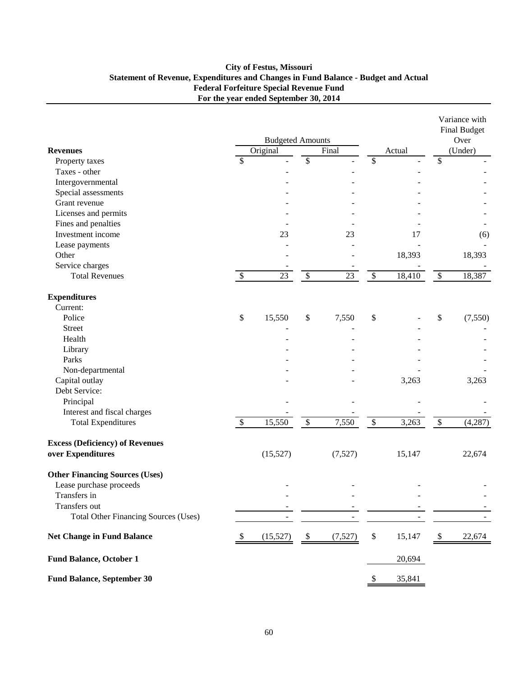## **City of Festus, Missouri Statement of Revenue, Expenditures and Changes in Fund Balance - Budget and Actual Federal Forfeiture Special Revenue Fund For the year ended September 30, 2014**

|                                             |                           |                         |                           |         |               |        |                           | Variance with<br><b>Final Budget</b> |
|---------------------------------------------|---------------------------|-------------------------|---------------------------|---------|---------------|--------|---------------------------|--------------------------------------|
|                                             |                           | <b>Budgeted Amounts</b> |                           |         |               |        |                           | Over                                 |
| <b>Revenues</b>                             |                           | Original                |                           | Final   |               | Actual |                           | (Under)                              |
| Property taxes                              | \$                        |                         | \$                        |         | \$            |        | \$                        |                                      |
| Taxes - other                               |                           |                         |                           |         |               |        |                           |                                      |
| Intergovernmental                           |                           |                         |                           |         |               |        |                           |                                      |
| Special assessments                         |                           |                         |                           |         |               |        |                           |                                      |
| Grant revenue                               |                           |                         |                           |         |               |        |                           |                                      |
| Licenses and permits                        |                           |                         |                           |         |               |        |                           |                                      |
| Fines and penalties                         |                           |                         |                           |         |               |        |                           |                                      |
| Investment income                           |                           | 23                      |                           | 23      |               | 17     |                           | (6)                                  |
| Lease payments                              |                           |                         |                           |         |               |        |                           |                                      |
| Other                                       |                           |                         |                           |         |               | 18,393 |                           | 18,393                               |
| Service charges                             |                           |                         |                           |         |               |        |                           |                                      |
| <b>Total Revenues</b>                       | $\mathbb{S}$              | 23                      | $\boldsymbol{\mathsf{S}}$ | 23      | \$            | 18,410 | $\sqrt{\frac{2}{n}}$      | 18,387                               |
| <b>Expenditures</b>                         |                           |                         |                           |         |               |        |                           |                                      |
| Current:                                    |                           |                         |                           |         |               |        |                           |                                      |
| Police                                      | $\boldsymbol{\mathsf{S}}$ | 15,550                  | \$                        | 7,550   | \$            |        | \$                        | (7,550)                              |
| <b>Street</b>                               |                           |                         |                           |         |               |        |                           |                                      |
| Health                                      |                           |                         |                           |         |               |        |                           |                                      |
| Library                                     |                           |                         |                           |         |               |        |                           |                                      |
| Parks                                       |                           |                         |                           |         |               |        |                           |                                      |
| Non-departmental                            |                           |                         |                           |         |               |        |                           |                                      |
| Capital outlay                              |                           |                         |                           |         |               | 3,263  |                           | 3,263                                |
| Debt Service:                               |                           |                         |                           |         |               |        |                           |                                      |
| Principal                                   |                           |                         |                           |         |               |        |                           |                                      |
| Interest and fiscal charges                 |                           |                         |                           |         |               |        |                           |                                      |
| <b>Total Expenditures</b>                   | $\sqrt{3}$                | 15,550                  | $\mathcal{S}$             | 7,550   | $\sqrt[6]{3}$ | 3,263  | $\boldsymbol{\mathsf{S}}$ | (4, 287)                             |
| <b>Excess (Deficiency) of Revenues</b>      |                           |                         |                           |         |               |        |                           |                                      |
| over Expenditures                           |                           | (15, 527)               |                           | (7,527) |               | 15,147 |                           | 22,674                               |
| <b>Other Financing Sources (Uses)</b>       |                           |                         |                           |         |               |        |                           |                                      |
| Lease purchase proceeds                     |                           |                         |                           |         |               |        |                           |                                      |
| Transfers in                                |                           |                         |                           |         |               |        |                           |                                      |
| Transfers out                               |                           |                         |                           |         |               |        |                           |                                      |
| <b>Total Other Financing Sources (Uses)</b> |                           |                         |                           |         |               |        |                           | $\blacksquare$                       |
| <b>Net Change in Fund Balance</b>           | <sup>8</sup>              | (15,527)                | $\mathcal{S}$             | (7,527) | \$            | 15,147 | -\$                       | 22,674                               |
| <b>Fund Balance, October 1</b>              |                           |                         |                           |         |               | 20,694 |                           |                                      |
| <b>Fund Balance, September 30</b>           |                           |                         |                           |         |               | 35,841 |                           |                                      |
|                                             |                           |                         |                           |         |               |        |                           |                                      |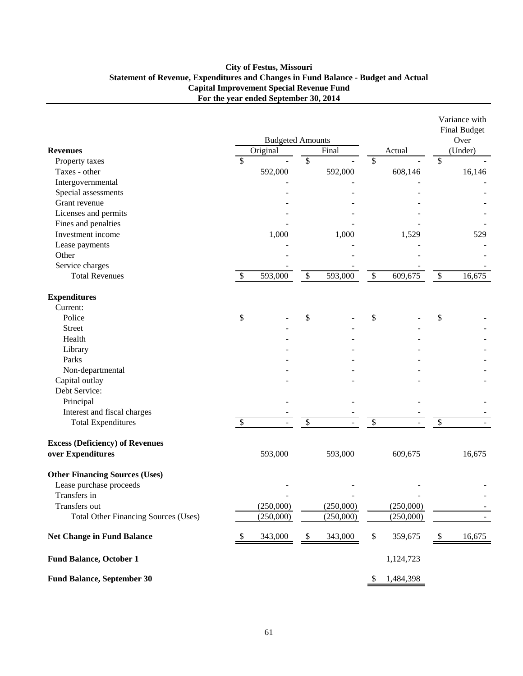## **City of Festus, Missouri Statement of Revenue, Expenditures and Changes in Fund Balance - Budget and Actual Capital Improvement Special Revenue Fund For the year ended September 30, 2014**

|                                             |                          |                         |                 |           |              |           |                           | Variance with<br><b>Final Budget</b> |
|---------------------------------------------|--------------------------|-------------------------|-----------------|-----------|--------------|-----------|---------------------------|--------------------------------------|
|                                             |                          | <b>Budgeted Amounts</b> |                 |           |              |           |                           | Over                                 |
| <b>Revenues</b>                             |                          | $\overline{O}$ riginal  |                 | Final     |              | Actual    |                           | (Under)                              |
| Property taxes                              | $\overline{\mathcal{S}}$ |                         | $\overline{\$}$ |           | \$           |           | $\overline{\mathcal{S}}$  |                                      |
| Taxes - other                               |                          | 592,000                 |                 | 592,000   |              | 608,146   |                           | 16,146                               |
| Intergovernmental                           |                          |                         |                 |           |              |           |                           |                                      |
| Special assessments                         |                          |                         |                 |           |              |           |                           |                                      |
| Grant revenue                               |                          |                         |                 |           |              |           |                           |                                      |
| Licenses and permits                        |                          |                         |                 |           |              |           |                           |                                      |
| Fines and penalties                         |                          |                         |                 |           |              |           |                           |                                      |
| Investment income                           |                          | 1,000                   |                 | 1,000     |              | 1,529     |                           | 529                                  |
| Lease payments                              |                          |                         |                 |           |              |           |                           |                                      |
| Other                                       |                          |                         |                 |           |              |           |                           |                                      |
| Service charges                             |                          |                         |                 |           |              |           |                           |                                      |
| <b>Total Revenues</b>                       | $\mathcal{S}$            | 593,000                 | $\$\,$          | 593,000   | $\$$         | 609,675   | $\sqrt{3}$                | 16,675                               |
| <b>Expenditures</b>                         |                          |                         |                 |           |              |           |                           |                                      |
| Current:                                    |                          |                         |                 |           |              |           |                           |                                      |
| Police                                      | \$                       |                         | \$              |           | \$           |           | \$                        |                                      |
| <b>Street</b>                               |                          |                         |                 |           |              |           |                           |                                      |
| Health                                      |                          |                         |                 |           |              |           |                           |                                      |
| Library                                     |                          |                         |                 |           |              |           |                           |                                      |
| Parks                                       |                          |                         |                 |           |              |           |                           |                                      |
| Non-departmental                            |                          |                         |                 |           |              |           |                           |                                      |
| Capital outlay                              |                          |                         |                 |           |              |           |                           |                                      |
| Debt Service:                               |                          |                         |                 |           |              |           |                           |                                      |
| Principal                                   |                          |                         |                 |           |              |           |                           |                                      |
| Interest and fiscal charges                 |                          |                         |                 |           |              |           |                           |                                      |
| <b>Total Expenditures</b>                   | $\mathcal{S}$            | $\blacksquare$          | $\mathbb{S}$    |           | $\mathbb{S}$ |           | $\mathbb{S}$              |                                      |
| <b>Excess (Deficiency) of Revenues</b>      |                          |                         |                 |           |              |           |                           |                                      |
| over Expenditures                           |                          | 593,000                 |                 | 593,000   |              | 609,675   |                           | 16,675                               |
| <b>Other Financing Sources (Uses)</b>       |                          |                         |                 |           |              |           |                           |                                      |
| Lease purchase proceeds                     |                          |                         |                 |           |              |           |                           |                                      |
| Transfers in                                |                          |                         |                 |           |              |           |                           |                                      |
| Transfers out                               |                          | (250,000)               |                 | (250,000) |              | (250,000) |                           |                                      |
| <b>Total Other Financing Sources (Uses)</b> |                          | (250,000)               |                 | (250,000) |              | (250,000) |                           |                                      |
| <b>Net Change in Fund Balance</b>           | $\sqrt{2}$               | 343,000                 | $\mathcal{S}$   | 343,000   | \$           | 359,675   | $\boldsymbol{\mathsf{S}}$ | 16,675                               |
| <b>Fund Balance, October 1</b>              |                          |                         |                 |           |              | 1,124,723 |                           |                                      |
| <b>Fund Balance, September 30</b>           |                          |                         |                 |           | P.           | 1,484,398 |                           |                                      |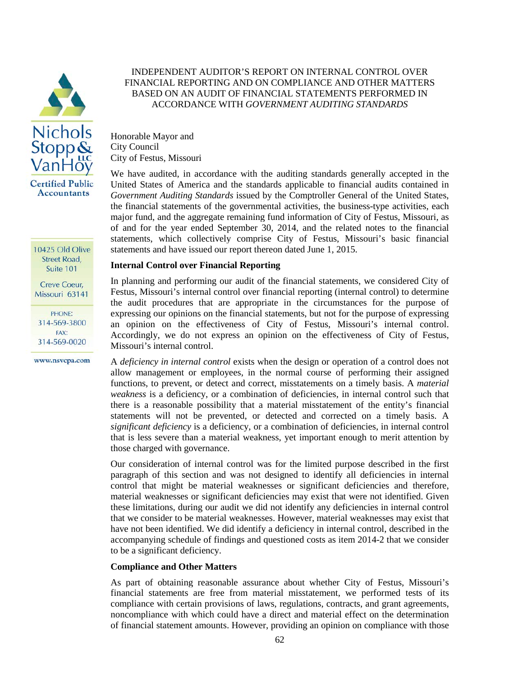

10425 Old Olive Street Road, Suite 101

Creve Coeur. Missouri 63141

PHONE: 314-569-3800 FAX: 314-569-0020

www.nsvcpa.com

# INDEPENDENT AUDITOR'S REPORT ON INTERNAL CONTROL OVER FINANCIAL REPORTING AND ON COMPLIANCE AND OTHER MATTERS BASED ON AN AUDIT OF FINANCIAL STATEMENTS PERFORMED IN ACCORDANCE WITH *GOVERNMENT AUDITING STANDARDS*

Honorable Mayor and City Council City of Festus, Missouri

We have audited, in accordance with the auditing standards generally accepted in the United States of America and the standards applicable to financial audits contained in *Government Auditing Standards* issued by the Comptroller General of the United States, the financial statements of the governmental activities, the business-type activities, each major fund, and the aggregate remaining fund information of City of Festus, Missouri, as of and for the year ended September 30, 2014, and the related notes to the financial statements, which collectively comprise City of Festus, Missouri's basic financial statements and have issued our report thereon dated June 1, 2015.

# **Internal Control over Financial Reporting**

In planning and performing our audit of the financial statements, we considered City of Festus, Missouri's internal control over financial reporting (internal control) to determine the audit procedures that are appropriate in the circumstances for the purpose of expressing our opinions on the financial statements, but not for the purpose of expressing an opinion on the effectiveness of City of Festus, Missouri's internal control. Accordingly, we do not express an opinion on the effectiveness of City of Festus, Missouri's internal control.

A *deficiency in internal control* exists when the design or operation of a control does not allow management or employees, in the normal course of performing their assigned functions, to prevent, or detect and correct, misstatements on a timely basis. A *material weakness* is a deficiency, or a combination of deficiencies, in internal control such that there is a reasonable possibility that a material misstatement of the entity's financial statements will not be prevented, or detected and corrected on a timely basis. A *significant deficiency* is a deficiency, or a combination of deficiencies, in internal control that is less severe than a material weakness, yet important enough to merit attention by those charged with governance.

Our consideration of internal control was for the limited purpose described in the first paragraph of this section and was not designed to identify all deficiencies in internal control that might be material weaknesses or significant deficiencies and therefore, material weaknesses or significant deficiencies may exist that were not identified. Given these limitations, during our audit we did not identify any deficiencies in internal control that we consider to be material weaknesses. However, material weaknesses may exist that have not been identified. We did identify a deficiency in internal control, described in the accompanying schedule of findings and questioned costs as item 2014-2 that we consider to be a significant deficiency.

# **Compliance and Other Matters**

As part of obtaining reasonable assurance about whether City of Festus, Missouri's financial statements are free from material misstatement, we performed tests of its compliance with certain provisions of laws, regulations, contracts, and grant agreements, noncompliance with which could have a direct and material effect on the determination of financial statement amounts. However, providing an opinion on compliance with those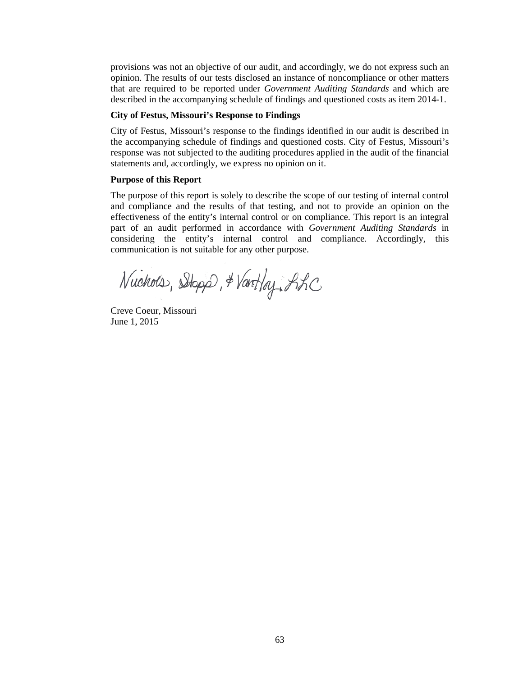provisions was not an objective of our audit, and accordingly, we do not express such an opinion. The results of our tests disclosed an instance of noncompliance or other matters that are required to be reported under *Government Auditing Standards* and which are described in the accompanying schedule of findings and questioned costs as item 2014-1.

### **City of Festus, Missouri's Response to Findings**

City of Festus, Missouri's response to the findings identified in our audit is described in the accompanying schedule of findings and questioned costs. City of Festus, Missouri's response was not subjected to the auditing procedures applied in the audit of the financial statements and, accordingly, we express no opinion on it.

### **Purpose of this Report**

The purpose of this report is solely to describe the scope of our testing of internal control and compliance and the results of that testing, and not to provide an opinion on the effectiveness of the entity's internal control or on compliance. This report is an integral part of an audit performed in accordance with *Government Auditing Standards* in considering the entity's internal control and compliance. Accordingly, this communication is not suitable for any other purpose.

Nuchols, Stopp, & Vantlay, S.L.C.

Creve Coeur, Missouri June 1, 2015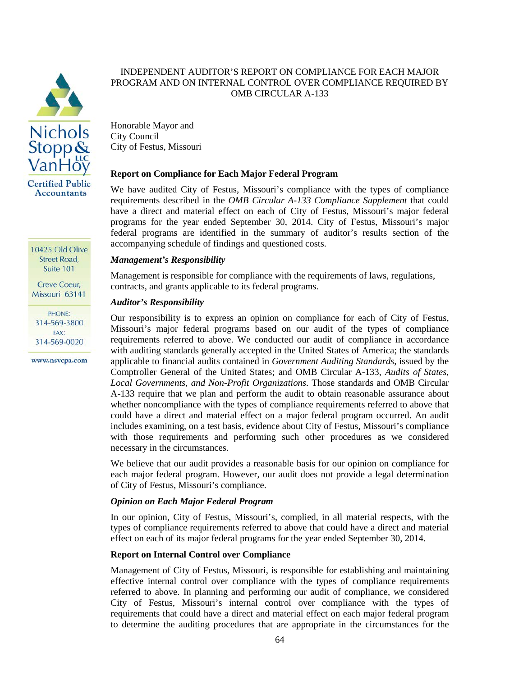

10425 Old Olive Street Road, Suite 101

**Creve Coeur.** Missouri 63141

PHONE: 314-569-3800  $FAY^*$ 314-569-0020

www.nsvcpa.com

# INDEPENDENT AUDITOR'S REPORT ON COMPLIANCE FOR EACH MAJOR PROGRAM AND ON INTERNAL CONTROL OVER COMPLIANCE REQUIRED BY OMB CIRCULAR A-133

Honorable Mayor and City Council City of Festus, Missouri

# **Report on Compliance for Each Major Federal Program**

We have audited City of Festus, Missouri's compliance with the types of compliance requirements described in the *OMB Circular A-133 Compliance Supplement* that could have a direct and material effect on each of City of Festus, Missouri's major federal programs for the year ended September 30, 2014. City of Festus, Missouri's major federal programs are identified in the summary of auditor's results section of the accompanying schedule of findings and questioned costs.

# *Management's Responsibility*

Management is responsible for compliance with the requirements of laws, regulations, contracts, and grants applicable to its federal programs.

# *Auditor's Responsibility*

Our responsibility is to express an opinion on compliance for each of City of Festus, Missouri's major federal programs based on our audit of the types of compliance requirements referred to above. We conducted our audit of compliance in accordance with auditing standards generally accepted in the United States of America; the standards applicable to financial audits contained in *Government Auditing Standards*, issued by the Comptroller General of the United States; and OMB Circular A-133, *Audits of States, Local Governments, and Non-Profit Organizations*. Those standards and OMB Circular A-133 require that we plan and perform the audit to obtain reasonable assurance about whether noncompliance with the types of compliance requirements referred to above that could have a direct and material effect on a major federal program occurred. An audit includes examining, on a test basis, evidence about City of Festus, Missouri's compliance with those requirements and performing such other procedures as we considered necessary in the circumstances.

We believe that our audit provides a reasonable basis for our opinion on compliance for each major federal program. However, our audit does not provide a legal determination of City of Festus, Missouri's compliance.

# *Opinion on Each Major Federal Program*

In our opinion, City of Festus, Missouri's, complied, in all material respects, with the types of compliance requirements referred to above that could have a direct and material effect on each of its major federal programs for the year ended September 30, 2014.

# **Report on Internal Control over Compliance**

Management of City of Festus, Missouri, is responsible for establishing and maintaining effective internal control over compliance with the types of compliance requirements referred to above. In planning and performing our audit of compliance, we considered City of Festus, Missouri's internal control over compliance with the types of requirements that could have a direct and material effect on each major federal program to determine the auditing procedures that are appropriate in the circumstances for the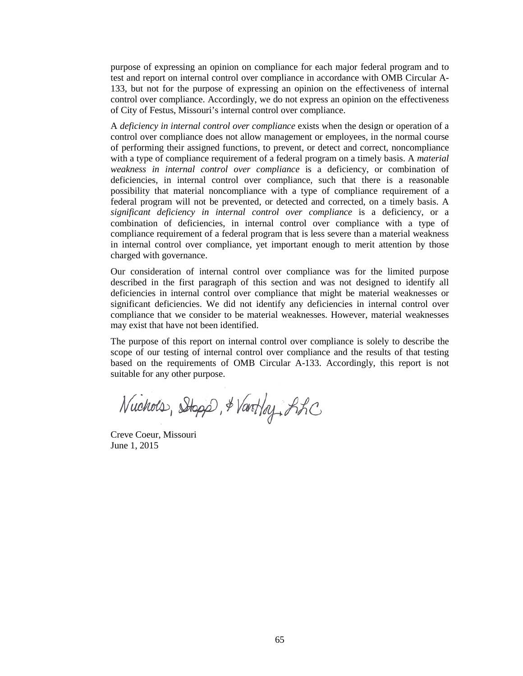purpose of expressing an opinion on compliance for each major federal program and to test and report on internal control over compliance in accordance with OMB Circular A-133, but not for the purpose of expressing an opinion on the effectiveness of internal control over compliance. Accordingly, we do not express an opinion on the effectiveness of City of Festus, Missouri's internal control over compliance.

A *deficiency in internal control over compliance* exists when the design or operation of a control over compliance does not allow management or employees, in the normal course of performing their assigned functions, to prevent, or detect and correct, noncompliance with a type of compliance requirement of a federal program on a timely basis. A *material weakness in internal control over compliance* is a deficiency, or combination of deficiencies, in internal control over compliance, such that there is a reasonable possibility that material noncompliance with a type of compliance requirement of a federal program will not be prevented, or detected and corrected, on a timely basis. A *significant deficiency in internal control over compliance* is a deficiency, or a combination of deficiencies, in internal control over compliance with a type of compliance requirement of a federal program that is less severe than a material weakness in internal control over compliance, yet important enough to merit attention by those charged with governance.

Our consideration of internal control over compliance was for the limited purpose described in the first paragraph of this section and was not designed to identify all deficiencies in internal control over compliance that might be material weaknesses or significant deficiencies. We did not identify any deficiencies in internal control over compliance that we consider to be material weaknesses. However, material weaknesses may exist that have not been identified.

The purpose of this report on internal control over compliance is solely to describe the scope of our testing of internal control over compliance and the results of that testing based on the requirements of OMB Circular A-133. Accordingly, this report is not suitable for any other purpose.

Nuchols, Stopp, & Vantlay, SLC

Creve Coeur, Missouri June 1, 2015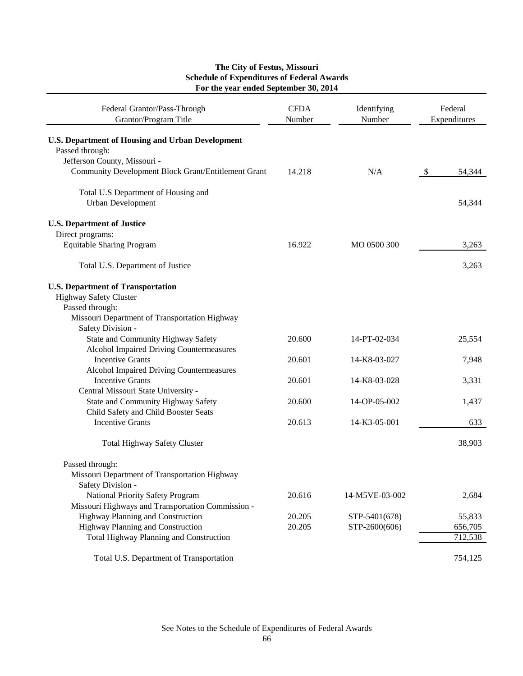| Federal Grantor/Pass-Through<br>Grantor/Program Title                      | <b>CFDA</b><br>Number | Identifying<br>Number | Federal<br>Expenditures |         |  |  |
|----------------------------------------------------------------------------|-----------------------|-----------------------|-------------------------|---------|--|--|
| <b>U.S. Department of Housing and Urban Development</b><br>Passed through: |                       |                       |                         |         |  |  |
| Jefferson County, Missouri -                                               |                       |                       |                         |         |  |  |
| Community Development Block Grant/Entitlement Grant                        | 14.218                | N/A                   | \$                      | 54,344  |  |  |
| Total U.S Department of Housing and<br><b>Urban Development</b>            |                       |                       |                         | 54,344  |  |  |
| <b>U.S. Department of Justice</b>                                          |                       |                       |                         |         |  |  |
| Direct programs:                                                           |                       |                       |                         |         |  |  |
| <b>Equitable Sharing Program</b>                                           | 16.922                | MO 0500 300           |                         | 3,263   |  |  |
| Total U.S. Department of Justice                                           |                       |                       |                         | 3,263   |  |  |
| <b>U.S. Department of Transportation</b>                                   |                       |                       |                         |         |  |  |
| <b>Highway Safety Cluster</b>                                              |                       |                       |                         |         |  |  |
| Passed through:                                                            |                       |                       |                         |         |  |  |
| Missouri Department of Transportation Highway                              |                       |                       |                         |         |  |  |
| Safety Division -                                                          |                       |                       |                         |         |  |  |
| State and Community Highway Safety                                         | 20.600                | 14-PT-02-034          |                         | 25,554  |  |  |
| <b>Alcohol Impaired Driving Countermeasures</b>                            |                       |                       |                         |         |  |  |
| <b>Incentive Grants</b>                                                    | 20.601                | 14-K8-03-027          |                         | 7,948   |  |  |
| Alcohol Impaired Driving Countermeasures                                   |                       |                       |                         |         |  |  |
| <b>Incentive Grants</b>                                                    | 20.601                | 14-K8-03-028          |                         | 3,331   |  |  |
| Central Missouri State University -                                        |                       |                       |                         |         |  |  |
| State and Community Highway Safety                                         | 20.600                | 14-OP-05-002          |                         | 1,437   |  |  |
| Child Safety and Child Booster Seats                                       |                       |                       |                         |         |  |  |
| <b>Incentive Grants</b>                                                    | 20.613                | 14-K3-05-001          |                         | 633     |  |  |
| Total Highway Safety Cluster                                               |                       |                       |                         | 38,903  |  |  |
| Passed through:                                                            |                       |                       |                         |         |  |  |
| Missouri Department of Transportation Highway                              |                       |                       |                         |         |  |  |
| Safety Division -                                                          |                       |                       |                         |         |  |  |
| National Priority Safety Program                                           | 20.616                | 14-M5VE-03-002        |                         | 2,684   |  |  |
| Missouri Highways and Transportation Commission -                          |                       |                       |                         |         |  |  |
| Highway Planning and Construction                                          | 20.205                | STP-5401(678)         |                         | 55,833  |  |  |
| Highway Planning and Construction                                          | 20.205                | STP-2600(606)         |                         | 656,705 |  |  |
| Total Highway Planning and Construction                                    |                       |                       |                         | 712,538 |  |  |
| Total U.S. Department of Transportation                                    |                       |                       |                         | 754,125 |  |  |

# **The City of Festus, Missouri Schedule of Expenditures of Federal Awards For the year ended September 30, 2014**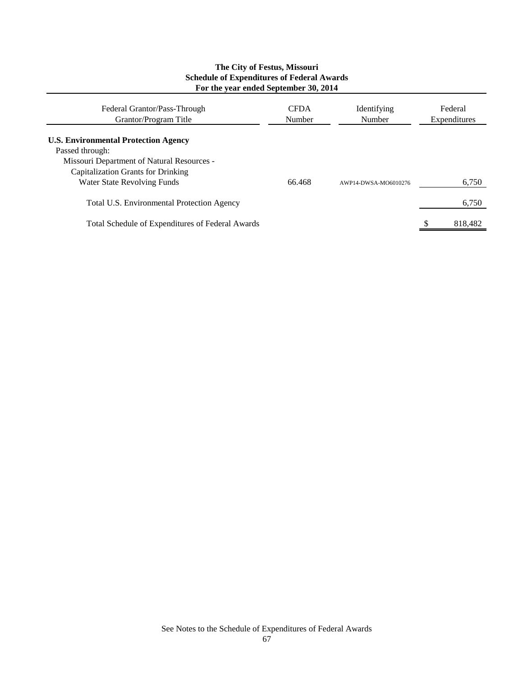# **The City of Festus, Missouri Schedule of Expenditures of Federal Awards For the year ended September 30, 2014**

| Federal Grantor/Pass-Through<br>Grantor/Program Title                                                                                                     | <b>CFDA</b><br>Number | Identifying<br>Number | Federal<br>Expenditures |
|-----------------------------------------------------------------------------------------------------------------------------------------------------------|-----------------------|-----------------------|-------------------------|
| <b>U.S. Environmental Protection Agency</b><br>Passed through:<br>Missouri Department of Natural Resources -<br><b>Capitalization Grants for Drinking</b> |                       |                       |                         |
| Water State Revolving Funds                                                                                                                               | 66.468                | AWP14-DWSA-MO6010276  | 6,750                   |
| Total U.S. Environmental Protection Agency                                                                                                                |                       |                       | 6,750                   |
| Total Schedule of Expenditures of Federal Awards                                                                                                          |                       |                       | 818,482                 |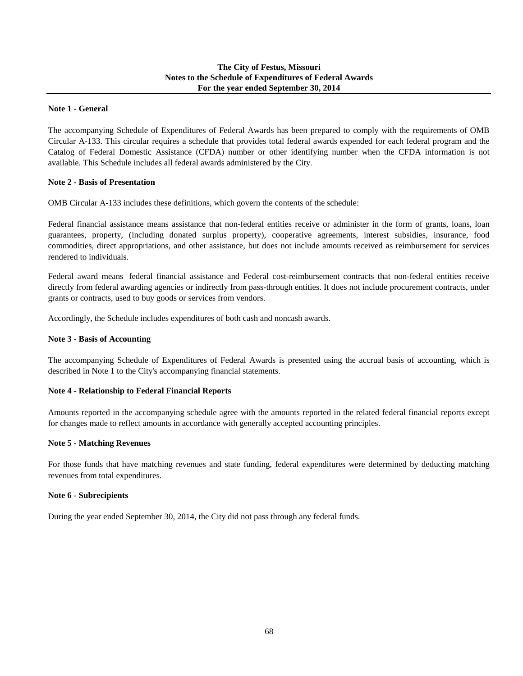### **Note 1 - General**

The accompanying Schedule of Expenditures of Federal Awards has been prepared to comply with the requirements of OMB Circular A-133. This circular requires a schedule that provides total federal awards expended for each federal program and the Catalog of Federal Domestic Assistance (CFDA) number or other identifying number when the CFDA information is not available. This Schedule includes all federal awards administered by the City.

### **Note 2 - Basis of Presentation**

OMB Circular A-133 includes these definitions, which govern the contents of the schedule:

Federal financial assistance means assistance that non-federal entities receive or administer in the form of grants, loans, loan guarantees, property, (including donated surplus property), cooperative agreements, interest subsidies, insurance, food commodities, direct appropriations, and other assistance, but does not include amounts received as reimbursement for services rendered to individuals.

Federal award means federal financial assistance and Federal cost-reimbursement contracts that non-federal entities receive directly from federal awarding agencies or indirectly from pass-through entities. It does not include procurement contracts, under grants or contracts, used to buy goods or services from vendors.

Accordingly, the Schedule includes expenditures of both cash and noncash awards.

### **Note 3 - Basis of Accounting**

The accompanying Schedule of Expenditures of Federal Awards is presented using the accrual basis of accounting, which is described in Note 1 to the City's accompanying financial statements.

### **Note 4 - Relationship to Federal Financial Reports**

Amounts reported in the accompanying schedule agree with the amounts reported in the related federal financial reports except for changes made to reflect amounts in accordance with generally accepted accounting principles.

### **Note 5 - Matching Revenues**

For those funds that have matching revenues and state funding, federal expenditures were determined by deducting matching revenues from total expenditures.

### **Note 6 - Subrecipients**

During the year ended September 30, 2014, the City did not pass through any federal funds.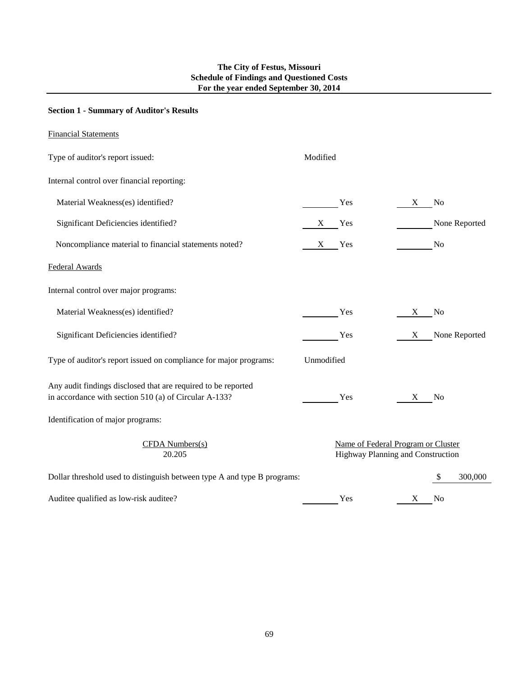## **The City of Festus, Missouri Schedule of Findings and Questioned Costs For the year ended September 30, 2014**

# **Section 1 - Summary of Auditor's Results**

| <b>Financial Statements</b>                                                                                            |                                                                         |                     |
|------------------------------------------------------------------------------------------------------------------------|-------------------------------------------------------------------------|---------------------|
| Type of auditor's report issued:                                                                                       | Modified                                                                |                     |
| Internal control over financial reporting:                                                                             |                                                                         |                     |
| Material Weakness(es) identified?                                                                                      | Yes                                                                     | X<br>No             |
| Significant Deficiencies identified?                                                                                   | X<br>Yes                                                                | None Reported       |
| Noncompliance material to financial statements noted?                                                                  | X<br>Yes                                                                | No                  |
| Federal Awards                                                                                                         |                                                                         |                     |
| Internal control over major programs:                                                                                  |                                                                         |                     |
| Material Weakness(es) identified?                                                                                      | Yes                                                                     | X<br>No             |
| Significant Deficiencies identified?                                                                                   | Yes                                                                     | None Reported<br>X  |
| Type of auditor's report issued on compliance for major programs:                                                      | Unmodified                                                              |                     |
| Any audit findings disclosed that are required to be reported<br>in accordance with section 510 (a) of Circular A-133? | Yes                                                                     | X<br>N <sub>0</sub> |
| Identification of major programs:                                                                                      |                                                                         |                     |
| $CFDA$ Numbers $(s)$<br>20.205                                                                                         | Name of Federal Program or Cluster<br>Highway Planning and Construction |                     |
| Dollar threshold used to distinguish between type A and type B programs:                                               |                                                                         | 300,000<br>\$       |
| Auditee qualified as low-risk auditee?                                                                                 | Yes                                                                     | No<br>X             |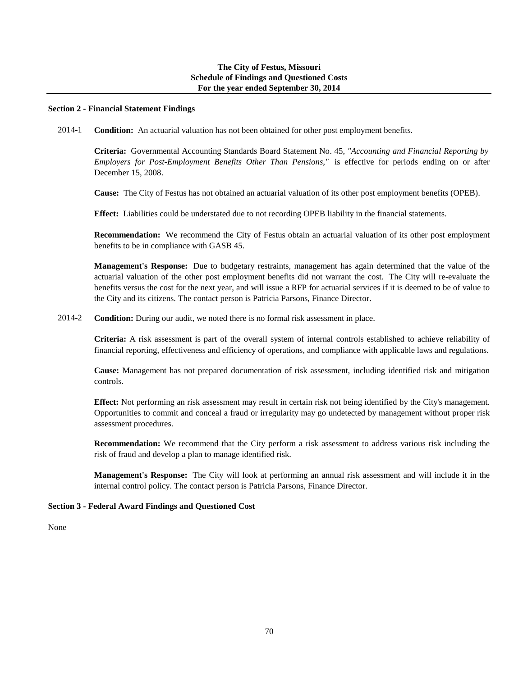#### **Section 2 - Financial Statement Findings**

2014-1 **Condition:** An actuarial valuation has not been obtained for other post employment benefits.

> **Criteria:** Governmental Accounting Standards Board Statement No. 45, *"Accounting and Financial Reporting by Employers for Post-Employment Benefits Other Than Pensions,"* is effective for periods ending on or after December 15, 2008.

**Cause:** The City of Festus has not obtained an actuarial valuation of its other post employment benefits (OPEB).

**Effect:** Liabilities could be understated due to not recording OPEB liability in the financial statements.

**Recommendation:** We recommend the City of Festus obtain an actuarial valuation of its other post employment benefits to be in compliance with GASB 45.

**Management's Response:** Due to budgetary restraints, management has again determined that the value of the actuarial valuation of the other post employment benefits did not warrant the cost. The City will re-evaluate the benefits versus the cost for the next year, and will issue a RFP for actuarial services if it is deemed to be of value to the City and its citizens. The contact person is Patricia Parsons, Finance Director.

2014-2 **Condition:** During our audit, we noted there is no formal risk assessment in place.

> **Criteria:** A risk assessment is part of the overall system of internal controls established to achieve reliability of financial reporting, effectiveness and efficiency of operations, and compliance with applicable laws and regulations.

> **Cause:** Management has not prepared documentation of risk assessment, including identified risk and mitigation controls.

> **Effect:** Not performing an risk assessment may result in certain risk not being identified by the City's management. Opportunities to commit and conceal a fraud or irregularity may go undetected by management without proper risk assessment procedures.

> **Recommendation:** We recommend that the City perform a risk assessment to address various risk including the risk of fraud and develop a plan to manage identified risk.

> **Management's Response:** The City will look at performing an annual risk assessment and will include it in the internal control policy. The contact person is Patricia Parsons, Finance Director.

### **Section 3 - Federal Award Findings and Questioned Cost**

None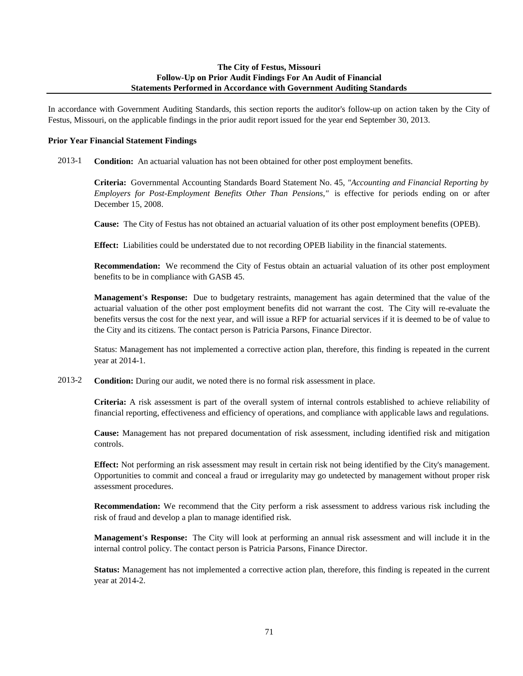In accordance with Government Auditing Standards, this section reports the auditor's follow-up on action taken by the City of Festus, Missouri, on the applicable findings in the prior audit report issued for the year end September 30, 2013.

## **Prior Year Financial Statement Findings**

2013-1 **Condition:** An actuarial valuation has not been obtained for other post employment benefits.

> **Criteria:** Governmental Accounting Standards Board Statement No. 45, *"Accounting and Financial Reporting by Employers for Post-Employment Benefits Other Than Pensions,"* is effective for periods ending on or after December 15, 2008.

**Cause:** The City of Festus has not obtained an actuarial valuation of its other post employment benefits (OPEB).

**Effect:** Liabilities could be understated due to not recording OPEB liability in the financial statements.

**Recommendation:** We recommend the City of Festus obtain an actuarial valuation of its other post employment benefits to be in compliance with GASB 45.

**Management's Response:** Due to budgetary restraints, management has again determined that the value of the actuarial valuation of the other post employment benefits did not warrant the cost. The City will re-evaluate the benefits versus the cost for the next year, and will issue a RFP for actuarial services if it is deemed to be of value to the City and its citizens. The contact person is Patricia Parsons, Finance Director.

Status: Management has not implemented a corrective action plan, therefore, this finding is repeated in the current year at 2014-1.

2013-2 **Condition:** During our audit, we noted there is no formal risk assessment in place.

> **Criteria:** A risk assessment is part of the overall system of internal controls established to achieve reliability of financial reporting, effectiveness and efficiency of operations, and compliance with applicable laws and regulations.

> **Cause:** Management has not prepared documentation of risk assessment, including identified risk and mitigation controls.

> **Effect:** Not performing an risk assessment may result in certain risk not being identified by the City's management. Opportunities to commit and conceal a fraud or irregularity may go undetected by management without proper risk assessment procedures.

> **Recommendation:** We recommend that the City perform a risk assessment to address various risk including the risk of fraud and develop a plan to manage identified risk.

> **Management's Response:** The City will look at performing an annual risk assessment and will include it in the internal control policy. The contact person is Patricia Parsons, Finance Director.

> **Status:** Management has not implemented a corrective action plan, therefore, this finding is repeated in the current year at 2014-2.